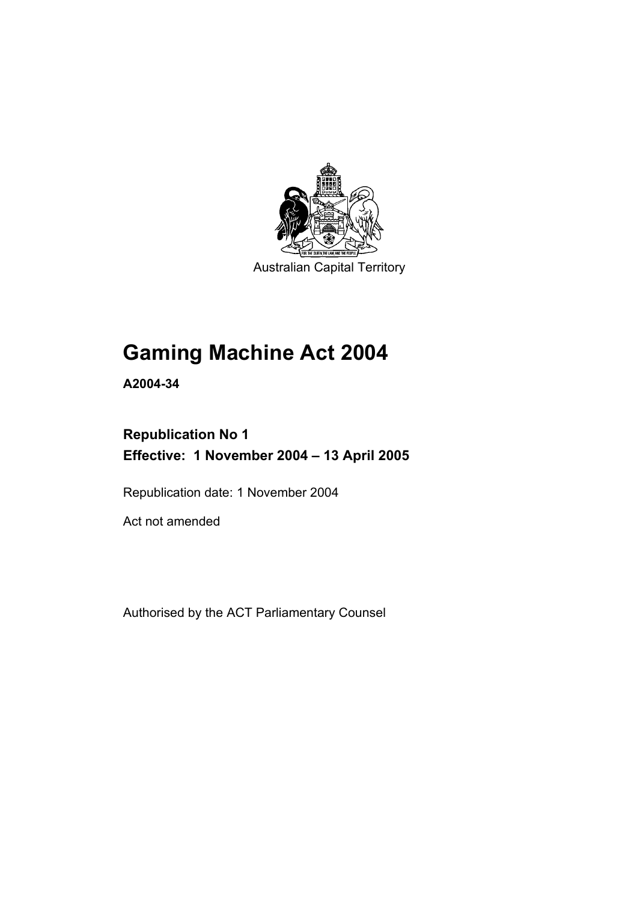

Australian Capital Territory

# **Gaming Machine Act 2004**

**A2004-34** 

# **Republication No 1 Effective: 1 November 2004 – 13 April 2005**

Republication date: 1 November 2004

Act not amended

Authorised by the ACT Parliamentary Counsel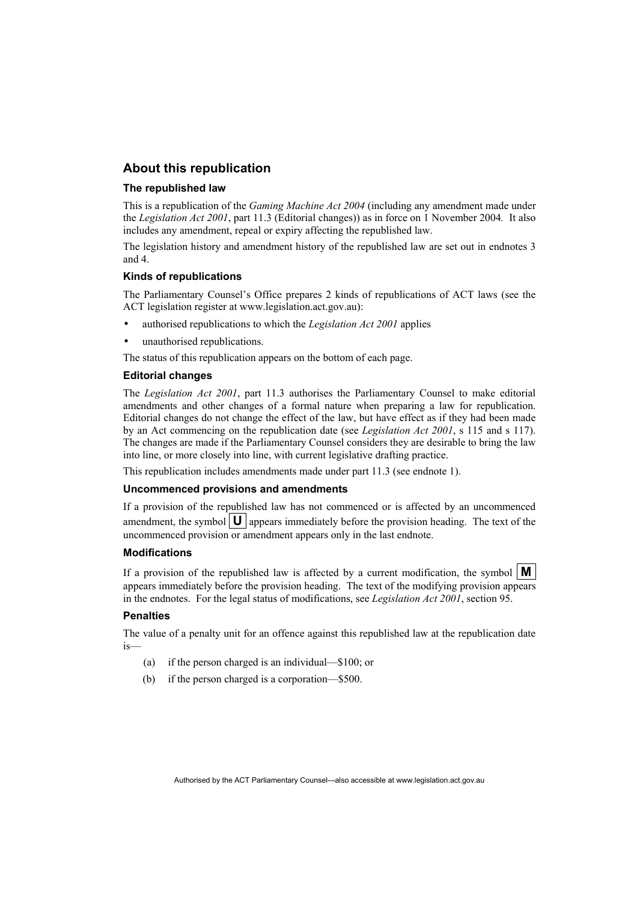## **About this republication**

#### **The republished law**

This is a republication of the *Gaming Machine Act 2004* (including any amendment made under the *Legislation Act 2001*, part 11.3 (Editorial changes)) as in force on 1 November 2004*.* It also includes any amendment, repeal or expiry affecting the republished law.

The legislation history and amendment history of the republished law are set out in endnotes 3 and 4.

#### **Kinds of republications**

The Parliamentary Counsel's Office prepares 2 kinds of republications of ACT laws (see the ACT legislation register at www.legislation.act.gov.au):

- authorised republications to which the *Legislation Act 2001* applies
- unauthorised republications.

The status of this republication appears on the bottom of each page.

#### **Editorial changes**

The *Legislation Act 2001*, part 11.3 authorises the Parliamentary Counsel to make editorial amendments and other changes of a formal nature when preparing a law for republication. Editorial changes do not change the effect of the law, but have effect as if they had been made by an Act commencing on the republication date (see *Legislation Act 2001*, s 115 and s 117). The changes are made if the Parliamentary Counsel considers they are desirable to bring the law into line, or more closely into line, with current legislative drafting practice.

This republication includes amendments made under part 11.3 (see endnote 1).

#### **Uncommenced provisions and amendments**

If a provision of the republished law has not commenced or is affected by an uncommenced amendment, the symbol  $\mathbf{U}$  appears immediately before the provision heading. The text of the uncommenced provision or amendment appears only in the last endnote.

#### **Modifications**

If a provision of the republished law is affected by a current modification, the symbol  $\mathbf{M}$ appears immediately before the provision heading. The text of the modifying provision appears in the endnotes. For the legal status of modifications, see *Legislation Act 2001*, section 95.

#### **Penalties**

The value of a penalty unit for an offence against this republished law at the republication date is—

- (a) if the person charged is an individual—\$100; or
- (b) if the person charged is a corporation—\$500.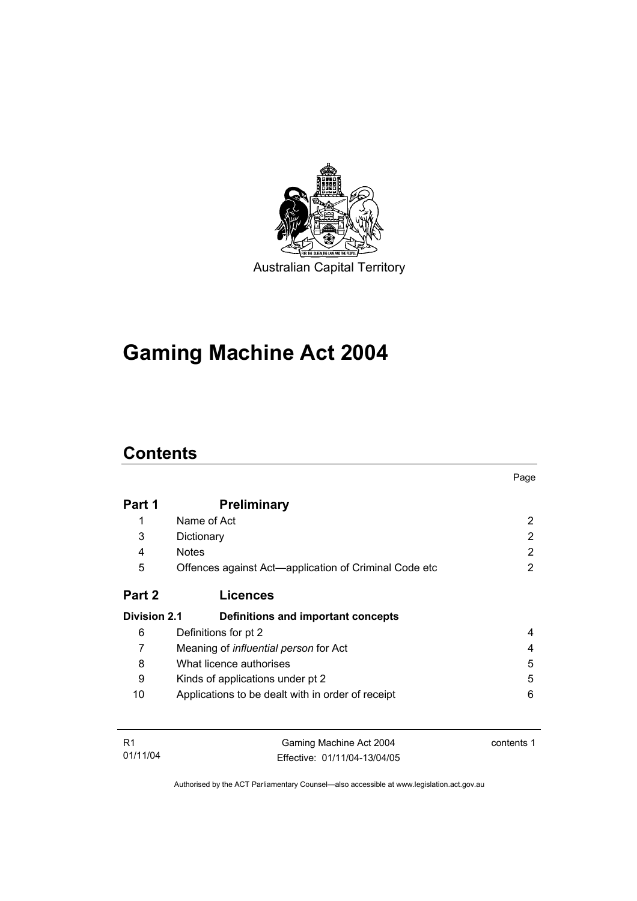

**Gaming Machine Act 2004** 

# **Contents**

|                     |                                                       | Page |
|---------------------|-------------------------------------------------------|------|
| Part 1              | <b>Preliminary</b>                                    |      |
| 1                   | Name of Act                                           | 2    |
| 3                   | Dictionary                                            | 2    |
| 4                   | <b>Notes</b>                                          | 2    |
| 5                   | Offences against Act—application of Criminal Code etc | 2    |
| Part 2              | <b>Licences</b>                                       |      |
| <b>Division 2.1</b> | Definitions and important concepts                    |      |
| 6                   | Definitions for pt 2                                  | 4    |
| 7                   | Meaning of <i>influential person</i> for Act          | 4    |
| 8                   | What licence authorises                               | 5    |
| 9                   | Kinds of applications under pt 2                      | 5    |
| 10                  | Applications to be dealt with in order of receipt     | 6    |
|                     |                                                       |      |
|                     |                                                       |      |

| -R1      | Gaming Machine Act 2004      | contents 1 |
|----------|------------------------------|------------|
| 01/11/04 | Effective: 01/11/04-13/04/05 |            |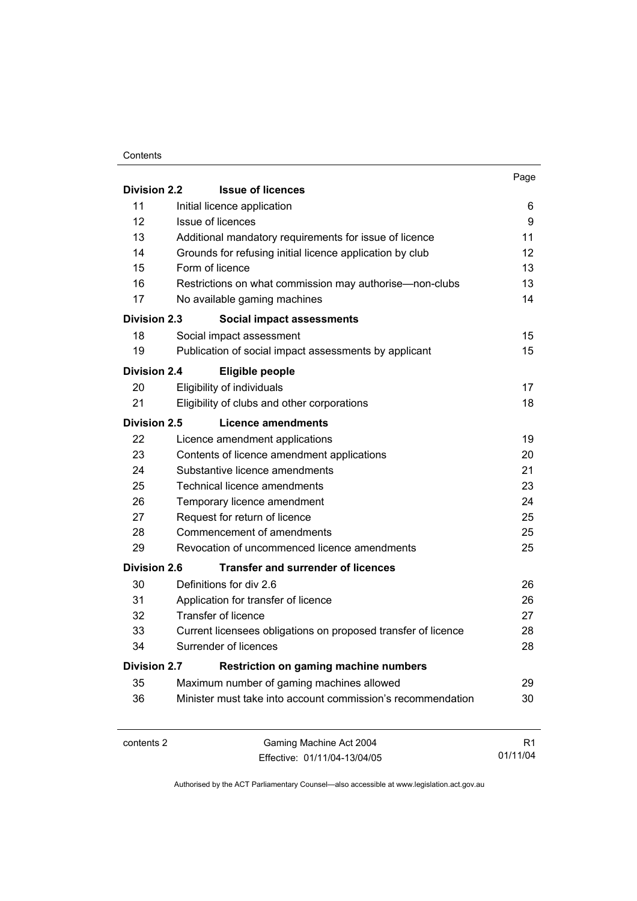#### **Contents**

|                     |                                                               | Page           |
|---------------------|---------------------------------------------------------------|----------------|
| <b>Division 2.2</b> | <b>Issue of licences</b>                                      |                |
| 11                  | Initial licence application                                   | 6              |
| 12                  | Issue of licences                                             | 9              |
| 13                  | Additional mandatory requirements for issue of licence        | 11             |
| 14                  | Grounds for refusing initial licence application by club      | 12             |
| 15                  | Form of licence                                               | 13             |
| 16                  | Restrictions on what commission may authorise—non-clubs       | 13             |
| 17                  | No available gaming machines                                  | 14             |
| <b>Division 2.3</b> | <b>Social impact assessments</b>                              |                |
| 18                  | Social impact assessment                                      | 15             |
| 19                  | Publication of social impact assessments by applicant         | 15             |
| <b>Division 2.4</b> | Eligible people                                               |                |
| 20                  | Eligibility of individuals                                    | 17             |
| 21                  | Eligibility of clubs and other corporations                   | 18             |
| <b>Division 2.5</b> | Licence amendments                                            |                |
| 22                  | Licence amendment applications                                | 19             |
| 23                  | Contents of licence amendment applications                    | 20             |
| 24                  | Substantive licence amendments                                | 21             |
| 25                  | Technical licence amendments                                  | 23             |
| 26                  | Temporary licence amendment                                   | 24             |
| 27                  | Request for return of licence                                 | 25             |
| 28                  | Commencement of amendments                                    | 25             |
| 29                  | Revocation of uncommenced licence amendments                  | 25             |
| <b>Division 2.6</b> | <b>Transfer and surrender of licences</b>                     |                |
| 30                  | Definitions for div 2.6                                       | 26             |
| 31                  | Application for transfer of licence                           | 26             |
| 32                  | <b>Transfer of licence</b>                                    | 27             |
| 33                  | Current licensees obligations on proposed transfer of licence | 28             |
| 34                  | Surrender of licences                                         | 28             |
| <b>Division 2.7</b> | <b>Restriction on gaming machine numbers</b>                  |                |
| 35                  | Maximum number of gaming machines allowed                     | 29             |
| 36                  | Minister must take into account commission's recommendation   | 30             |
|                     |                                                               |                |
| contents 2          | Gaming Machine Act 2004                                       | R <sub>1</sub> |

Effective: 01/11/04-13/04/05

R1 01/11/04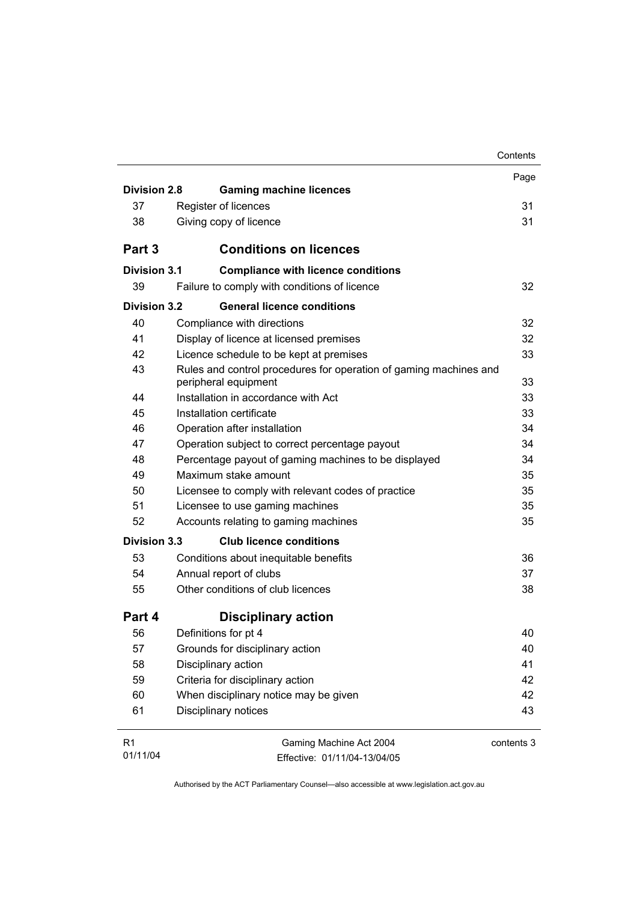|                     |                                                                                           | Contents   |
|---------------------|-------------------------------------------------------------------------------------------|------------|
|                     |                                                                                           | Page       |
| <b>Division 2.8</b> | <b>Gaming machine licences</b>                                                            |            |
| 37                  | Register of licences                                                                      | 31         |
| 38                  | Giving copy of licence                                                                    | 31         |
| Part 3              | <b>Conditions on licences</b>                                                             |            |
| <b>Division 3.1</b> | <b>Compliance with licence conditions</b>                                                 |            |
| 39                  | Failure to comply with conditions of licence                                              | 32         |
| Division 3.2        | <b>General licence conditions</b>                                                         |            |
| 40                  | Compliance with directions                                                                | 32         |
| 41                  | Display of licence at licensed premises                                                   | 32         |
| 42                  | Licence schedule to be kept at premises                                                   | 33         |
| 43                  | Rules and control procedures for operation of gaming machines and<br>peripheral equipment | 33         |
| 44                  | Installation in accordance with Act                                                       | 33         |
| 45                  | Installation certificate                                                                  | 33         |
| 46                  | Operation after installation                                                              | 34         |
| 47                  | Operation subject to correct percentage payout                                            | 34         |
| 48                  | Percentage payout of gaming machines to be displayed                                      | 34         |
| 49                  | Maximum stake amount                                                                      | 35         |
| 50                  | Licensee to comply with relevant codes of practice                                        | 35         |
| 51                  | Licensee to use gaming machines                                                           | 35         |
| 52                  | Accounts relating to gaming machines                                                      | 35         |
| <b>Division 3.3</b> | <b>Club licence conditions</b>                                                            |            |
| 53                  | Conditions about inequitable benefits                                                     | 36         |
| 54                  | Annual report of clubs                                                                    | 37         |
| 55                  | Other conditions of club licences                                                         | 38         |
| Part 4              | <b>Disciplinary action</b>                                                                |            |
| 56                  | Definitions for pt 4                                                                      | 40         |
| 57                  | Grounds for disciplinary action                                                           | 40         |
| 58                  | Disciplinary action                                                                       | 41         |
| 59                  | Criteria for disciplinary action                                                          | 42         |
| 60                  | When disciplinary notice may be given                                                     | 42         |
| 61                  | Disciplinary notices                                                                      | 43         |
| R <sub>1</sub>      | Gaming Machine Act 2004                                                                   | contents 3 |
| 01/11/04            | Effective: 01/11/04-13/04/05                                                              |            |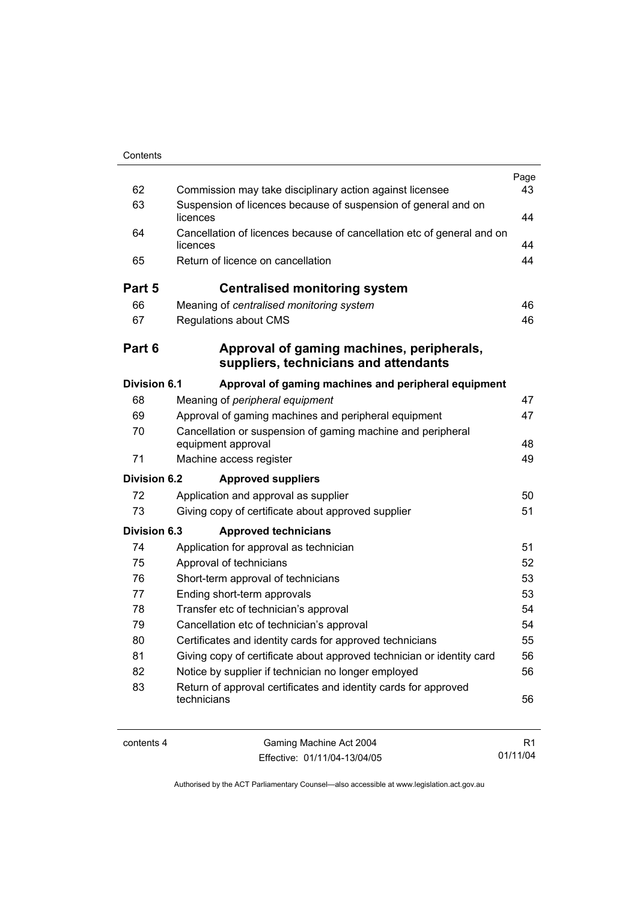| Contents |  |
|----------|--|
|          |  |

| 62                  | Commission may take disciplinary action against licensee                           | Page<br>43 |
|---------------------|------------------------------------------------------------------------------------|------------|
| 63                  | Suspension of licences because of suspension of general and on                     |            |
| 64                  | licences                                                                           | 44         |
|                     | Cancellation of licences because of cancellation etc of general and on<br>licences | 44         |
| 65                  | Return of licence on cancellation                                                  | 44         |
| Part 5              | <b>Centralised monitoring system</b>                                               |            |
| 66                  | Meaning of centralised monitoring system                                           | 46         |
| 67                  | Regulations about CMS                                                              | 46         |
| Part 6              | Approval of gaming machines, peripherals,<br>suppliers, technicians and attendants |            |
| <b>Division 6.1</b> | Approval of gaming machines and peripheral equipment                               |            |
| 68                  | Meaning of peripheral equipment                                                    | 47         |
| 69                  | Approval of gaming machines and peripheral equipment                               | 47         |
| 70                  | Cancellation or suspension of gaming machine and peripheral                        |            |
|                     | equipment approval                                                                 | 48         |
| 71                  | Machine access register                                                            | 49         |
| <b>Division 6.2</b> | <b>Approved suppliers</b>                                                          |            |
| 72                  | Application and approval as supplier                                               | 50         |
| 73                  | Giving copy of certificate about approved supplier                                 | 51         |
| <b>Division 6.3</b> | <b>Approved technicians</b>                                                        |            |
| 74                  | Application for approval as technician                                             | 51         |
| 75                  | Approval of technicians                                                            | 52         |
| 76                  | Short-term approval of technicians                                                 | 53         |
| 77                  | Ending short-term approvals                                                        | 53         |
| 78                  | Transfer etc of technician's approval                                              | 54         |
| 79                  | Cancellation etc of technician's approval                                          | 54         |
| 80                  | Certificates and identity cards for approved technicians                           | 55         |
| 81                  | Giving copy of certificate about approved technician or identity card              | 56         |
| 82                  | Notice by supplier if technician no longer employed                                | 56         |
| 83                  | Return of approval certificates and identity cards for approved<br>technicians     | 56         |
|                     |                                                                                    |            |

L.

contents 4 Gaming Machine Act 2004 Effective: 01/11/04-13/04/05

R1 01/11/04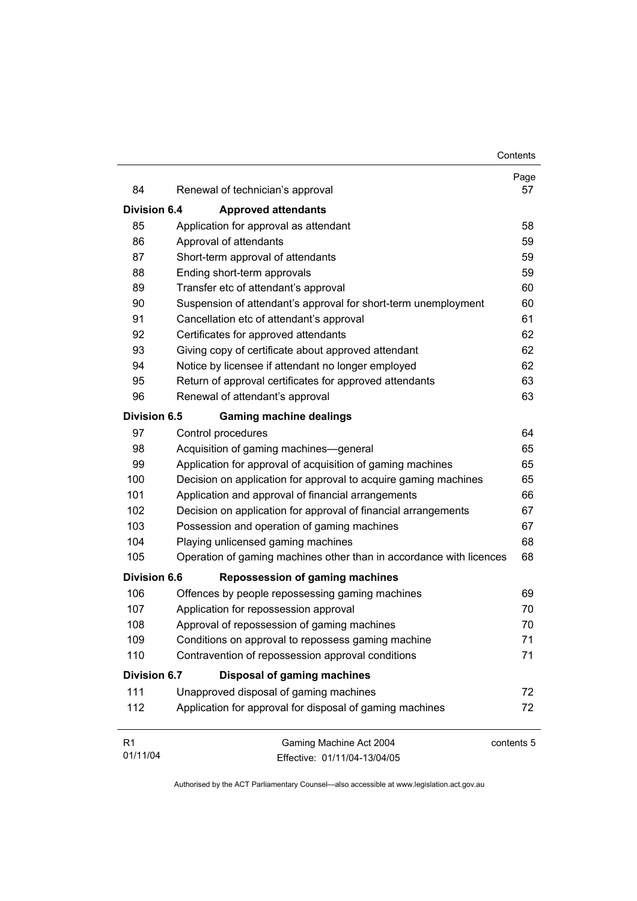| 84                  | Renewal of technician's approval                                    | Page<br>57 |
|---------------------|---------------------------------------------------------------------|------------|
| <b>Division 6.4</b> | <b>Approved attendants</b>                                          |            |
| 85                  | Application for approval as attendant                               | 58         |
| 86                  | Approval of attendants                                              | 59         |
| 87                  | Short-term approval of attendants                                   | 59         |
| 88                  | Ending short-term approvals                                         | 59         |
| 89                  | Transfer etc of attendant's approval                                | 60         |
| 90                  | Suspension of attendant's approval for short-term unemployment      | 60         |
| 91                  | Cancellation etc of attendant's approval                            | 61         |
| 92                  | Certificates for approved attendants                                | 62         |
| 93                  | Giving copy of certificate about approved attendant                 | 62         |
| 94                  | Notice by licensee if attendant no longer employed                  | 62         |
| 95                  | Return of approval certificates for approved attendants             | 63         |
| 96                  | Renewal of attendant's approval                                     | 63         |
| <b>Division 6.5</b> | <b>Gaming machine dealings</b>                                      |            |
| 97                  | Control procedures                                                  | 64         |
| 98                  | Acquisition of gaming machines—general                              | 65         |
| 99                  | Application for approval of acquisition of gaming machines          | 65         |
| 100                 | Decision on application for approval to acquire gaming machines     | 65         |
| 101                 | Application and approval of financial arrangements                  | 66         |
| 102                 | Decision on application for approval of financial arrangements      | 67         |
| 103                 | Possession and operation of gaming machines                         | 67         |
| 104                 | Playing unlicensed gaming machines                                  | 68         |
| 105                 | Operation of gaming machines other than in accordance with licences | 68         |
| <b>Division 6.6</b> | Repossession of gaming machines                                     |            |
| 106                 | Offences by people repossessing gaming machines                     | 69         |
| 107                 | Application for repossession approval                               | 70         |
| 108                 | Approval of repossession of gaming machines                         | 70         |
| 109                 | Conditions on approval to repossess gaming machine                  | 71         |
| 110                 | Contravention of repossession approval conditions                   | 71         |
| <b>Division 6.7</b> | <b>Disposal of gaming machines</b>                                  |            |
| 111                 | Unapproved disposal of gaming machines                              | 72         |
| 112                 | Application for approval for disposal of gaming machines            | 72         |
| R <sub>1</sub>      | Gaming Machine Act 2004                                             | contents 5 |
| 01/11/04            | Effective: 01/11/04-13/04/05                                        |            |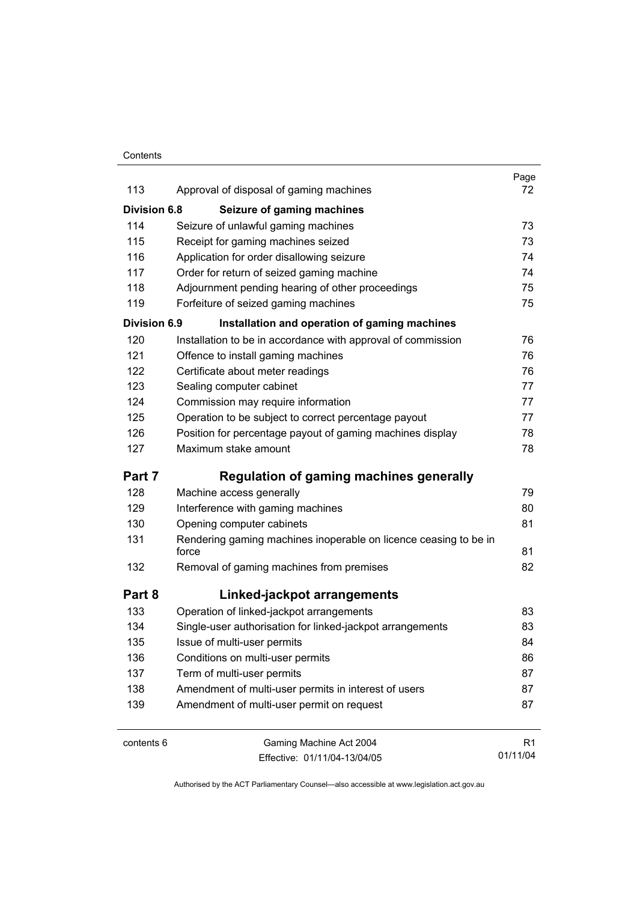#### **Contents**

|                     |                                                                           | Page           |
|---------------------|---------------------------------------------------------------------------|----------------|
| 113                 | Approval of disposal of gaming machines                                   | 72             |
| <b>Division 6.8</b> | Seizure of gaming machines                                                |                |
| 114                 | Seizure of unlawful gaming machines                                       | 73             |
| 115                 | Receipt for gaming machines seized                                        | 73             |
| 116                 | Application for order disallowing seizure                                 | 74             |
| 117                 | Order for return of seized gaming machine                                 | 74             |
| 118                 | Adjournment pending hearing of other proceedings                          | 75             |
| 119                 | Forfeiture of seized gaming machines                                      | 75             |
| <b>Division 6.9</b> | Installation and operation of gaming machines                             |                |
| 120                 | Installation to be in accordance with approval of commission              | 76             |
| 121                 | Offence to install gaming machines                                        | 76             |
| 122                 | Certificate about meter readings                                          | 76             |
| 123                 | Sealing computer cabinet                                                  | 77             |
| 124                 | Commission may require information                                        | 77             |
| 125                 | Operation to be subject to correct percentage payout                      | 77             |
| 126                 | Position for percentage payout of gaming machines display                 | 78             |
| 127                 | Maximum stake amount                                                      | 78             |
| Part 7              | Regulation of gaming machines generally                                   |                |
| 128                 | Machine access generally                                                  | 79             |
| 129                 | Interference with gaming machines                                         | 80             |
| 130                 | Opening computer cabinets                                                 | 81             |
| 131                 | Rendering gaming machines inoperable on licence ceasing to be in<br>force | 81             |
| 132                 | Removal of gaming machines from premises                                  | 82             |
| Part 8              | Linked-jackpot arrangements                                               |                |
| 133                 | Operation of linked-jackpot arrangements                                  | 83             |
| 134                 | Single-user authorisation for linked-jackpot arrangements                 | 83             |
| 135                 | Issue of multi-user permits                                               | 84             |
| 136                 | Conditions on multi-user permits                                          | 86             |
| 137                 | Term of multi-user permits                                                | 87             |
| 138                 | Amendment of multi-user permits in interest of users                      | 87             |
| 139                 | Amendment of multi-user permit on request                                 | 87             |
| contents 6          | Gaming Machine Act 2004                                                   | R <sub>1</sub> |
|                     | Effective: 01/11/04-13/04/05                                              | 01/11/04       |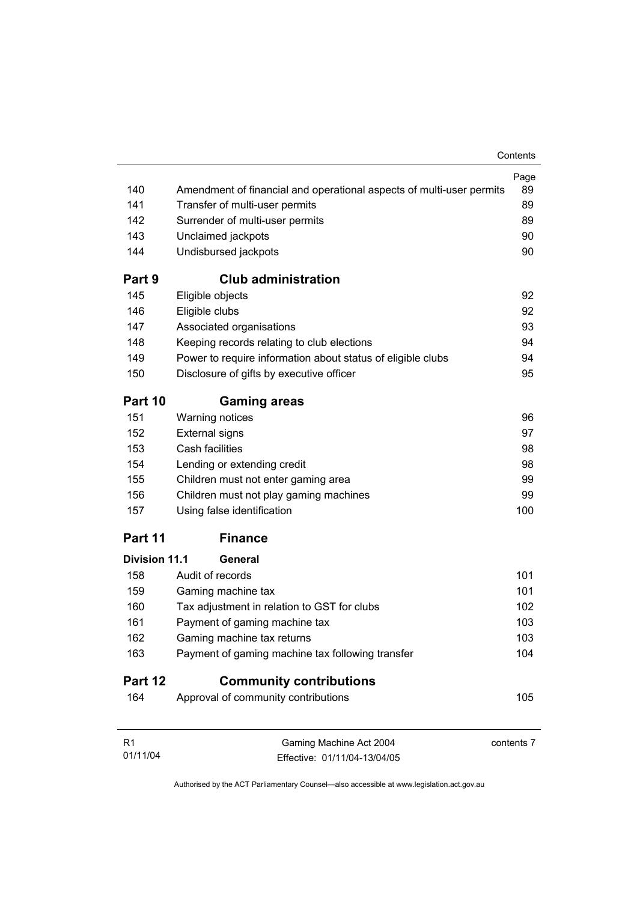|                      |                                                                      | Contents   |
|----------------------|----------------------------------------------------------------------|------------|
|                      |                                                                      | Page       |
| 140                  | Amendment of financial and operational aspects of multi-user permits | 89         |
| 141                  | Transfer of multi-user permits                                       | 89         |
| 142                  | Surrender of multi-user permits                                      | 89         |
| 143                  | Unclaimed jackpots                                                   | 90         |
| 144                  | Undisbursed jackpots                                                 | 90         |
| Part 9               | <b>Club administration</b>                                           |            |
| 145                  | Eligible objects                                                     | 92         |
| 146                  | Eligible clubs                                                       | 92         |
| 147                  | Associated organisations                                             | 93         |
| 148                  | Keeping records relating to club elections                           | 94         |
| 149                  | Power to require information about status of eligible clubs          | 94         |
| 150                  | Disclosure of gifts by executive officer                             | 95         |
| Part 10              | <b>Gaming areas</b>                                                  |            |
| 151                  | <b>Warning notices</b>                                               | 96         |
| 152                  | <b>External signs</b>                                                | 97         |
| 153                  | Cash facilities                                                      | 98         |
| 154                  | Lending or extending credit                                          | 98         |
| 155                  | Children must not enter gaming area                                  | 99         |
| 156                  | Children must not play gaming machines                               | 99         |
| 157                  | Using false identification                                           | 100        |
| Part 11              | <b>Finance</b>                                                       |            |
| <b>Division 11.1</b> | General                                                              |            |
| 158                  | Audit of records                                                     | 101        |
| 159                  | Gaming machine tax                                                   | 101        |
| 160                  | Tax adjustment in relation to GST for clubs                          | 102        |
| 161                  | Payment of gaming machine tax                                        | 103        |
| 162                  | Gaming machine tax returns                                           | 103        |
| 163                  | Payment of gaming machine tax following transfer                     | 104        |
| Part 12              | <b>Community contributions</b>                                       |            |
| 164                  | Approval of community contributions                                  | 105        |
| R <sub>1</sub>       | Gaming Machine Act 2004                                              | contents 7 |

Authorised by the ACT Parliamentary Counsel—also accessible at www.legislation.act.gov.au

Effective: 01/11/04-13/04/05

01/11/04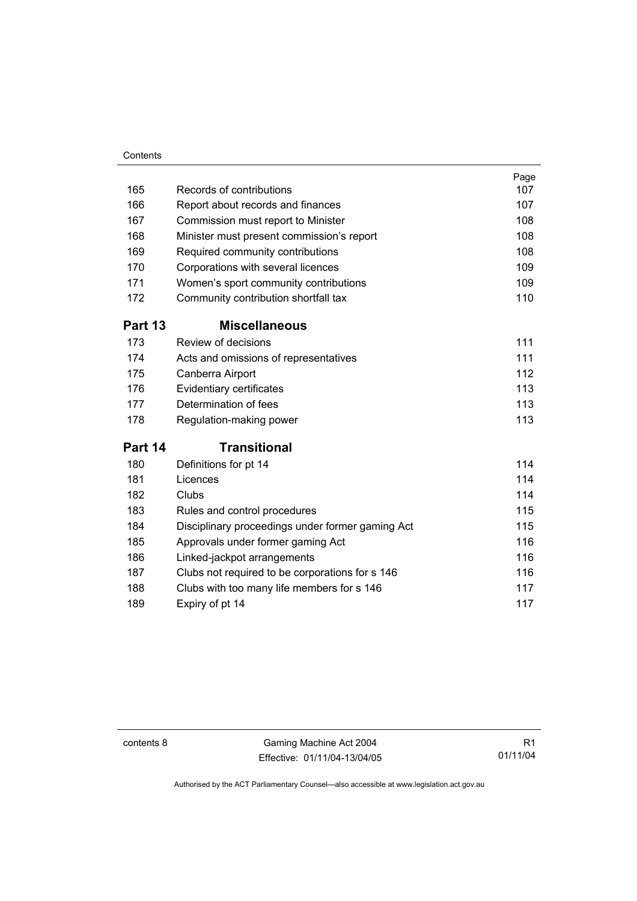#### **Contents**

| 165     | Records of contributions                         | Page<br>107 |
|---------|--------------------------------------------------|-------------|
| 166     | Report about records and finances                | 107         |
| 167     |                                                  | 108         |
| 168     | Commission must report to Minister               | 108         |
| 169     | Minister must present commission's report        | 108         |
|         | Required community contributions                 |             |
| 170     | Corporations with several licences               | 109         |
| 171     | Women's sport community contributions            | 109         |
| 172     | Community contribution shortfall tax             | 110         |
| Part 13 | <b>Miscellaneous</b>                             |             |
| 173     | Review of decisions                              | 111         |
| 174     | Acts and omissions of representatives            | 111         |
| 175     | Canberra Airport                                 | 112         |
| 176     | Evidentiary certificates                         | 113         |
| 177     | Determination of fees                            | 113         |
| 178     | Regulation-making power                          | 113         |
| Part 14 | <b>Transitional</b>                              |             |
| 180     | Definitions for pt 14                            | 114         |
| 181     | Licences                                         | 114         |
| 182     | Clubs                                            | 114         |
| 183     | Rules and control procedures                     | 115         |
| 184     | Disciplinary proceedings under former gaming Act | 115         |
| 185     | Approvals under former gaming Act                | 116         |
| 186     | Linked-jackpot arrangements                      | 116         |
| 187     | Clubs not required to be corporations for s 146  | 116         |
| 188     | Clubs with too many life members for s 146       | 117         |
| 189     | Expiry of pt 14                                  | 117         |

contents 8 Gaming Machine Act 2004 Effective: 01/11/04-13/04/05

R1 01/11/04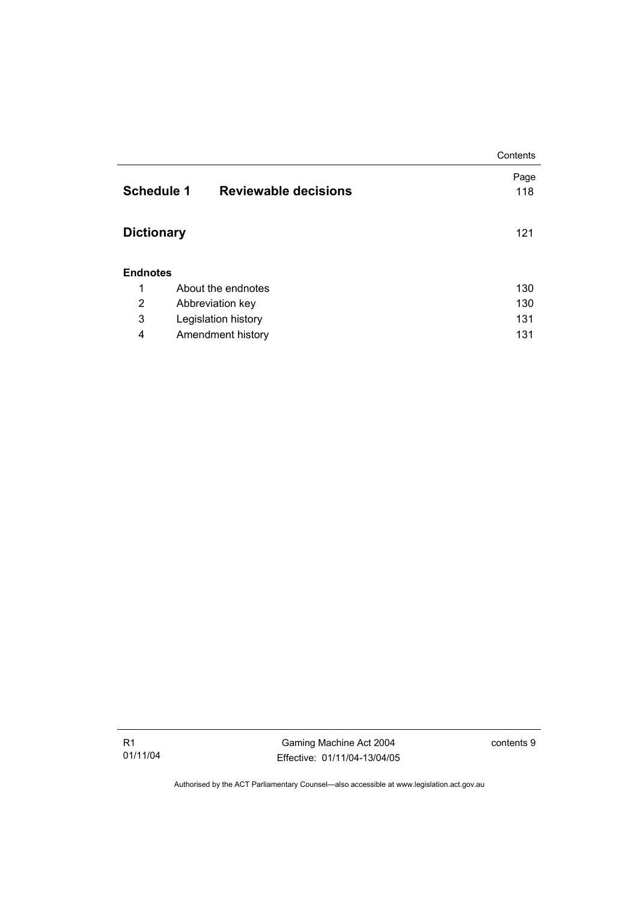|                   |                             | Contents    |
|-------------------|-----------------------------|-------------|
| <b>Schedule 1</b> | <b>Reviewable decisions</b> | Page<br>118 |
|                   |                             |             |
| <b>Dictionary</b> |                             | 121         |
|                   |                             |             |
| <b>Endnotes</b>   |                             |             |
| 1                 | About the endnotes          | 130         |
| 2                 | Abbreviation key            | 130         |
| 3                 | Legislation history         | 131         |
| 4                 | Amendment history           | 131         |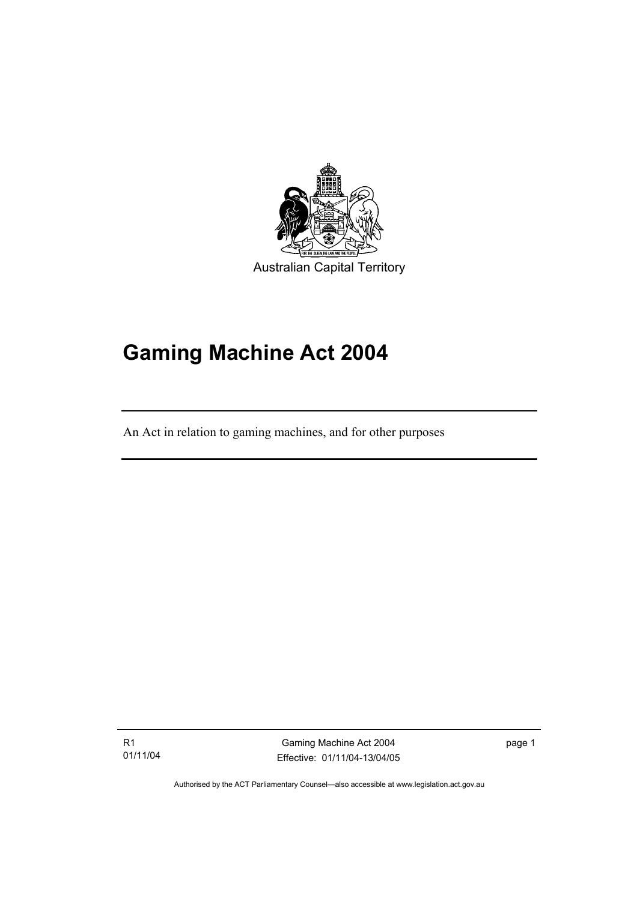

# **Gaming Machine Act 2004**

An Act in relation to gaming machines, and for other purposes

R1 01/11/04

I

Gaming Machine Act 2004 Effective: 01/11/04-13/04/05 page 1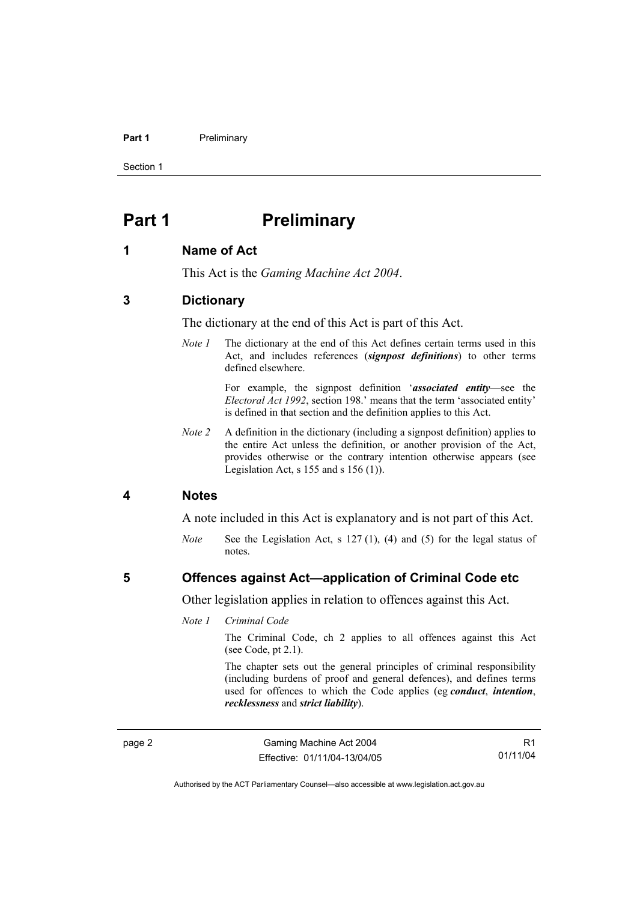#### **Part 1** Preliminary

Section 1

# **Part 1** Preliminary

#### **1 Name of Act**

This Act is the *Gaming Machine Act 2004*.

## **3 Dictionary**

The dictionary at the end of this Act is part of this Act.

*Note 1* The dictionary at the end of this Act defines certain terms used in this Act, and includes references (*signpost definitions*) to other terms defined elsewhere.

> For example, the signpost definition '*associated entity*—see the *Electoral Act 1992*, section 198.' means that the term 'associated entity' is defined in that section and the definition applies to this Act.

*Note 2* A definition in the dictionary (including a signpost definition) applies to the entire Act unless the definition, or another provision of the Act, provides otherwise or the contrary intention otherwise appears (see Legislation Act, s  $155$  and s  $156$  (1)).

#### **4 Notes**

A note included in this Act is explanatory and is not part of this Act.

*Note* See the Legislation Act, s 127 (1), (4) and (5) for the legal status of notes.

#### **5 Offences against Act—application of Criminal Code etc**

Other legislation applies in relation to offences against this Act.

#### *Note 1 Criminal Code*

The Criminal Code, ch 2 applies to all offences against this Act (see Code, pt 2.1).

The chapter sets out the general principles of criminal responsibility (including burdens of proof and general defences), and defines terms used for offences to which the Code applies (eg *conduct*, *intention*, *recklessness* and *strict liability*).

R1 01/11/04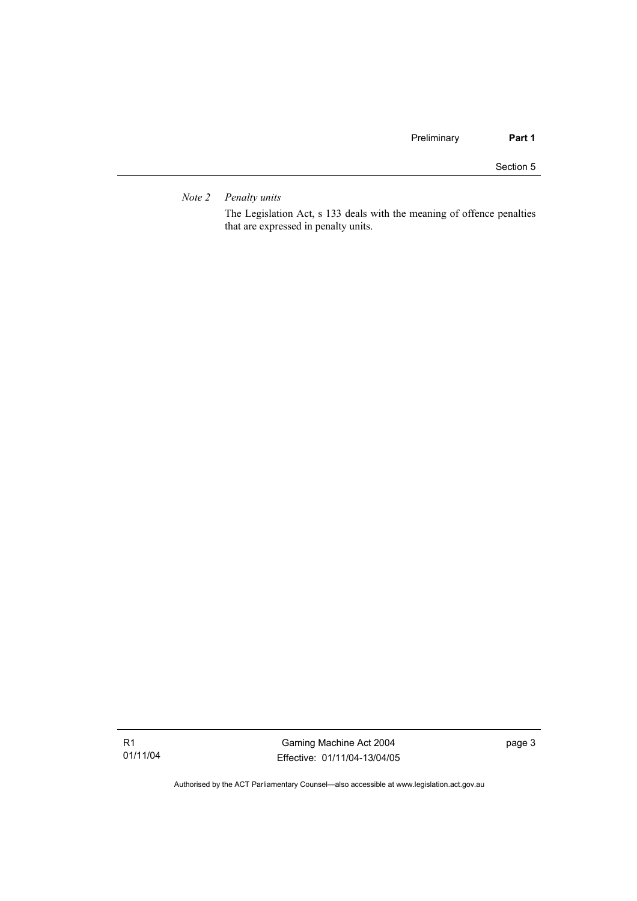*Note 2 Penalty units* 

The Legislation Act, s 133 deals with the meaning of offence penalties that are expressed in penalty units.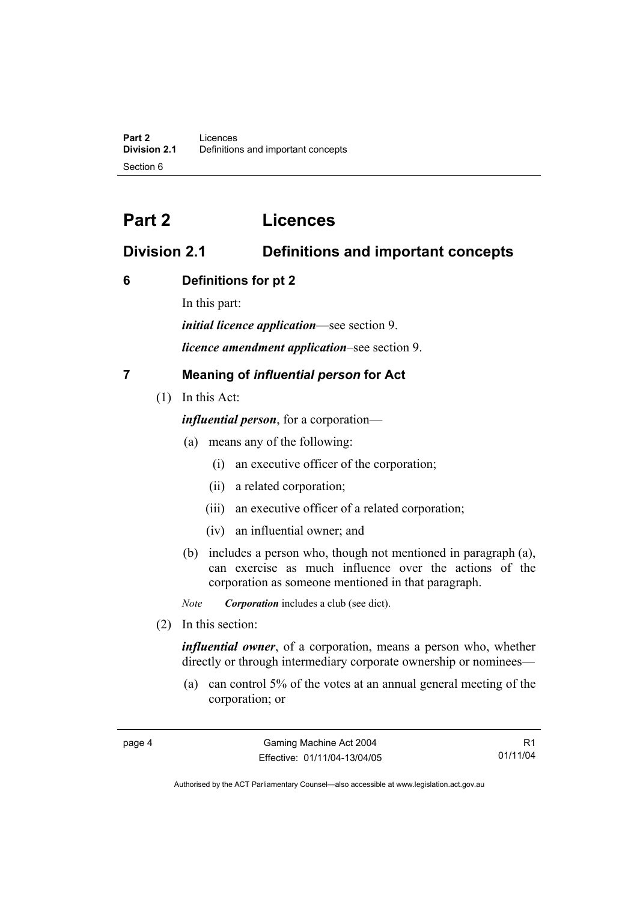# **Part 2 Licences**

# **Division 2.1 Definitions and important concepts**

# **6 Definitions for pt 2**

In this part:

*initial licence application*—see section 9.

*licence amendment application*–see section 9.

# **7 Meaning of** *influential person* **for Act**

(1) In this Act:

*influential person*, for a corporation—

- (a) means any of the following:
	- (i) an executive officer of the corporation;
	- (ii) a related corporation;
	- (iii) an executive officer of a related corporation;
	- (iv) an influential owner; and
- (b) includes a person who, though not mentioned in paragraph (a), can exercise as much influence over the actions of the corporation as someone mentioned in that paragraph.

*Note Corporation* includes a club (see dict).

(2) In this section:

*influential owner*, of a corporation, means a person who, whether directly or through intermediary corporate ownership or nominees—

 (a) can control 5% of the votes at an annual general meeting of the corporation; or

R1 01/11/04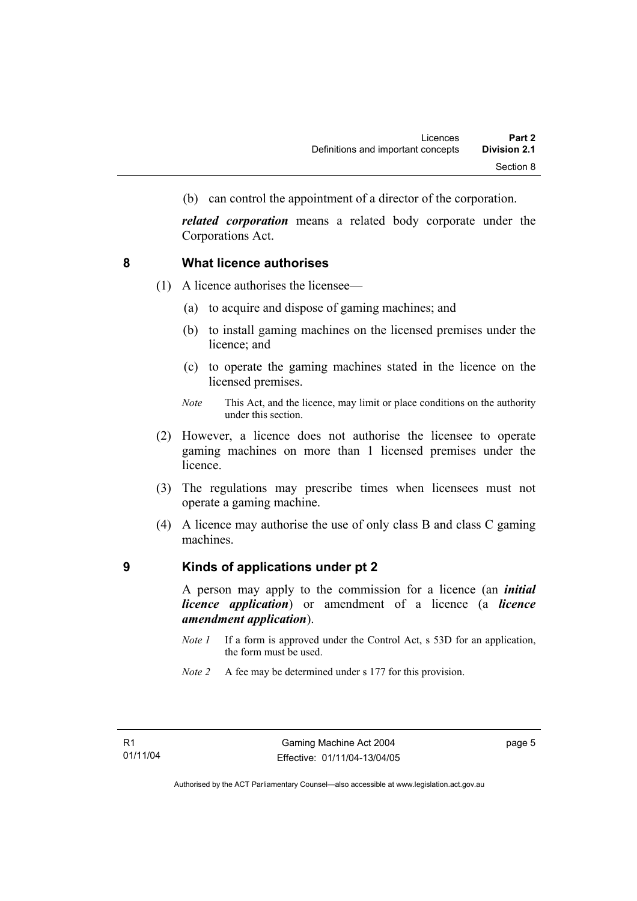(b) can control the appointment of a director of the corporation.

*related corporation* means a related body corporate under the Corporations Act.

#### **8 What licence authorises**

- (1) A licence authorises the licensee—
	- (a) to acquire and dispose of gaming machines; and
	- (b) to install gaming machines on the licensed premises under the licence; and
	- (c) to operate the gaming machines stated in the licence on the licensed premises.
	- *Note* This Act, and the licence, may limit or place conditions on the authority under this section.
- (2) However, a licence does not authorise the licensee to operate gaming machines on more than 1 licensed premises under the licence.
- (3) The regulations may prescribe times when licensees must not operate a gaming machine.
- (4) A licence may authorise the use of only class B and class C gaming machines.

#### **9 Kinds of applications under pt 2**

A person may apply to the commission for a licence (an *initial licence application*) or amendment of a licence (a *licence amendment application*).

- *Note 1* If a form is approved under the Control Act, s 53D for an application, the form must be used.
- *Note 2* A fee may be determined under s 177 for this provision.

page 5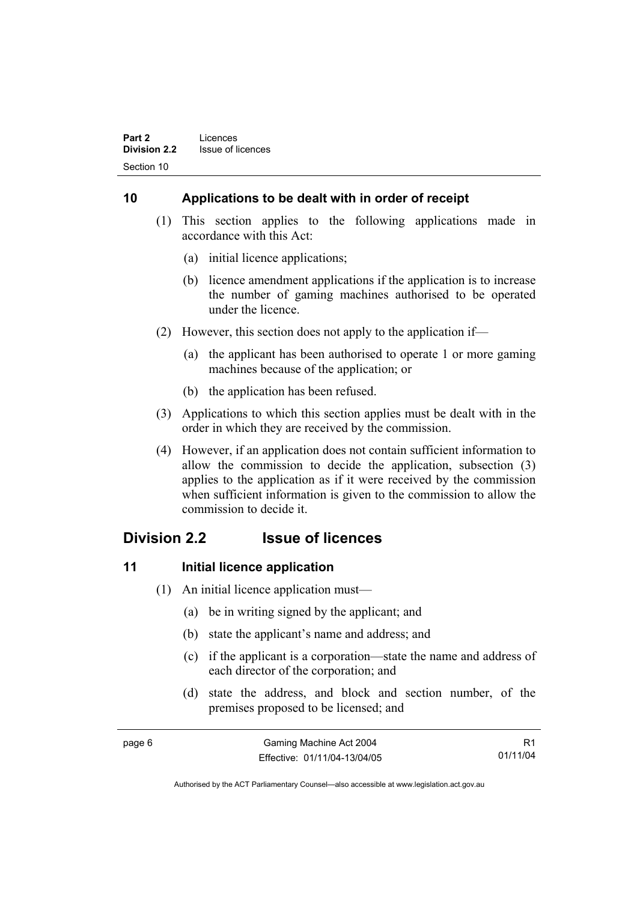# **10 Applications to be dealt with in order of receipt**

- (1) This section applies to the following applications made in accordance with this Act:
	- (a) initial licence applications;
	- (b) licence amendment applications if the application is to increase the number of gaming machines authorised to be operated under the licence.
- (2) However, this section does not apply to the application if—
	- (a) the applicant has been authorised to operate 1 or more gaming machines because of the application; or
	- (b) the application has been refused.
- (3) Applications to which this section applies must be dealt with in the order in which they are received by the commission.
- (4) However, if an application does not contain sufficient information to allow the commission to decide the application, subsection (3) applies to the application as if it were received by the commission when sufficient information is given to the commission to allow the commission to decide it.

# **Division 2.2 Issue of licences**

#### **11** Initial licence application

- (1) An initial licence application must—
	- (a) be in writing signed by the applicant; and
	- (b) state the applicant's name and address; and
	- (c) if the applicant is a corporation—state the name and address of each director of the corporation; and
	- (d) state the address, and block and section number, of the premises proposed to be licensed; and

| page 6 | Gaming Machine Act 2004      |          |
|--------|------------------------------|----------|
|        | Effective: 01/11/04-13/04/05 | 01/11/04 |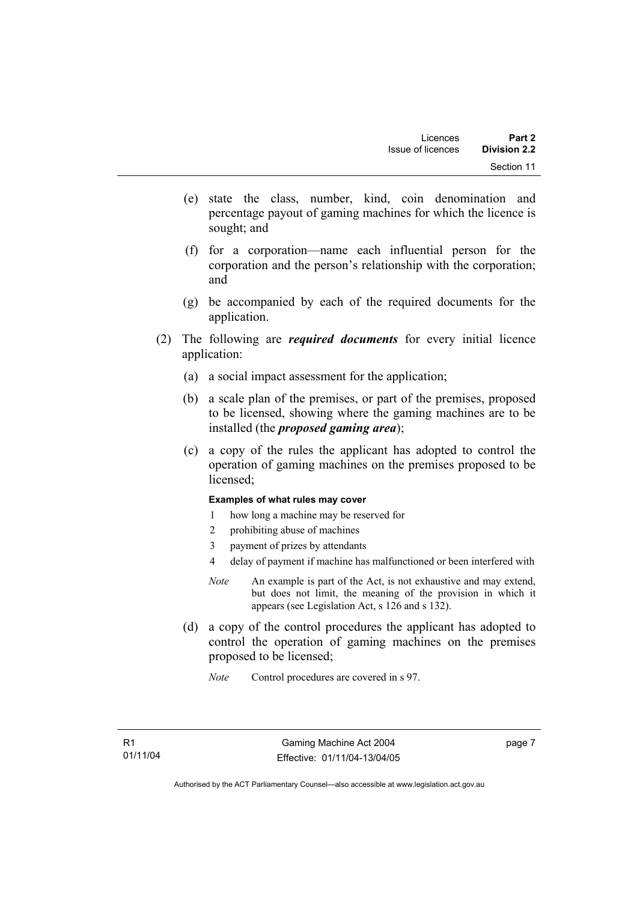- (e) state the class, number, kind, coin denomination and percentage payout of gaming machines for which the licence is sought; and
- (f) for a corporation—name each influential person for the corporation and the person's relationship with the corporation; and
- (g) be accompanied by each of the required documents for the application.
- (2) The following are *required documents* for every initial licence application:
	- (a) a social impact assessment for the application;
	- (b) a scale plan of the premises, or part of the premises, proposed to be licensed, showing where the gaming machines are to be installed (the *proposed gaming area*);
	- (c) a copy of the rules the applicant has adopted to control the operation of gaming machines on the premises proposed to be licensed;

#### **Examples of what rules may cover**

- 1 how long a machine may be reserved for
- 2 prohibiting abuse of machines
- 3 payment of prizes by attendants
- 4 delay of payment if machine has malfunctioned or been interfered with
- *Note* An example is part of the Act, is not exhaustive and may extend, but does not limit, the meaning of the provision in which it appears (see Legislation Act, s 126 and s 132).
- (d) a copy of the control procedures the applicant has adopted to control the operation of gaming machines on the premises proposed to be licensed;
	- *Note* Control procedures are covered in s 97.

page 7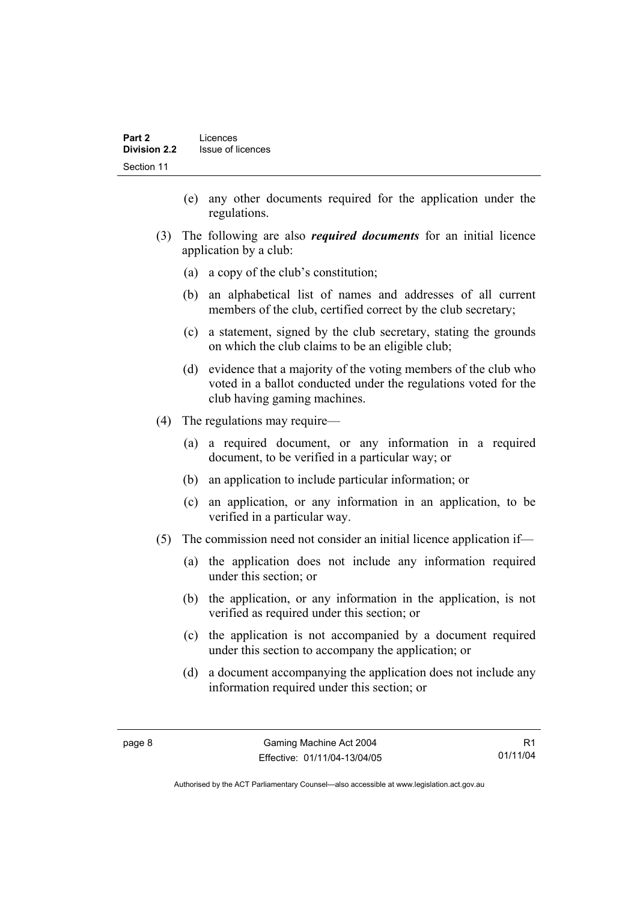- (e) any other documents required for the application under the regulations.
- (3) The following are also *required documents* for an initial licence application by a club:
	- (a) a copy of the club's constitution;
	- (b) an alphabetical list of names and addresses of all current members of the club, certified correct by the club secretary;
	- (c) a statement, signed by the club secretary, stating the grounds on which the club claims to be an eligible club;
	- (d) evidence that a majority of the voting members of the club who voted in a ballot conducted under the regulations voted for the club having gaming machines.
- (4) The regulations may require—
	- (a) a required document, or any information in a required document, to be verified in a particular way; or
	- (b) an application to include particular information; or
	- (c) an application, or any information in an application, to be verified in a particular way.
- (5) The commission need not consider an initial licence application if—
	- (a) the application does not include any information required under this section; or
	- (b) the application, or any information in the application, is not verified as required under this section; or
	- (c) the application is not accompanied by a document required under this section to accompany the application; or
	- (d) a document accompanying the application does not include any information required under this section; or

R1 01/11/04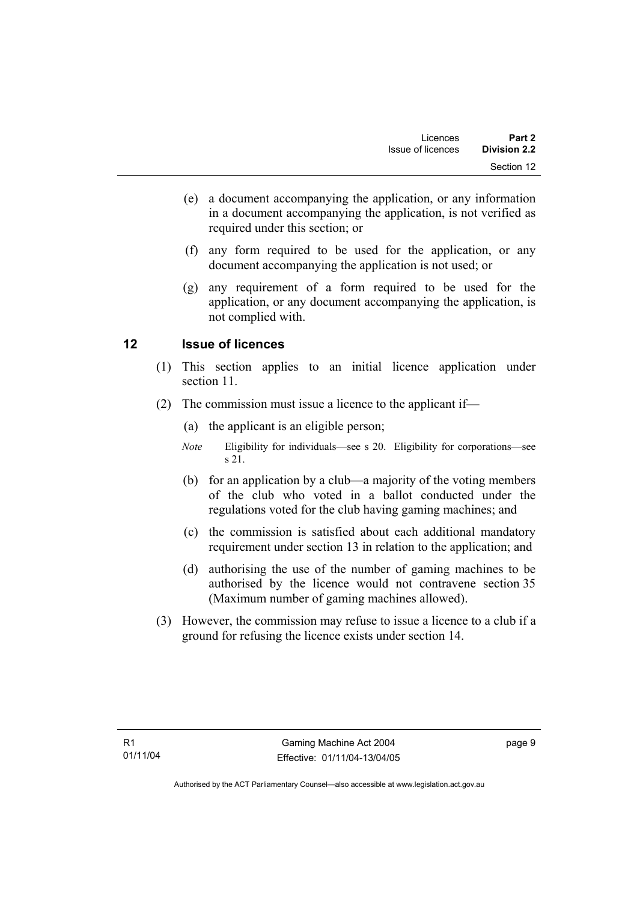- (e) a document accompanying the application, or any information in a document accompanying the application, is not verified as required under this section; or
- (f) any form required to be used for the application, or any document accompanying the application is not used; or
- (g) any requirement of a form required to be used for the application, or any document accompanying the application, is not complied with.

# **12 Issue of licences**

- (1) This section applies to an initial licence application under section 11.
- (2) The commission must issue a licence to the applicant if—
	- (a) the applicant is an eligible person;
	- *Note* Eligibility for individuals—see s 20. Eligibility for corporations—see s 21.
	- (b) for an application by a club—a majority of the voting members of the club who voted in a ballot conducted under the regulations voted for the club having gaming machines; and
	- (c) the commission is satisfied about each additional mandatory requirement under section 13 in relation to the application; and
	- (d) authorising the use of the number of gaming machines to be authorised by the licence would not contravene section 35 (Maximum number of gaming machines allowed).
- (3) However, the commission may refuse to issue a licence to a club if a ground for refusing the licence exists under section 14.

page 9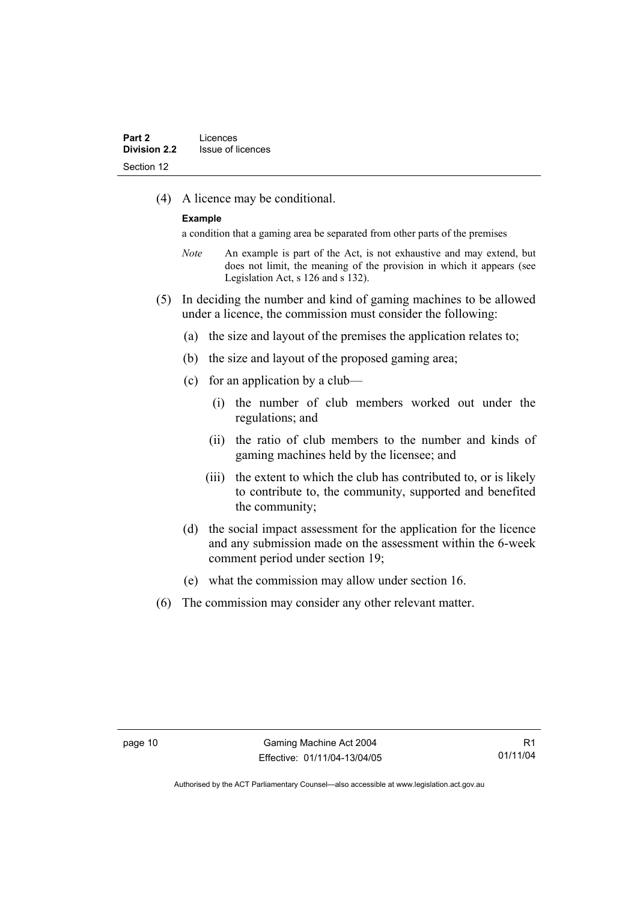(4) A licence may be conditional.

#### **Example**

a condition that a gaming area be separated from other parts of the premises

- *Note* An example is part of the Act, is not exhaustive and may extend, but does not limit, the meaning of the provision in which it appears (see Legislation Act, s 126 and s 132).
- (5) In deciding the number and kind of gaming machines to be allowed under a licence, the commission must consider the following:
	- (a) the size and layout of the premises the application relates to;
	- (b) the size and layout of the proposed gaming area;
	- (c) for an application by a club—
		- (i) the number of club members worked out under the regulations; and
		- (ii) the ratio of club members to the number and kinds of gaming machines held by the licensee; and
		- (iii) the extent to which the club has contributed to, or is likely to contribute to, the community, supported and benefited the community;
	- (d) the social impact assessment for the application for the licence and any submission made on the assessment within the 6-week comment period under section 19;
	- (e) what the commission may allow under section 16.
- (6) The commission may consider any other relevant matter.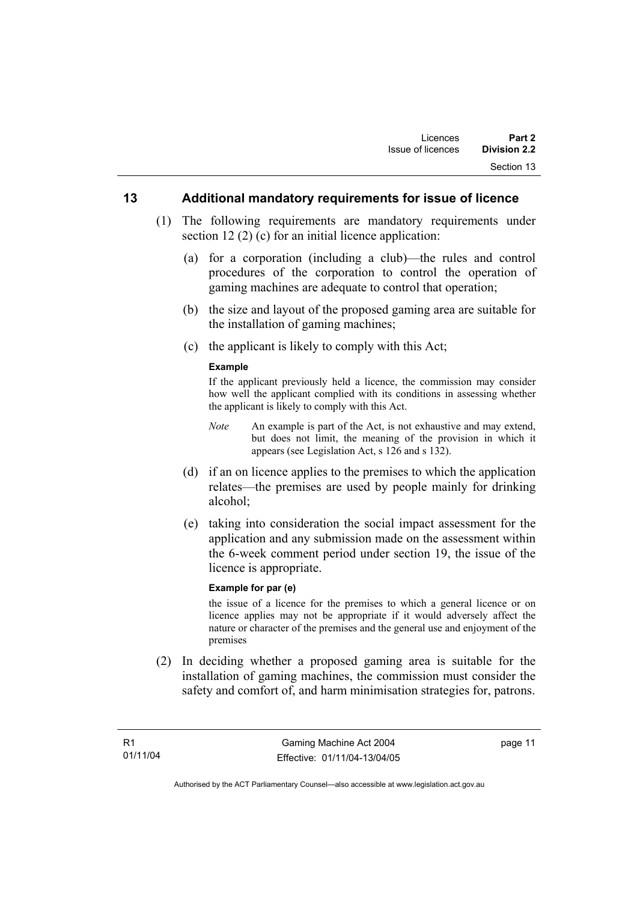#### **13 Additional mandatory requirements for issue of licence**

- (1) The following requirements are mandatory requirements under section 12 (2) (c) for an initial licence application:
	- (a) for a corporation (including a club)—the rules and control procedures of the corporation to control the operation of gaming machines are adequate to control that operation;
	- (b) the size and layout of the proposed gaming area are suitable for the installation of gaming machines;
	- (c) the applicant is likely to comply with this Act;

#### **Example**

If the applicant previously held a licence, the commission may consider how well the applicant complied with its conditions in assessing whether the applicant is likely to comply with this Act.

- *Note* An example is part of the Act, is not exhaustive and may extend, but does not limit, the meaning of the provision in which it appears (see Legislation Act, s 126 and s 132).
- (d) if an on licence applies to the premises to which the application relates—the premises are used by people mainly for drinking alcohol;
- (e) taking into consideration the social impact assessment for the application and any submission made on the assessment within the 6-week comment period under section 19, the issue of the licence is appropriate.

#### **Example for par (e)**

the issue of a licence for the premises to which a general licence or on licence applies may not be appropriate if it would adversely affect the nature or character of the premises and the general use and enjoyment of the premises

 (2) In deciding whether a proposed gaming area is suitable for the installation of gaming machines, the commission must consider the safety and comfort of, and harm minimisation strategies for, patrons.

page 11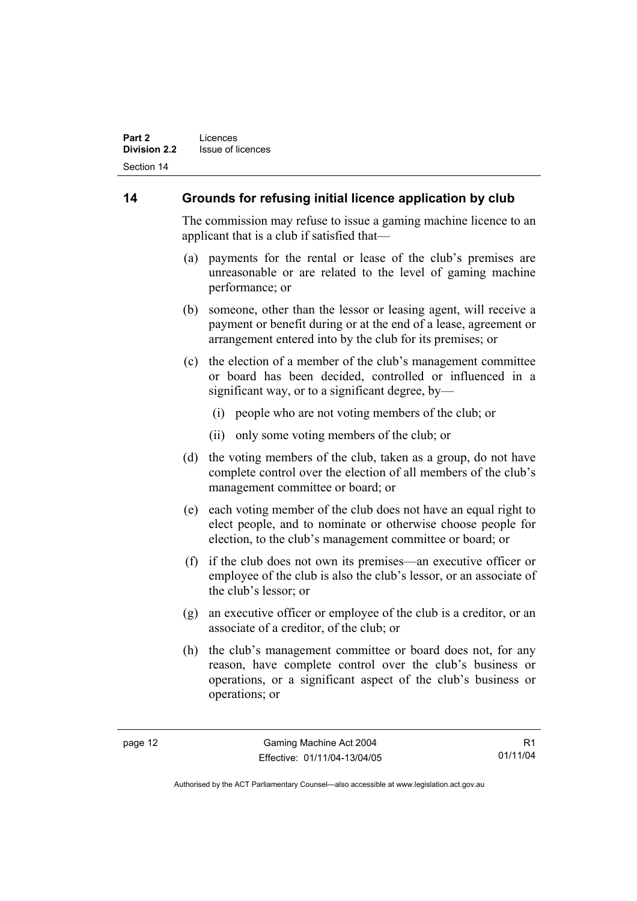# **14 Grounds for refusing initial licence application by club**

The commission may refuse to issue a gaming machine licence to an applicant that is a club if satisfied that—

- (a) payments for the rental or lease of the club's premises are unreasonable or are related to the level of gaming machine performance; or
- (b) someone, other than the lessor or leasing agent, will receive a payment or benefit during or at the end of a lease, agreement or arrangement entered into by the club for its premises; or
- (c) the election of a member of the club's management committee or board has been decided, controlled or influenced in a significant way, or to a significant degree, by—
	- (i) people who are not voting members of the club; or
	- (ii) only some voting members of the club; or
- (d) the voting members of the club, taken as a group, do not have complete control over the election of all members of the club's management committee or board; or
- (e) each voting member of the club does not have an equal right to elect people, and to nominate or otherwise choose people for election, to the club's management committee or board; or
- (f) if the club does not own its premises—an executive officer or employee of the club is also the club's lessor, or an associate of the club's lessor; or
- (g) an executive officer or employee of the club is a creditor, or an associate of a creditor, of the club; or
- (h) the club's management committee or board does not, for any reason, have complete control over the club's business or operations, or a significant aspect of the club's business or operations; or

R1 01/11/04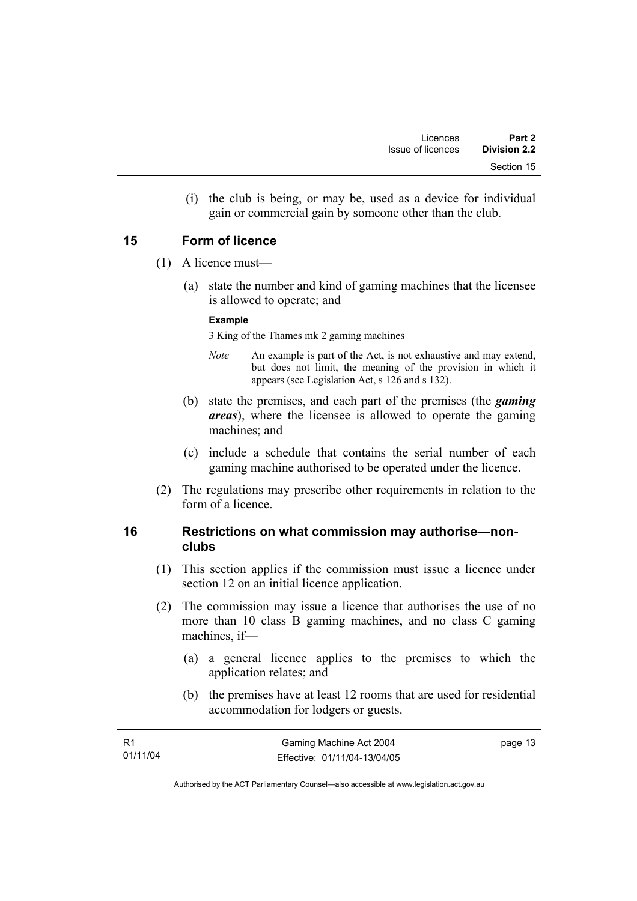(i) the club is being, or may be, used as a device for individual gain or commercial gain by someone other than the club.

## **15 Form of licence**

- (1) A licence must—
	- (a) state the number and kind of gaming machines that the licensee is allowed to operate; and

#### **Example**

3 King of the Thames mk 2 gaming machines

- *Note* An example is part of the Act, is not exhaustive and may extend, but does not limit, the meaning of the provision in which it appears (see Legislation Act, s 126 and s 132).
- (b) state the premises, and each part of the premises (the *gaming areas*), where the licensee is allowed to operate the gaming machines; and
- (c) include a schedule that contains the serial number of each gaming machine authorised to be operated under the licence.
- (2) The regulations may prescribe other requirements in relation to the form of a licence.

#### **16 Restrictions on what commission may authorise—nonclubs**

- (1) This section applies if the commission must issue a licence under section 12 on an initial licence application.
- (2) The commission may issue a licence that authorises the use of no more than 10 class B gaming machines, and no class C gaming machines, if—
	- (a) a general licence applies to the premises to which the application relates; and
	- (b) the premises have at least 12 rooms that are used for residential accommodation for lodgers or guests.

| - R1     | Gaming Machine Act 2004      | page 13 |
|----------|------------------------------|---------|
| 01/11/04 | Effective: 01/11/04-13/04/05 |         |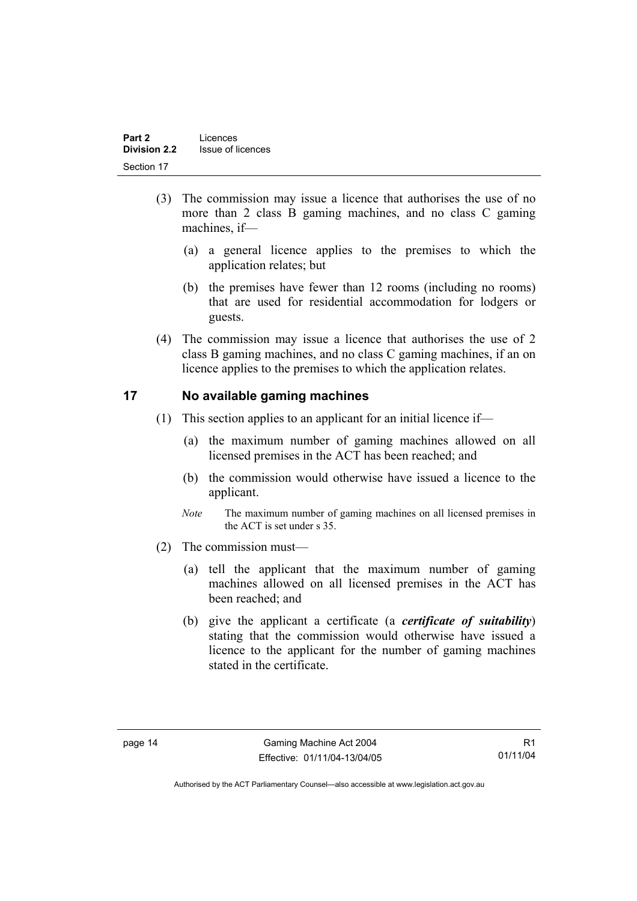- (3) The commission may issue a licence that authorises the use of no more than 2 class B gaming machines, and no class C gaming machines, if—
	- (a) a general licence applies to the premises to which the application relates; but
	- (b) the premises have fewer than 12 rooms (including no rooms) that are used for residential accommodation for lodgers or guests.
- (4) The commission may issue a licence that authorises the use of 2 class B gaming machines, and no class C gaming machines, if an on licence applies to the premises to which the application relates.

## **17 No available gaming machines**

- (1) This section applies to an applicant for an initial licence if—
	- (a) the maximum number of gaming machines allowed on all licensed premises in the ACT has been reached; and
	- (b) the commission would otherwise have issued a licence to the applicant.
	- *Note* The maximum number of gaming machines on all licensed premises in the ACT is set under s 35.
- (2) The commission must—
	- (a) tell the applicant that the maximum number of gaming machines allowed on all licensed premises in the ACT has been reached; and
	- (b) give the applicant a certificate (a *certificate of suitability*) stating that the commission would otherwise have issued a licence to the applicant for the number of gaming machines stated in the certificate.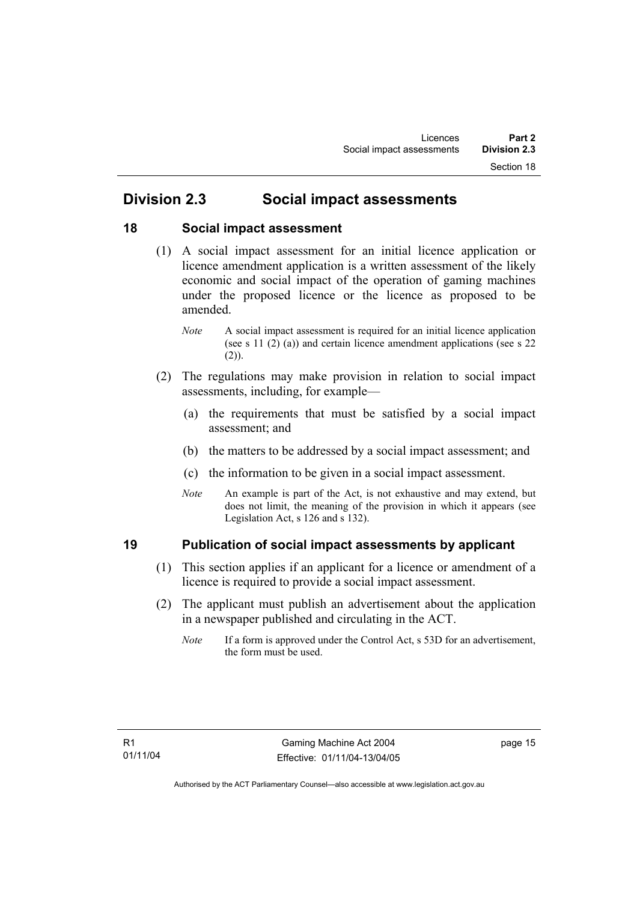# **Division 2.3 Social impact assessments**

## **18 Social impact assessment**

- (1) A social impact assessment for an initial licence application or licence amendment application is a written assessment of the likely economic and social impact of the operation of gaming machines under the proposed licence or the licence as proposed to be amended.
	- *Note* A social impact assessment is required for an initial licence application (see s 11 (2) (a)) and certain licence amendment applications (see s 22  $(2)$ ).
- (2) The regulations may make provision in relation to social impact assessments, including, for example—
	- (a) the requirements that must be satisfied by a social impact assessment; and
	- (b) the matters to be addressed by a social impact assessment; and
	- (c) the information to be given in a social impact assessment.
	- *Note* An example is part of the Act, is not exhaustive and may extend, but does not limit, the meaning of the provision in which it appears (see Legislation Act, s 126 and s 132).

# **19 Publication of social impact assessments by applicant**

- (1) This section applies if an applicant for a licence or amendment of a licence is required to provide a social impact assessment.
- (2) The applicant must publish an advertisement about the application in a newspaper published and circulating in the ACT.
	- *Note* If a form is approved under the Control Act, s 53D for an advertisement, the form must be used.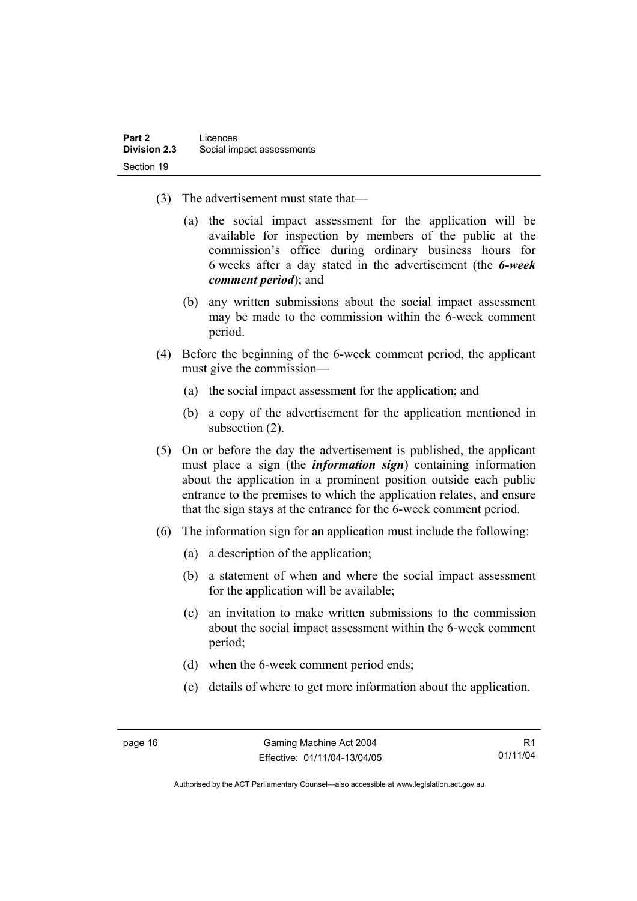- (3) The advertisement must state that—
	- (a) the social impact assessment for the application will be available for inspection by members of the public at the commission's office during ordinary business hours for 6 weeks after a day stated in the advertisement (the *6-week comment period*); and
	- (b) any written submissions about the social impact assessment may be made to the commission within the 6-week comment period.
- (4) Before the beginning of the 6-week comment period, the applicant must give the commission—
	- (a) the social impact assessment for the application; and
	- (b) a copy of the advertisement for the application mentioned in subsection (2).
- (5) On or before the day the advertisement is published, the applicant must place a sign (the *information sign*) containing information about the application in a prominent position outside each public entrance to the premises to which the application relates, and ensure that the sign stays at the entrance for the 6-week comment period.
- (6) The information sign for an application must include the following:
	- (a) a description of the application;
	- (b) a statement of when and where the social impact assessment for the application will be available;
	- (c) an invitation to make written submissions to the commission about the social impact assessment within the 6-week comment period;
	- (d) when the 6-week comment period ends;
	- (e) details of where to get more information about the application.

R1 01/11/04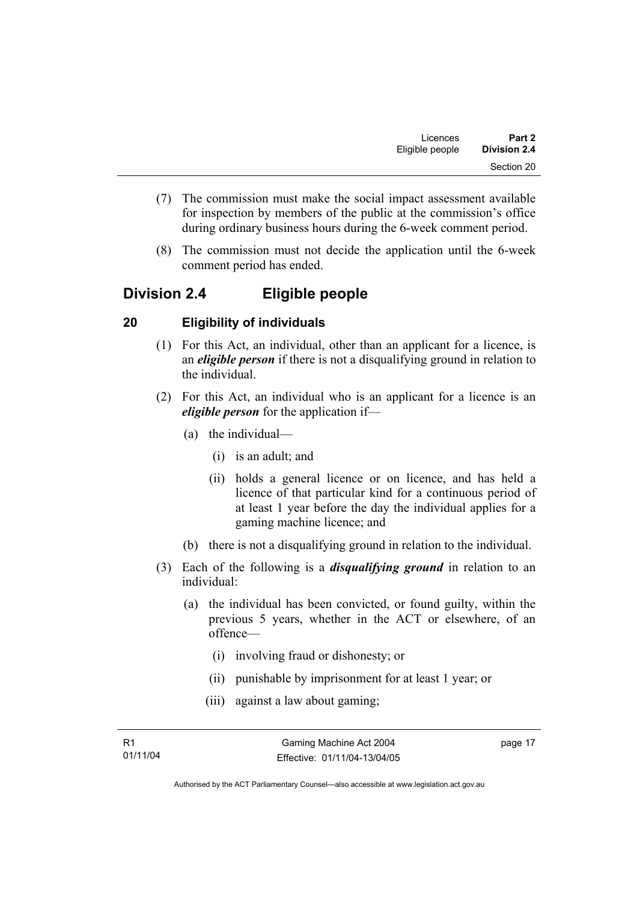- (7) The commission must make the social impact assessment available for inspection by members of the public at the commission's office during ordinary business hours during the 6-week comment period.
- (8) The commission must not decide the application until the 6-week comment period has ended.

# **Division 2.4 Eligible people**

# **20 Eligibility of individuals**

- (1) For this Act, an individual, other than an applicant for a licence, is an *eligible person* if there is not a disqualifying ground in relation to the individual.
- (2) For this Act, an individual who is an applicant for a licence is an *eligible person* for the application if—
	- (a) the individual—
		- (i) is an adult; and
		- (ii) holds a general licence or on licence, and has held a licence of that particular kind for a continuous period of at least 1 year before the day the individual applies for a gaming machine licence; and
	- (b) there is not a disqualifying ground in relation to the individual.
- (3) Each of the following is a *disqualifying ground* in relation to an individual:
	- (a) the individual has been convicted, or found guilty, within the previous 5 years, whether in the ACT or elsewhere, of an offence—
		- (i) involving fraud or dishonesty; or
		- (ii) punishable by imprisonment for at least 1 year; or
		- (iii) against a law about gaming;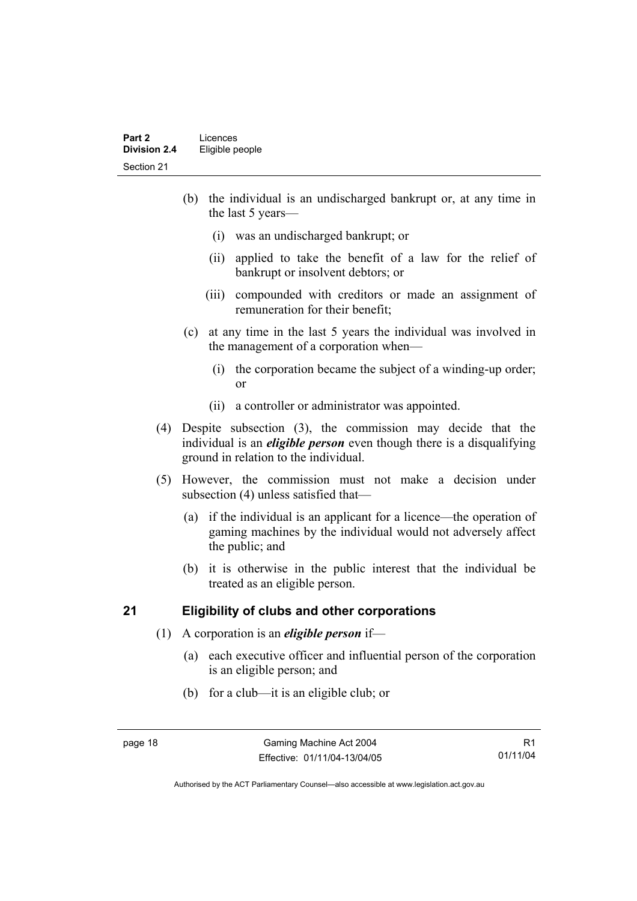- (b) the individual is an undischarged bankrupt or, at any time in the last 5 years—
	- (i) was an undischarged bankrupt; or
	- (ii) applied to take the benefit of a law for the relief of bankrupt or insolvent debtors; or
	- (iii) compounded with creditors or made an assignment of remuneration for their benefit;
- (c) at any time in the last 5 years the individual was involved in the management of a corporation when—
	- (i) the corporation became the subject of a winding-up order; or
	- (ii) a controller or administrator was appointed.
- (4) Despite subsection (3), the commission may decide that the individual is an *eligible person* even though there is a disqualifying ground in relation to the individual.
- (5) However, the commission must not make a decision under subsection (4) unless satisfied that—
	- (a) if the individual is an applicant for a licence—the operation of gaming machines by the individual would not adversely affect the public; and
	- (b) it is otherwise in the public interest that the individual be treated as an eligible person.

#### **21 Eligibility of clubs and other corporations**

- (1) A corporation is an *eligible person* if—
	- (a) each executive officer and influential person of the corporation is an eligible person; and
	- (b) for a club—it is an eligible club; or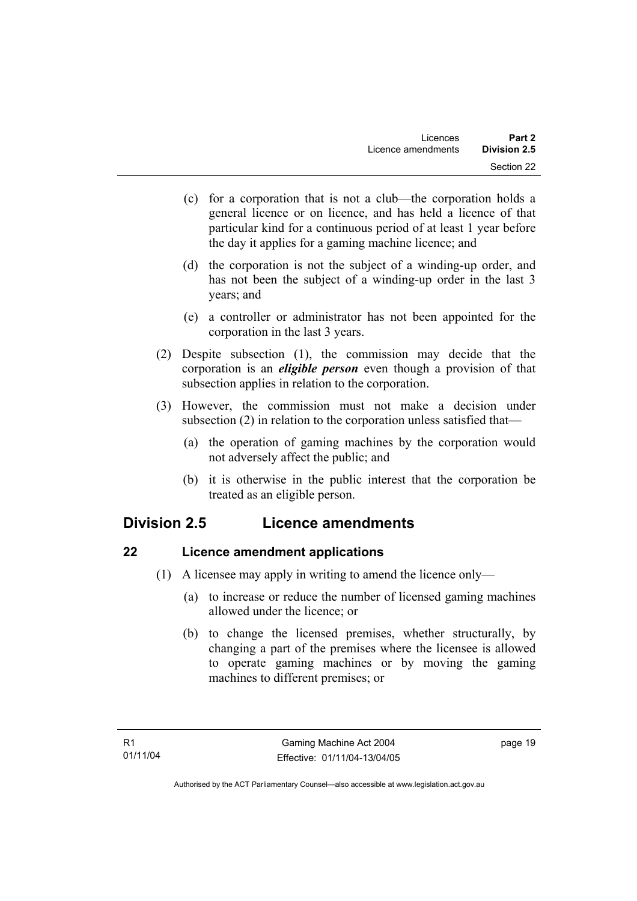- (c) for a corporation that is not a club—the corporation holds a general licence or on licence, and has held a licence of that particular kind for a continuous period of at least 1 year before the day it applies for a gaming machine licence; and
- (d) the corporation is not the subject of a winding-up order, and has not been the subject of a winding-up order in the last 3 years; and
- (e) a controller or administrator has not been appointed for the corporation in the last 3 years.
- (2) Despite subsection (1), the commission may decide that the corporation is an *eligible person* even though a provision of that subsection applies in relation to the corporation.
- (3) However, the commission must not make a decision under subsection (2) in relation to the corporation unless satisfied that—
	- (a) the operation of gaming machines by the corporation would not adversely affect the public; and
	- (b) it is otherwise in the public interest that the corporation be treated as an eligible person.

# **Division 2.5 Licence amendments**

# **22 Licence amendment applications**

- (1) A licensee may apply in writing to amend the licence only—
	- (a) to increase or reduce the number of licensed gaming machines allowed under the licence; or
	- (b) to change the licensed premises, whether structurally, by changing a part of the premises where the licensee is allowed to operate gaming machines or by moving the gaming machines to different premises; or

page 19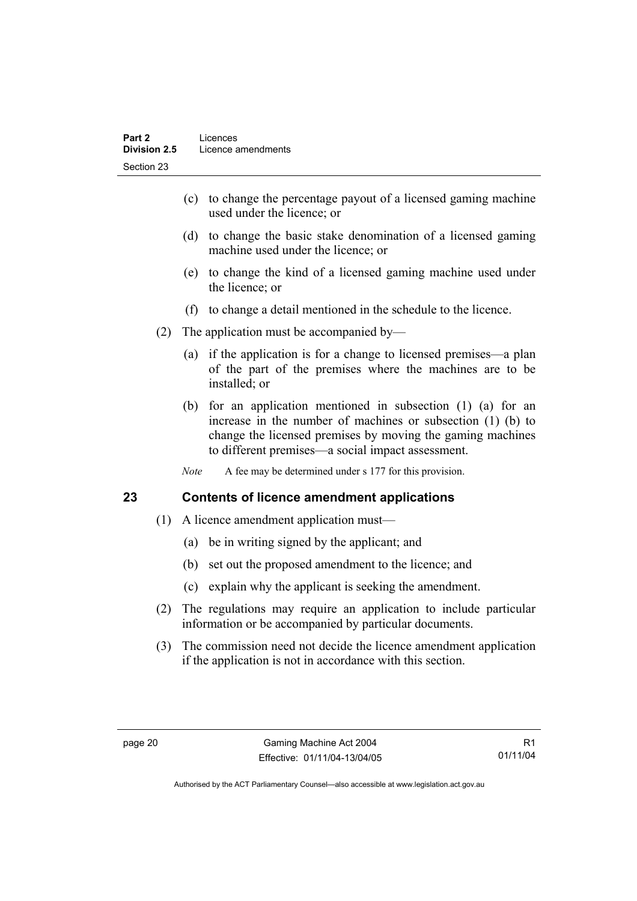- (c) to change the percentage payout of a licensed gaming machine used under the licence; or
- (d) to change the basic stake denomination of a licensed gaming machine used under the licence; or
- (e) to change the kind of a licensed gaming machine used under the licence; or
- (f) to change a detail mentioned in the schedule to the licence.
- (2) The application must be accompanied by—
	- (a) if the application is for a change to licensed premises—a plan of the part of the premises where the machines are to be installed; or
	- (b) for an application mentioned in subsection (1) (a) for an increase in the number of machines or subsection (1) (b) to change the licensed premises by moving the gaming machines to different premises—a social impact assessment.
	- *Note* A fee may be determined under s 177 for this provision.

# **23 Contents of licence amendment applications**

- (1) A licence amendment application must—
	- (a) be in writing signed by the applicant; and
	- (b) set out the proposed amendment to the licence; and
	- (c) explain why the applicant is seeking the amendment.
- (2) The regulations may require an application to include particular information or be accompanied by particular documents.
- (3) The commission need not decide the licence amendment application if the application is not in accordance with this section.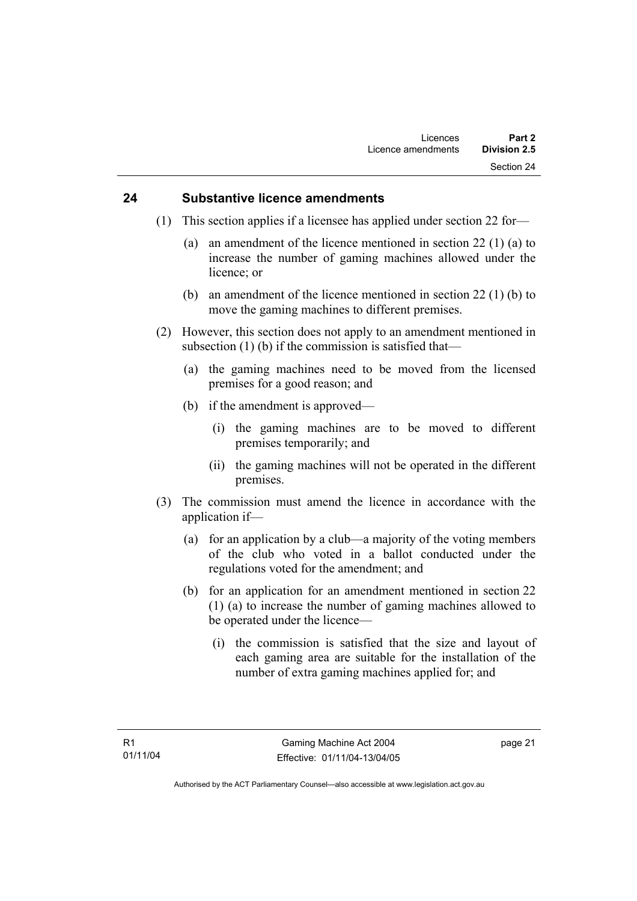#### **24 Substantive licence amendments**

- (1) This section applies if a licensee has applied under section 22 for—
	- (a) an amendment of the licence mentioned in section 22 (1) (a) to increase the number of gaming machines allowed under the licence; or
	- (b) an amendment of the licence mentioned in section 22 (1) (b) to move the gaming machines to different premises.
- (2) However, this section does not apply to an amendment mentioned in subsection (1) (b) if the commission is satisfied that—
	- (a) the gaming machines need to be moved from the licensed premises for a good reason; and
	- (b) if the amendment is approved—
		- (i) the gaming machines are to be moved to different premises temporarily; and
		- (ii) the gaming machines will not be operated in the different premises.
- (3) The commission must amend the licence in accordance with the application if—
	- (a) for an application by a club—a majority of the voting members of the club who voted in a ballot conducted under the regulations voted for the amendment; and
	- (b) for an application for an amendment mentioned in section 22 (1) (a) to increase the number of gaming machines allowed to be operated under the licence—
		- (i) the commission is satisfied that the size and layout of each gaming area are suitable for the installation of the number of extra gaming machines applied for; and

page 21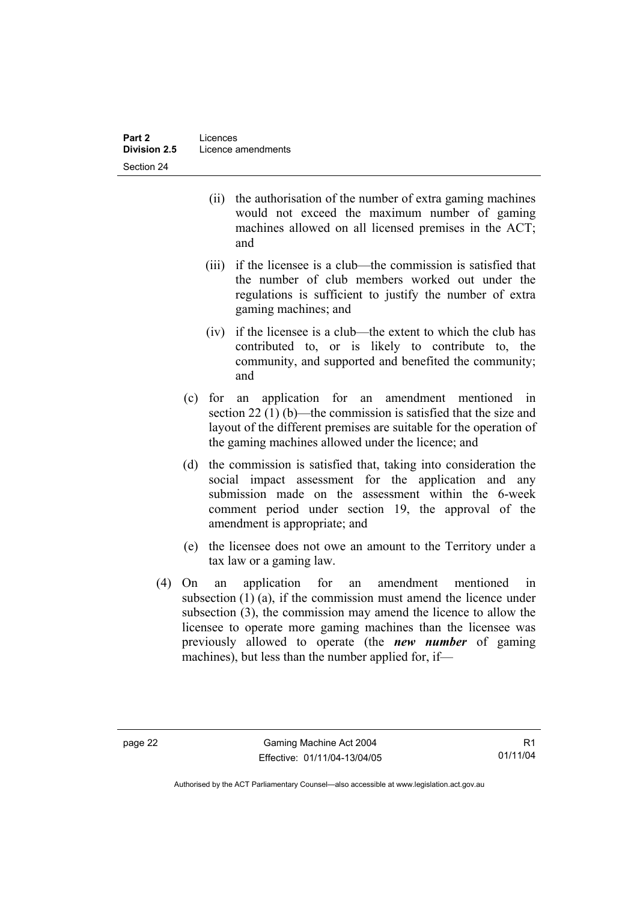- (ii) the authorisation of the number of extra gaming machines would not exceed the maximum number of gaming machines allowed on all licensed premises in the ACT; and
- (iii) if the licensee is a club—the commission is satisfied that the number of club members worked out under the regulations is sufficient to justify the number of extra gaming machines; and
- (iv) if the licensee is a club—the extent to which the club has contributed to, or is likely to contribute to, the community, and supported and benefited the community; and
- (c) for an application for an amendment mentioned in section 22 (1) (b)—the commission is satisfied that the size and layout of the different premises are suitable for the operation of the gaming machines allowed under the licence; and
- (d) the commission is satisfied that, taking into consideration the social impact assessment for the application and any submission made on the assessment within the 6-week comment period under section 19, the approval of the amendment is appropriate; and
- (e) the licensee does not owe an amount to the Territory under a tax law or a gaming law.
- (4) On an application for an amendment mentioned in subsection (1) (a), if the commission must amend the licence under subsection (3), the commission may amend the licence to allow the licensee to operate more gaming machines than the licensee was previously allowed to operate (the *new number* of gaming machines), but less than the number applied for, if—

R1 01/11/04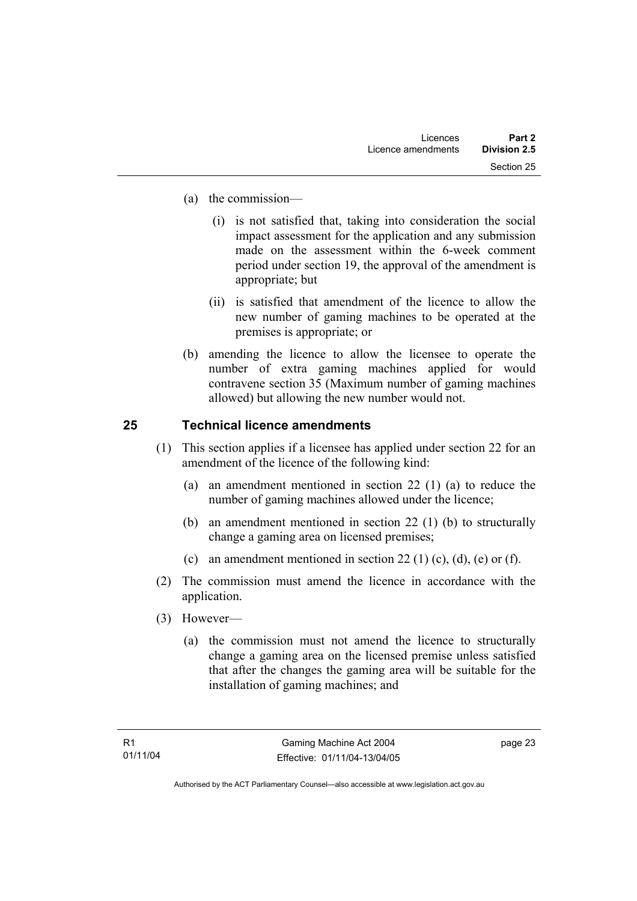- (a) the commission—
	- (i) is not satisfied that, taking into consideration the social impact assessment for the application and any submission made on the assessment within the 6-week comment period under section 19, the approval of the amendment is appropriate; but
	- (ii) is satisfied that amendment of the licence to allow the new number of gaming machines to be operated at the premises is appropriate; or
- (b) amending the licence to allow the licensee to operate the number of extra gaming machines applied for would contravene section 35 (Maximum number of gaming machines allowed) but allowing the new number would not.

# **25 Technical licence amendments**

- (1) This section applies if a licensee has applied under section 22 for an amendment of the licence of the following kind:
	- (a) an amendment mentioned in section 22 (1) (a) to reduce the number of gaming machines allowed under the licence;
	- (b) an amendment mentioned in section 22 (1) (b) to structurally change a gaming area on licensed premises;
	- (c) an amendment mentioned in section 22 (1) (c), (d), (e) or (f).
- (2) The commission must amend the licence in accordance with the application.
- (3) However—
	- (a) the commission must not amend the licence to structurally change a gaming area on the licensed premise unless satisfied that after the changes the gaming area will be suitable for the installation of gaming machines; and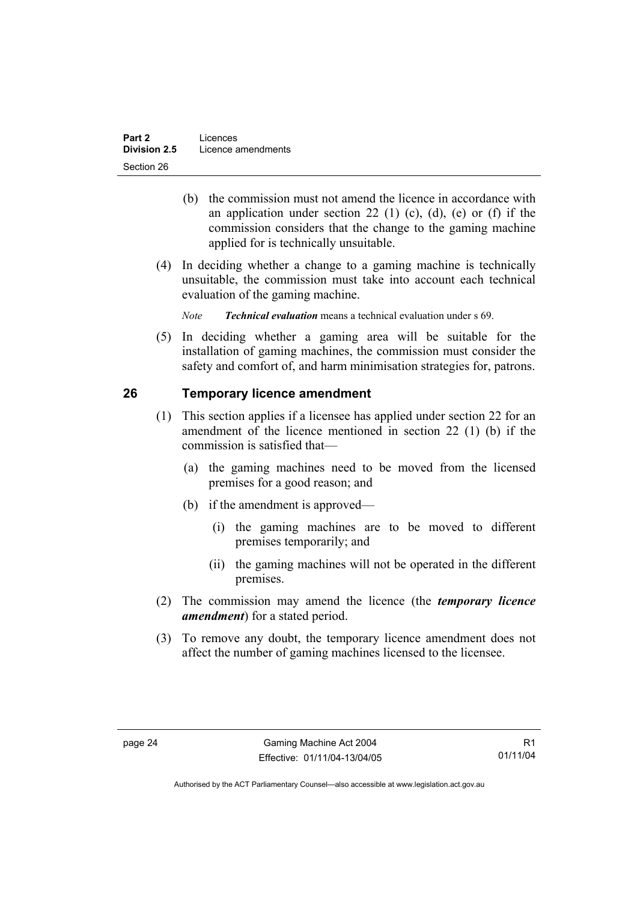- (b) the commission must not amend the licence in accordance with an application under section 22 (1) (c), (d), (e) or (f) if the commission considers that the change to the gaming machine applied for is technically unsuitable.
- (4) In deciding whether a change to a gaming machine is technically unsuitable, the commission must take into account each technical evaluation of the gaming machine.

*Note Technical evaluation* means a technical evaluation under s 69.

 (5) In deciding whether a gaming area will be suitable for the installation of gaming machines, the commission must consider the safety and comfort of, and harm minimisation strategies for, patrons.

# **26 Temporary licence amendment**

- (1) This section applies if a licensee has applied under section 22 for an amendment of the licence mentioned in section 22 (1) (b) if the commission is satisfied that—
	- (a) the gaming machines need to be moved from the licensed premises for a good reason; and
	- (b) if the amendment is approved—
		- (i) the gaming machines are to be moved to different premises temporarily; and
		- (ii) the gaming machines will not be operated in the different premises.
- (2) The commission may amend the licence (the *temporary licence amendment*) for a stated period.
- (3) To remove any doubt, the temporary licence amendment does not affect the number of gaming machines licensed to the licensee.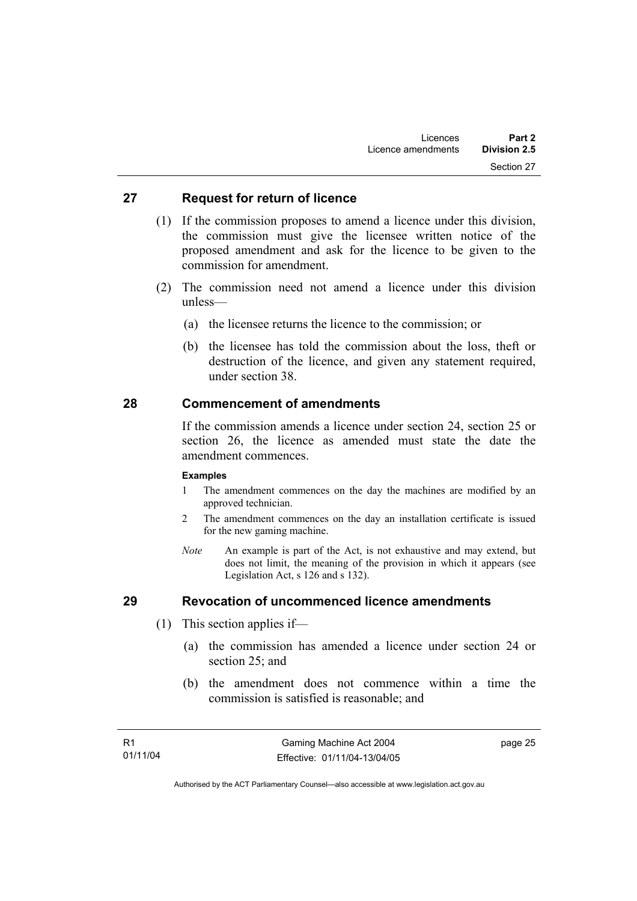### **27 Request for return of licence**

- (1) If the commission proposes to amend a licence under this division, the commission must give the licensee written notice of the proposed amendment and ask for the licence to be given to the commission for amendment.
- (2) The commission need not amend a licence under this division unless—
	- (a) the licensee returns the licence to the commission; or
	- (b) the licensee has told the commission about the loss, theft or destruction of the licence, and given any statement required, under section 38.

### **28 Commencement of amendments**

If the commission amends a licence under section 24, section 25 or section 26, the licence as amended must state the date the amendment commences.

#### **Examples**

- 1 The amendment commences on the day the machines are modified by an approved technician.
- 2 The amendment commences on the day an installation certificate is issued for the new gaming machine.
- *Note* An example is part of the Act, is not exhaustive and may extend, but does not limit, the meaning of the provision in which it appears (see Legislation Act, s 126 and s 132).

### **29 Revocation of uncommenced licence amendments**

- (1) This section applies if—
	- (a) the commission has amended a licence under section 24 or section 25; and
	- (b) the amendment does not commence within a time the commission is satisfied is reasonable; and

page 25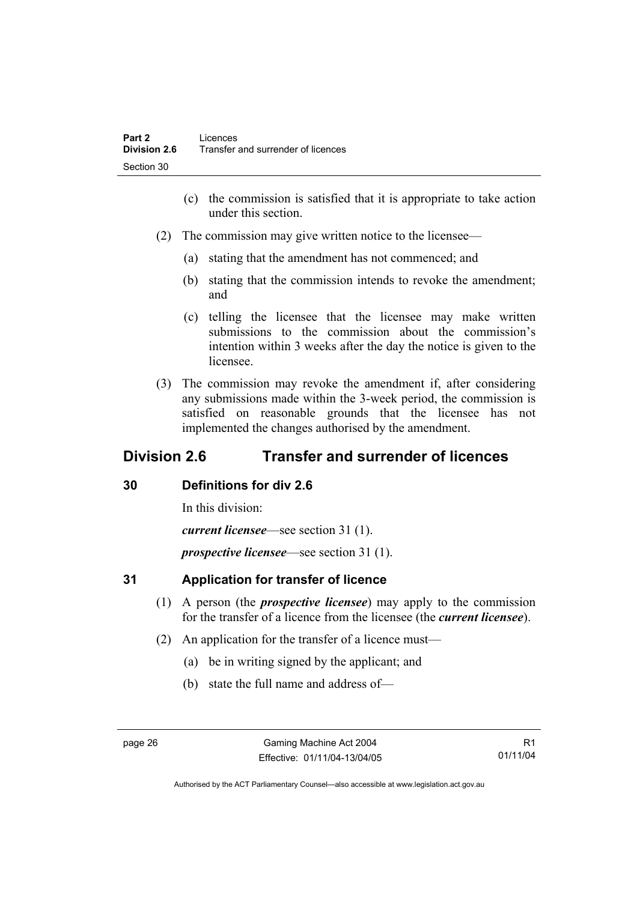- (c) the commission is satisfied that it is appropriate to take action under this section.
- (2) The commission may give written notice to the licensee—
	- (a) stating that the amendment has not commenced; and
	- (b) stating that the commission intends to revoke the amendment; and
	- (c) telling the licensee that the licensee may make written submissions to the commission about the commission's intention within 3 weeks after the day the notice is given to the licensee.
- (3) The commission may revoke the amendment if, after considering any submissions made within the 3-week period, the commission is satisfied on reasonable grounds that the licensee has not implemented the changes authorised by the amendment.

## **Division 2.6 Transfer and surrender of licences**

### **30 Definitions for div 2.6**

In this division:

*current licensee*—see section 31 (1).

*prospective licensee*—see section 31 (1).

### **31 Application for transfer of licence**

- (1) A person (the *prospective licensee*) may apply to the commission for the transfer of a licence from the licensee (the *current licensee*).
- (2) An application for the transfer of a licence must—
	- (a) be in writing signed by the applicant; and
	- (b) state the full name and address of—

R1 01/11/04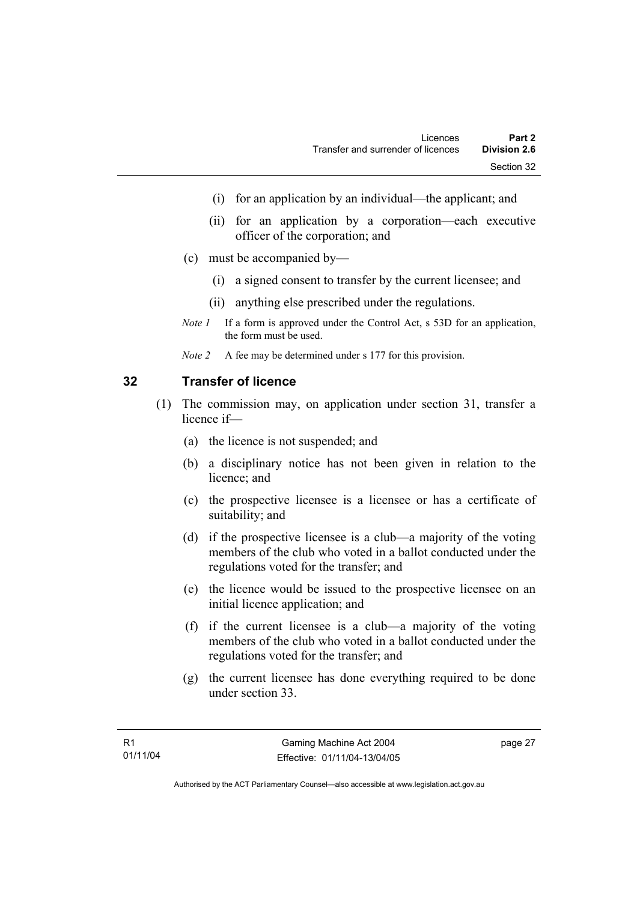- (i) for an application by an individual—the applicant; and
- (ii) for an application by a corporation—each executive officer of the corporation; and
- (c) must be accompanied by—
	- (i) a signed consent to transfer by the current licensee; and
	- (ii) anything else prescribed under the regulations.
- *Note 1* If a form is approved under the Control Act, s 53D for an application, the form must be used.
- *Note 2* A fee may be determined under s 177 for this provision.

### **32 Transfer of licence**

- (1) The commission may, on application under section 31, transfer a licence if—
	- (a) the licence is not suspended; and
	- (b) a disciplinary notice has not been given in relation to the licence; and
	- (c) the prospective licensee is a licensee or has a certificate of suitability; and
	- (d) if the prospective licensee is a club—a majority of the voting members of the club who voted in a ballot conducted under the regulations voted for the transfer; and
	- (e) the licence would be issued to the prospective licensee on an initial licence application; and
	- (f) if the current licensee is a club—a majority of the voting members of the club who voted in a ballot conducted under the regulations voted for the transfer; and
	- (g) the current licensee has done everything required to be done under section 33.

page 27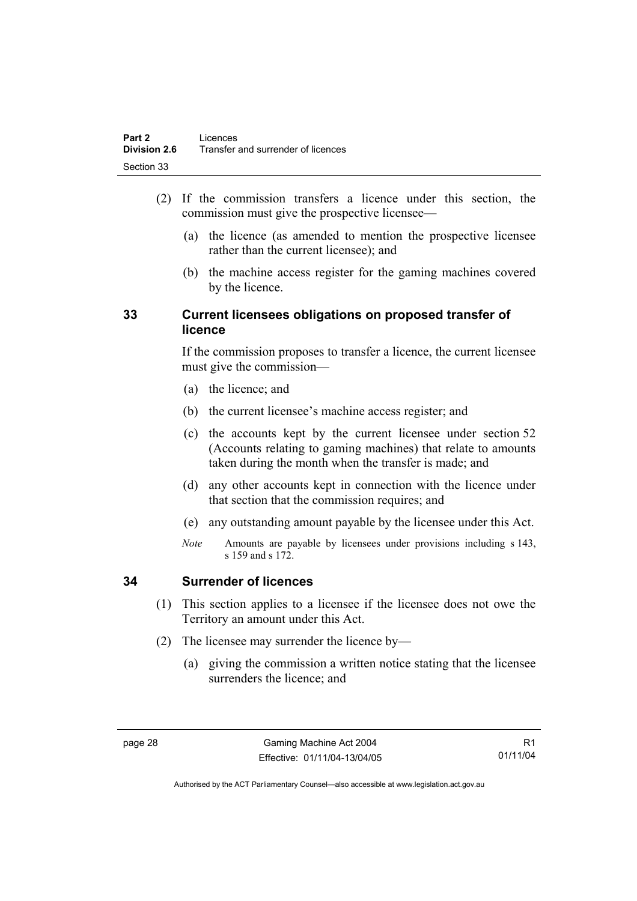- (2) If the commission transfers a licence under this section, the commission must give the prospective licensee—
	- (a) the licence (as amended to mention the prospective licensee rather than the current licensee); and
	- (b) the machine access register for the gaming machines covered by the licence.

### **33 Current licensees obligations on proposed transfer of licence**

If the commission proposes to transfer a licence, the current licensee must give the commission—

- (a) the licence; and
- (b) the current licensee's machine access register; and
- (c) the accounts kept by the current licensee under section 52 (Accounts relating to gaming machines) that relate to amounts taken during the month when the transfer is made; and
- (d) any other accounts kept in connection with the licence under that section that the commission requires; and
- (e) any outstanding amount payable by the licensee under this Act.
- *Note* Amounts are payable by licensees under provisions including s 143, s 159 and s 172.

### **34 Surrender of licences**

- (1) This section applies to a licensee if the licensee does not owe the Territory an amount under this Act.
- (2) The licensee may surrender the licence by—
	- (a) giving the commission a written notice stating that the licensee surrenders the licence; and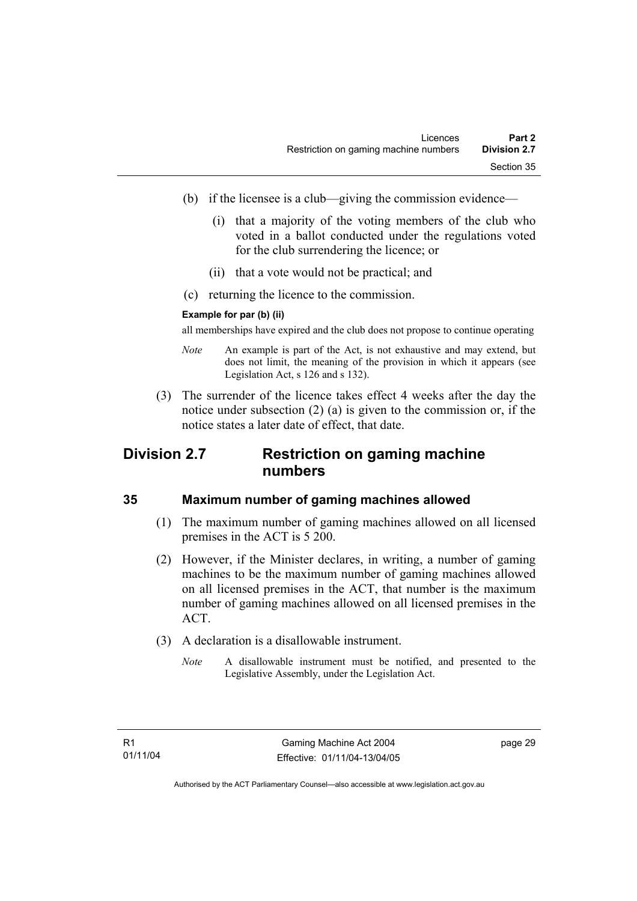- (b) if the licensee is a club—giving the commission evidence—
	- (i) that a majority of the voting members of the club who voted in a ballot conducted under the regulations voted for the club surrendering the licence; or
	- (ii) that a vote would not be practical; and
- (c) returning the licence to the commission.

### **Example for par (b) (ii)**

all memberships have expired and the club does not propose to continue operating

- *Note* An example is part of the Act, is not exhaustive and may extend, but does not limit, the meaning of the provision in which it appears (see Legislation Act, s 126 and s 132).
- (3) The surrender of the licence takes effect 4 weeks after the day the notice under subsection (2) (a) is given to the commission or, if the notice states a later date of effect, that date.

## **Division 2.7 Restriction on gaming machine numbers**

### **35 Maximum number of gaming machines allowed**

- (1) The maximum number of gaming machines allowed on all licensed premises in the ACT is 5 200.
- (2) However, if the Minister declares, in writing, a number of gaming machines to be the maximum number of gaming machines allowed on all licensed premises in the ACT, that number is the maximum number of gaming machines allowed on all licensed premises in the ACT.
- (3) A declaration is a disallowable instrument.
	- *Note* A disallowable instrument must be notified, and presented to the Legislative Assembly, under the Legislation Act.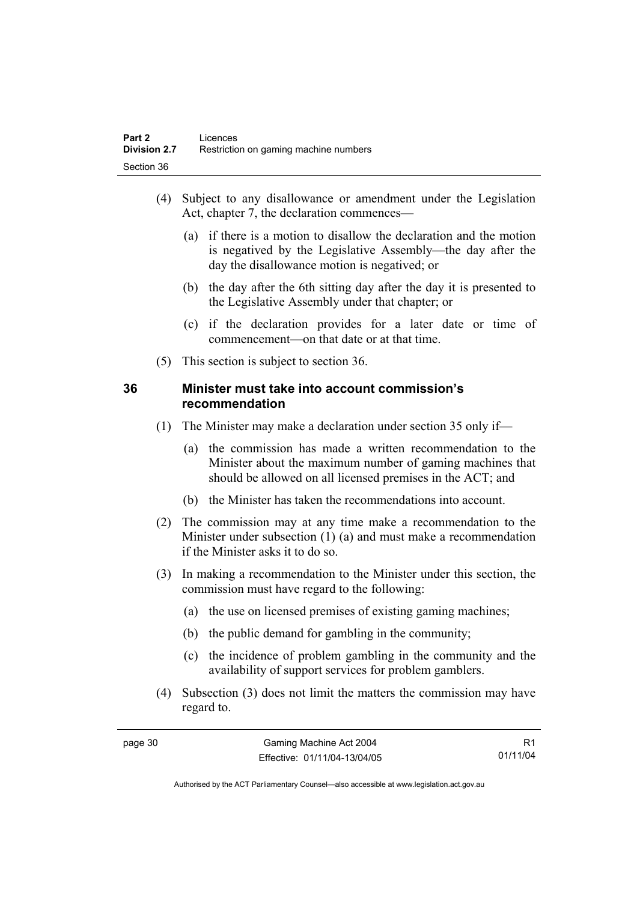- (4) Subject to any disallowance or amendment under the Legislation Act, chapter 7, the declaration commences—
	- (a) if there is a motion to disallow the declaration and the motion is negatived by the Legislative Assembly—the day after the day the disallowance motion is negatived; or
	- (b) the day after the 6th sitting day after the day it is presented to the Legislative Assembly under that chapter; or
	- (c) if the declaration provides for a later date or time of commencement—on that date or at that time.
- (5) This section is subject to section 36.

### **36 Minister must take into account commission's recommendation**

- (1) The Minister may make a declaration under section 35 only if—
	- (a) the commission has made a written recommendation to the Minister about the maximum number of gaming machines that should be allowed on all licensed premises in the ACT; and
	- (b) the Minister has taken the recommendations into account.
- (2) The commission may at any time make a recommendation to the Minister under subsection (1) (a) and must make a recommendation if the Minister asks it to do so.
- (3) In making a recommendation to the Minister under this section, the commission must have regard to the following:
	- (a) the use on licensed premises of existing gaming machines;
	- (b) the public demand for gambling in the community;
	- (c) the incidence of problem gambling in the community and the availability of support services for problem gamblers.
- (4) Subsection (3) does not limit the matters the commission may have regard to.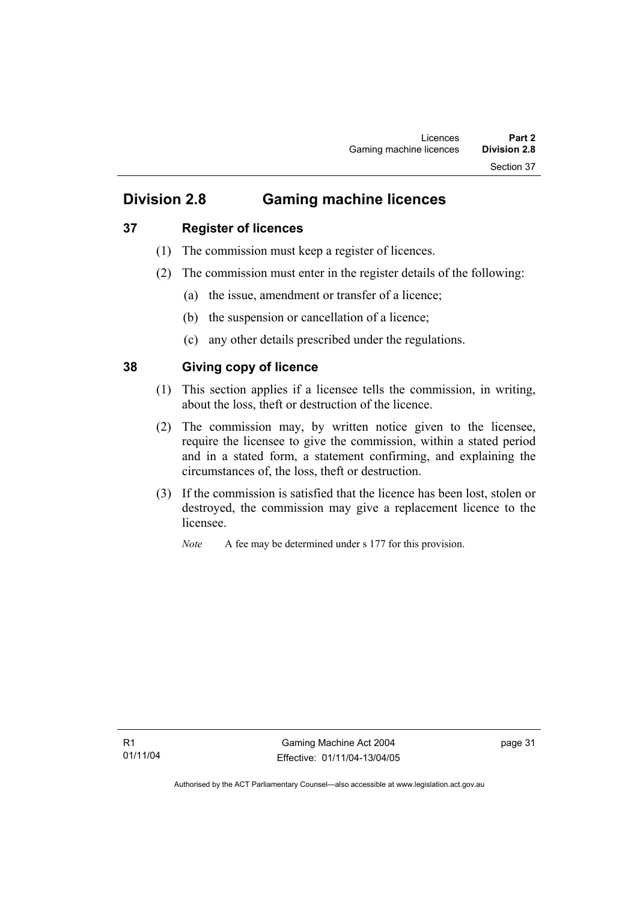### **37 Register of licences**

- (1) The commission must keep a register of licences.
- (2) The commission must enter in the register details of the following:
	- (a) the issue, amendment or transfer of a licence;
	- (b) the suspension or cancellation of a licence;
	- (c) any other details prescribed under the regulations.

### **38 Giving copy of licence**

- (1) This section applies if a licensee tells the commission, in writing, about the loss, theft or destruction of the licence.
- (2) The commission may, by written notice given to the licensee, require the licensee to give the commission, within a stated period and in a stated form, a statement confirming, and explaining the circumstances of, the loss, theft or destruction.
- (3) If the commission is satisfied that the licence has been lost, stolen or destroyed, the commission may give a replacement licence to the licensee.

*Note* A fee may be determined under s 177 for this provision.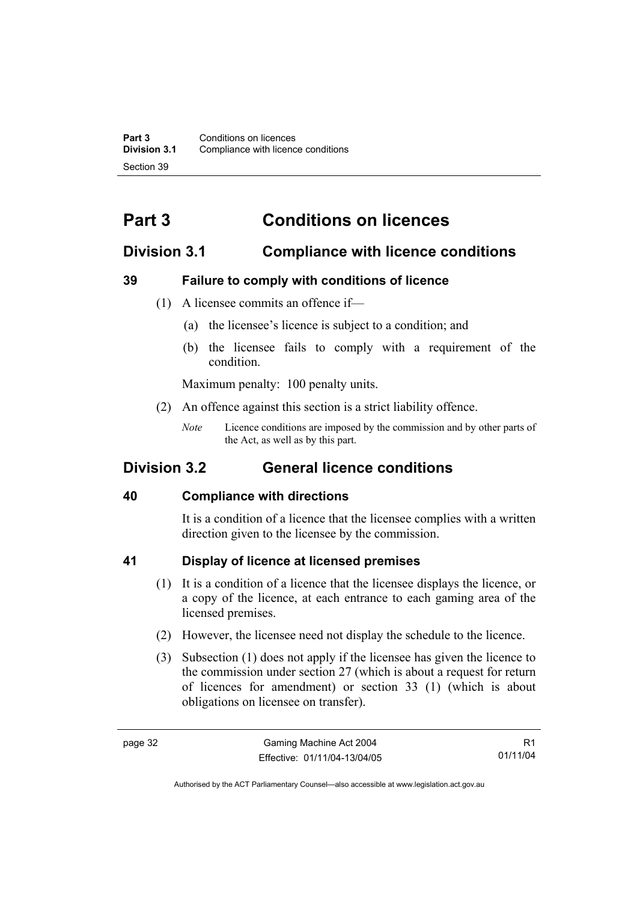# **Part 3 Conditions on licences**

## **Division 3.1 Compliance with licence conditions**

### **39 Failure to comply with conditions of licence**

- (1) A licensee commits an offence if—
	- (a) the licensee's licence is subject to a condition; and
	- (b) the licensee fails to comply with a requirement of the condition.

Maximum penalty: 100 penalty units.

- (2) An offence against this section is a strict liability offence.
	- *Note* Licence conditions are imposed by the commission and by other parts of the Act, as well as by this part.

## **Division 3.2 General licence conditions**

### **40 Compliance with directions**

It is a condition of a licence that the licensee complies with a written direction given to the licensee by the commission.

### **41 Display of licence at licensed premises**

- (1) It is a condition of a licence that the licensee displays the licence, or a copy of the licence, at each entrance to each gaming area of the licensed premises.
- (2) However, the licensee need not display the schedule to the licence.
- (3) Subsection (1) does not apply if the licensee has given the licence to the commission under section 27 (which is about a request for return of licences for amendment) or section 33 (1) (which is about obligations on licensee on transfer).

R1 01/11/04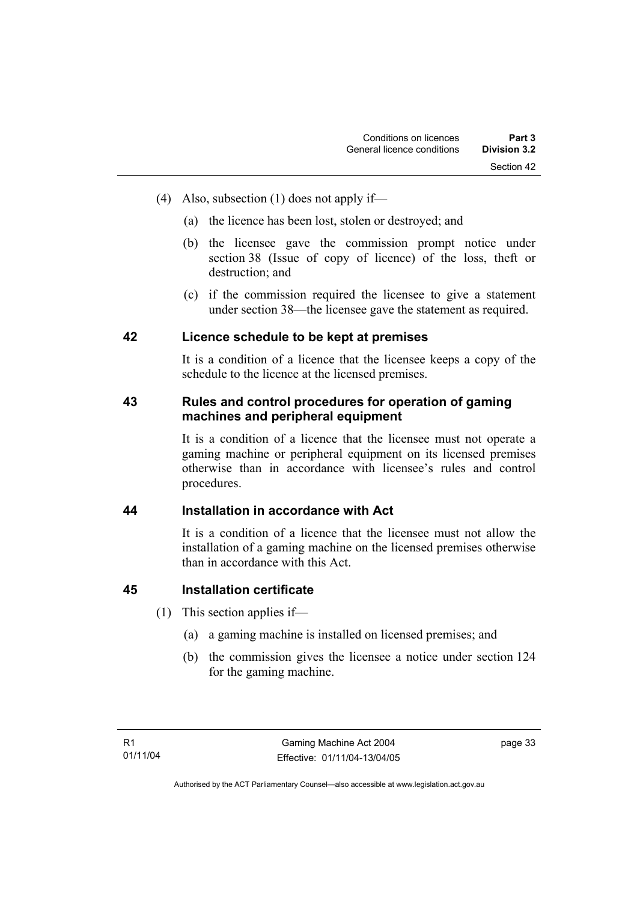- (4) Also, subsection (1) does not apply if—
	- (a) the licence has been lost, stolen or destroyed; and
	- (b) the licensee gave the commission prompt notice under section 38 (Issue of copy of licence) of the loss, theft or destruction; and
	- (c) if the commission required the licensee to give a statement under section 38—the licensee gave the statement as required.

### **42 Licence schedule to be kept at premises**

It is a condition of a licence that the licensee keeps a copy of the schedule to the licence at the licensed premises.

### **43 Rules and control procedures for operation of gaming machines and peripheral equipment**

It is a condition of a licence that the licensee must not operate a gaming machine or peripheral equipment on its licensed premises otherwise than in accordance with licensee's rules and control procedures.

### **44 Installation in accordance with Act**

It is a condition of a licence that the licensee must not allow the installation of a gaming machine on the licensed premises otherwise than in accordance with this Act.

### **45 Installation certificate**

- (1) This section applies if—
	- (a) a gaming machine is installed on licensed premises; and
	- (b) the commission gives the licensee a notice under section 124 for the gaming machine.

page 33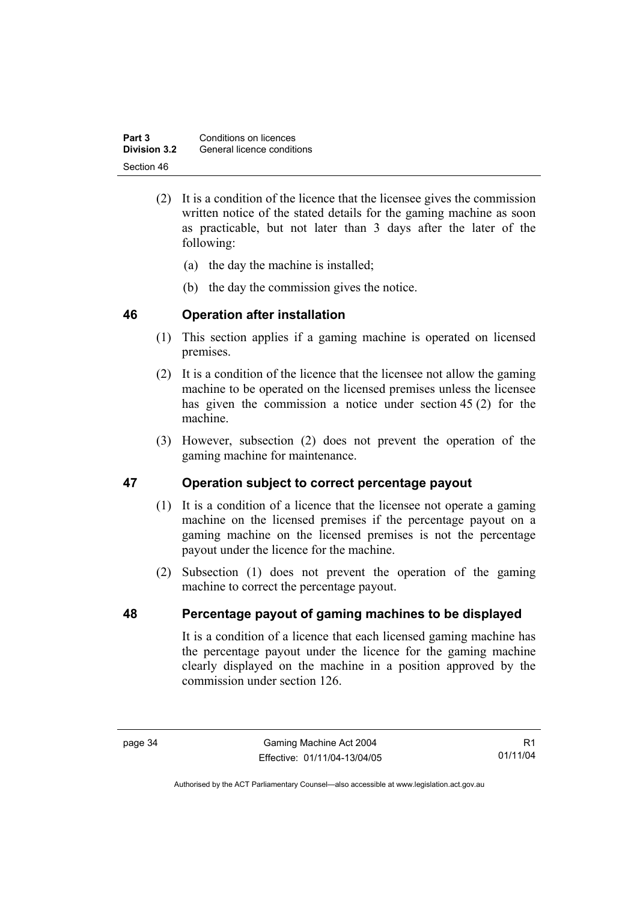| Part 3       | Conditions on licences     |
|--------------|----------------------------|
| Division 3.2 | General licence conditions |
| Section 46   |                            |

- (2) It is a condition of the licence that the licensee gives the commission written notice of the stated details for the gaming machine as soon as practicable, but not later than 3 days after the later of the following:
	- (a) the day the machine is installed;
	- (b) the day the commission gives the notice.

### **46 Operation after installation**

- (1) This section applies if a gaming machine is operated on licensed premises.
- (2) It is a condition of the licence that the licensee not allow the gaming machine to be operated on the licensed premises unless the licensee has given the commission a notice under section 45 (2) for the machine.
- (3) However, subsection (2) does not prevent the operation of the gaming machine for maintenance.

### **47 Operation subject to correct percentage payout**

- (1) It is a condition of a licence that the licensee not operate a gaming machine on the licensed premises if the percentage payout on a gaming machine on the licensed premises is not the percentage payout under the licence for the machine.
- (2) Subsection (1) does not prevent the operation of the gaming machine to correct the percentage payout.

### **48 Percentage payout of gaming machines to be displayed**

It is a condition of a licence that each licensed gaming machine has the percentage payout under the licence for the gaming machine clearly displayed on the machine in a position approved by the commission under section 126.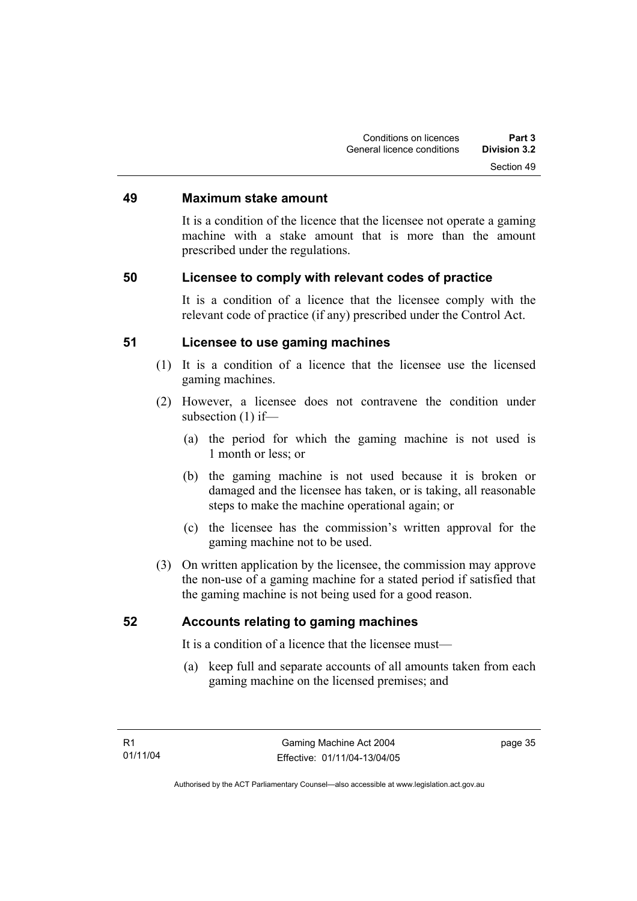### **49 Maximum stake amount**

It is a condition of the licence that the licensee not operate a gaming machine with a stake amount that is more than the amount prescribed under the regulations.

### **50 Licensee to comply with relevant codes of practice**

It is a condition of a licence that the licensee comply with the relevant code of practice (if any) prescribed under the Control Act.

### **51 Licensee to use gaming machines**

- (1) It is a condition of a licence that the licensee use the licensed gaming machines.
- (2) However, a licensee does not contravene the condition under subsection (1) if—
	- (a) the period for which the gaming machine is not used is 1 month or less; or
	- (b) the gaming machine is not used because it is broken or damaged and the licensee has taken, or is taking, all reasonable steps to make the machine operational again; or
	- (c) the licensee has the commission's written approval for the gaming machine not to be used.
- (3) On written application by the licensee, the commission may approve the non-use of a gaming machine for a stated period if satisfied that the gaming machine is not being used for a good reason.

### **52 Accounts relating to gaming machines**

It is a condition of a licence that the licensee must—

 (a) keep full and separate accounts of all amounts taken from each gaming machine on the licensed premises; and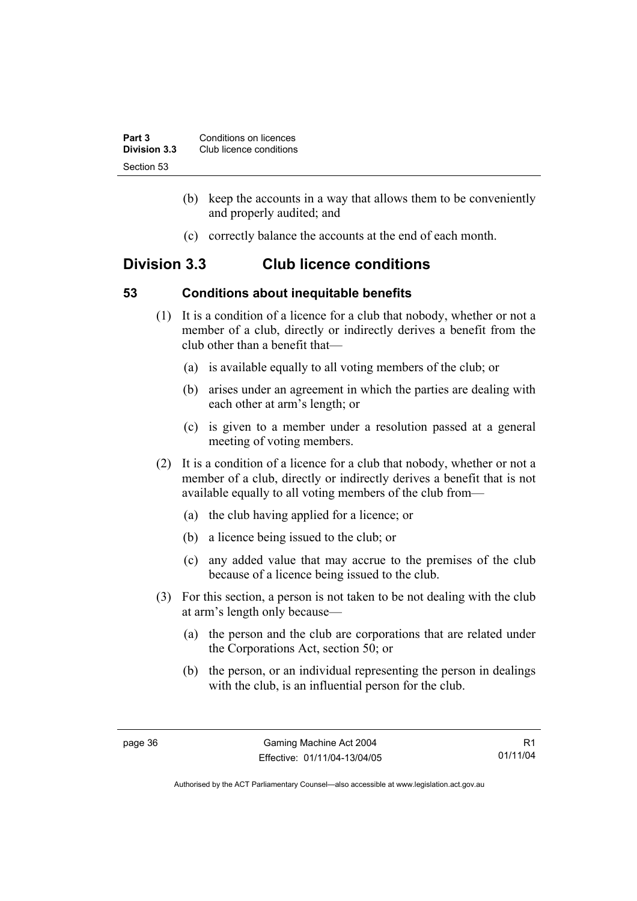| Part 3       | Conditions on licences  |
|--------------|-------------------------|
| Division 3.3 | Club licence conditions |
| Section 53   |                         |

- (b) keep the accounts in a way that allows them to be conveniently and properly audited; and
- (c) correctly balance the accounts at the end of each month.

## **Division 3.3 Club licence conditions**

### **53 Conditions about inequitable benefits**

- (1) It is a condition of a licence for a club that nobody, whether or not a member of a club, directly or indirectly derives a benefit from the club other than a benefit that—
	- (a) is available equally to all voting members of the club; or
	- (b) arises under an agreement in which the parties are dealing with each other at arm's length; or
	- (c) is given to a member under a resolution passed at a general meeting of voting members.
- (2) It is a condition of a licence for a club that nobody, whether or not a member of a club, directly or indirectly derives a benefit that is not available equally to all voting members of the club from—
	- (a) the club having applied for a licence; or
	- (b) a licence being issued to the club; or
	- (c) any added value that may accrue to the premises of the club because of a licence being issued to the club.
- (3) For this section, a person is not taken to be not dealing with the club at arm's length only because—
	- (a) the person and the club are corporations that are related under the Corporations Act, section 50; or
	- (b) the person, or an individual representing the person in dealings with the club, is an influential person for the club.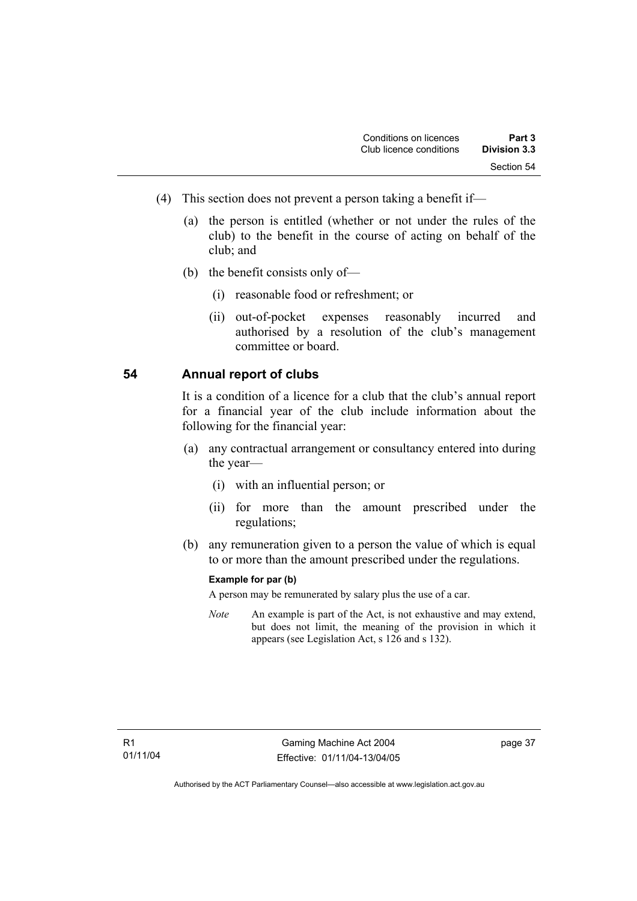- (4) This section does not prevent a person taking a benefit if—
	- (a) the person is entitled (whether or not under the rules of the club) to the benefit in the course of acting on behalf of the club; and
	- (b) the benefit consists only of—
		- (i) reasonable food or refreshment; or
		- (ii) out-of-pocket expenses reasonably incurred and authorised by a resolution of the club's management committee or board.

### **54 Annual report of clubs**

It is a condition of a licence for a club that the club's annual report for a financial year of the club include information about the following for the financial year:

- (a) any contractual arrangement or consultancy entered into during the year—
	- (i) with an influential person; or
	- (ii) for more than the amount prescribed under the regulations;
- (b) any remuneration given to a person the value of which is equal to or more than the amount prescribed under the regulations.

#### **Example for par (b)**

A person may be remunerated by salary plus the use of a car.

*Note* An example is part of the Act, is not exhaustive and may extend, but does not limit, the meaning of the provision in which it appears (see Legislation Act, s 126 and s 132).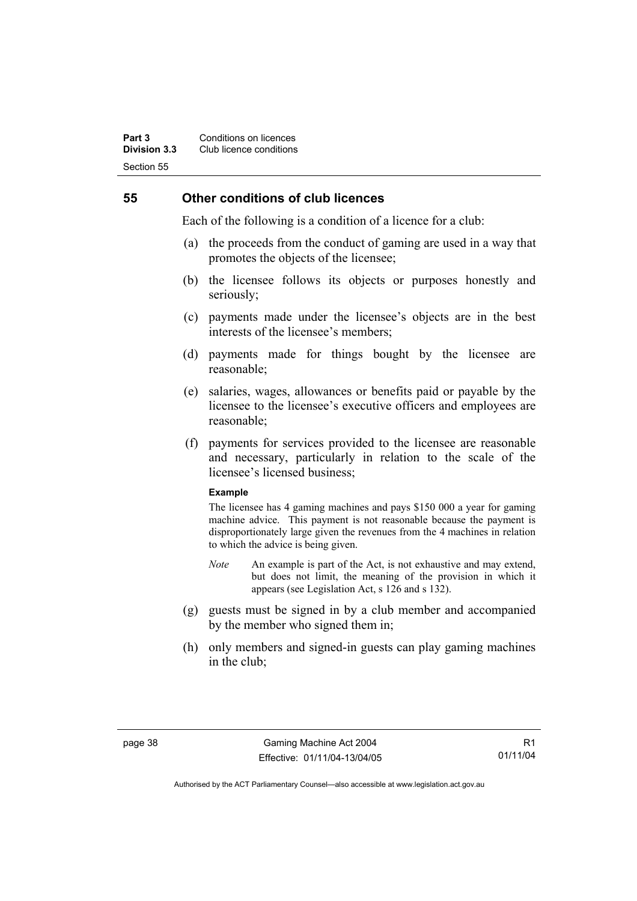### **55 Other conditions of club licences**

Each of the following is a condition of a licence for a club:

- (a) the proceeds from the conduct of gaming are used in a way that promotes the objects of the licensee;
- (b) the licensee follows its objects or purposes honestly and seriously;
- (c) payments made under the licensee's objects are in the best interests of the licensee's members;
- (d) payments made for things bought by the licensee are reasonable;
- (e) salaries, wages, allowances or benefits paid or payable by the licensee to the licensee's executive officers and employees are reasonable;
- (f) payments for services provided to the licensee are reasonable and necessary, particularly in relation to the scale of the licensee's licensed business;

#### **Example**

The licensee has 4 gaming machines and pays \$150 000 a year for gaming machine advice. This payment is not reasonable because the payment is disproportionately large given the revenues from the 4 machines in relation to which the advice is being given.

- *Note* An example is part of the Act, is not exhaustive and may extend, but does not limit, the meaning of the provision in which it appears (see Legislation Act, s 126 and s 132).
- (g) guests must be signed in by a club member and accompanied by the member who signed them in;
- (h) only members and signed-in guests can play gaming machines in the club;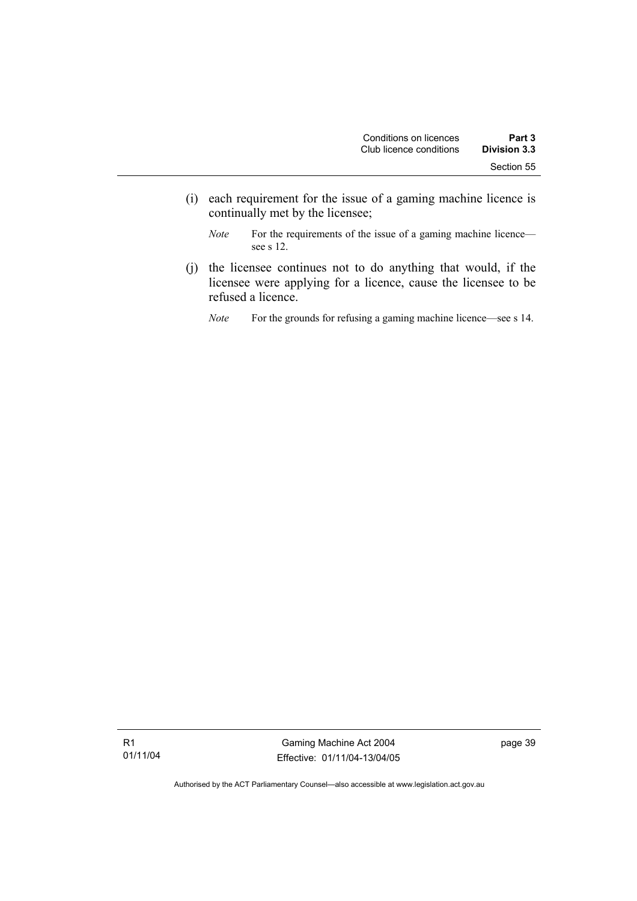- (i) each requirement for the issue of a gaming machine licence is continually met by the licensee;
	- *Note* For the requirements of the issue of a gaming machine licence see s 12.
- (j) the licensee continues not to do anything that would, if the licensee were applying for a licence, cause the licensee to be refused a licence.
	- *Note* For the grounds for refusing a gaming machine licence—see s 14.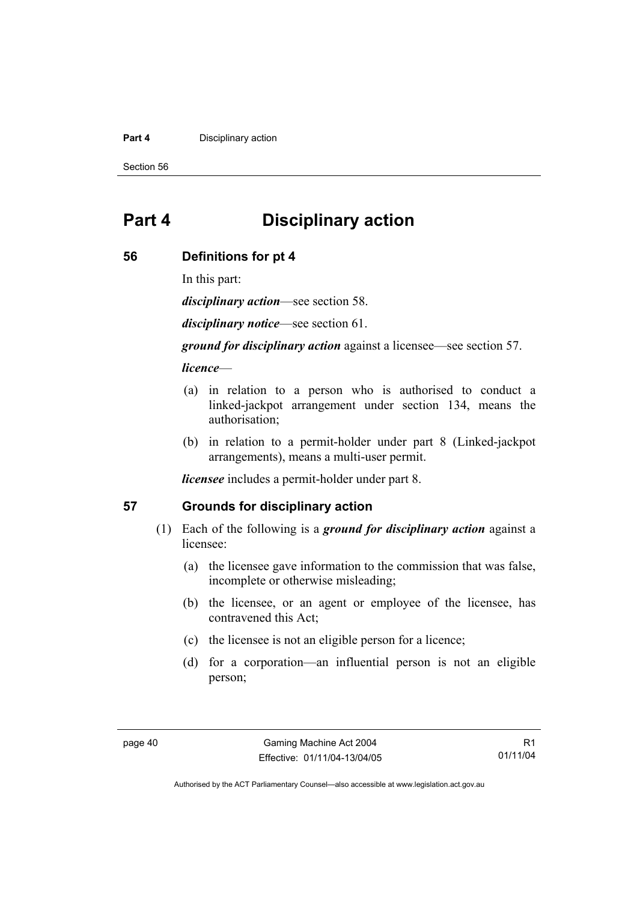#### **Part 4 Disciplinary action**

Section 56

## **Part 4 Disciplinary action**

### **56 Definitions for pt 4**

In this part:

*disciplinary action*—see section 58.

*disciplinary notice*—see section 61.

*ground for disciplinary action* against a licensee—see section 57.

### *licence*—

- (a) in relation to a person who is authorised to conduct a linked-jackpot arrangement under section 134, means the authorisation;
- (b) in relation to a permit-holder under part 8 (Linked-jackpot arrangements), means a multi-user permit.

*licensee* includes a permit-holder under part 8.

### **57 Grounds for disciplinary action**

- (1) Each of the following is a *ground for disciplinary action* against a licensee:
	- (a) the licensee gave information to the commission that was false, incomplete or otherwise misleading;
	- (b) the licensee, or an agent or employee of the licensee, has contravened this Act;
	- (c) the licensee is not an eligible person for a licence;
	- (d) for a corporation—an influential person is not an eligible person;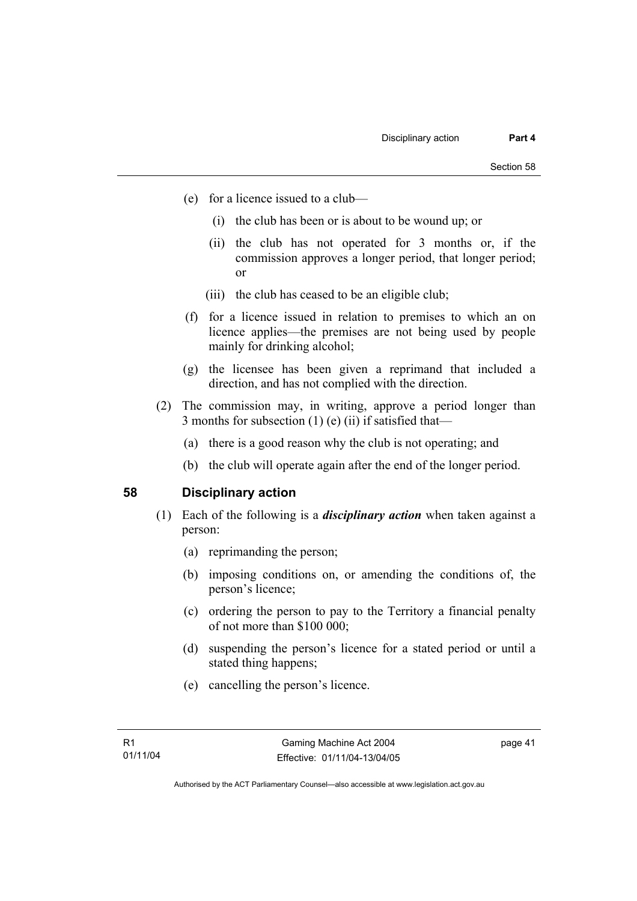- (e) for a licence issued to a club—
	- (i) the club has been or is about to be wound up; or
	- (ii) the club has not operated for 3 months or, if the commission approves a longer period, that longer period; or
	- (iii) the club has ceased to be an eligible club;
- (f) for a licence issued in relation to premises to which an on licence applies—the premises are not being used by people mainly for drinking alcohol;
- (g) the licensee has been given a reprimand that included a direction, and has not complied with the direction.
- (2) The commission may, in writing, approve a period longer than 3 months for subsection  $(1)$  (e)  $(ii)$  if satisfied that—
	- (a) there is a good reason why the club is not operating; and
	- (b) the club will operate again after the end of the longer period.

### **58 Disciplinary action**

- (1) Each of the following is a *disciplinary action* when taken against a person:
	- (a) reprimanding the person;
	- (b) imposing conditions on, or amending the conditions of, the person's licence;
	- (c) ordering the person to pay to the Territory a financial penalty of not more than \$100 000;
	- (d) suspending the person's licence for a stated period or until a stated thing happens;
	- (e) cancelling the person's licence.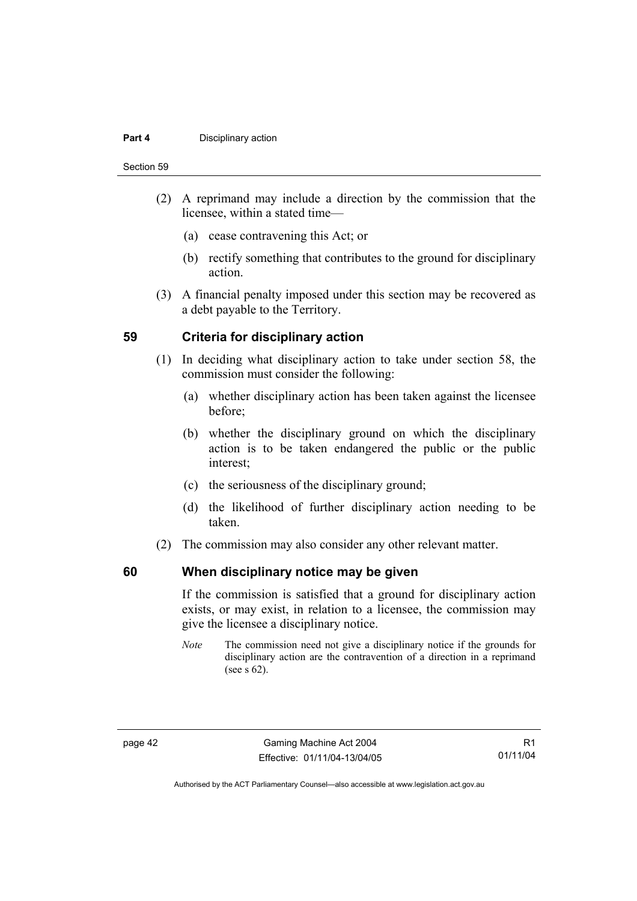#### **Part 4 Disciplinary action**

Section 59

- (2) A reprimand may include a direction by the commission that the licensee, within a stated time—
	- (a) cease contravening this Act; or
	- (b) rectify something that contributes to the ground for disciplinary action.
- (3) A financial penalty imposed under this section may be recovered as a debt payable to the Territory.

### **59 Criteria for disciplinary action**

- (1) In deciding what disciplinary action to take under section 58, the commission must consider the following:
	- (a) whether disciplinary action has been taken against the licensee before;
	- (b) whether the disciplinary ground on which the disciplinary action is to be taken endangered the public or the public interest;
	- (c) the seriousness of the disciplinary ground;
	- (d) the likelihood of further disciplinary action needing to be taken.
- (2) The commission may also consider any other relevant matter.

### **60 When disciplinary notice may be given**

If the commission is satisfied that a ground for disciplinary action exists, or may exist, in relation to a licensee, the commission may give the licensee a disciplinary notice.

*Note* The commission need not give a disciplinary notice if the grounds for disciplinary action are the contravention of a direction in a reprimand (see s 62).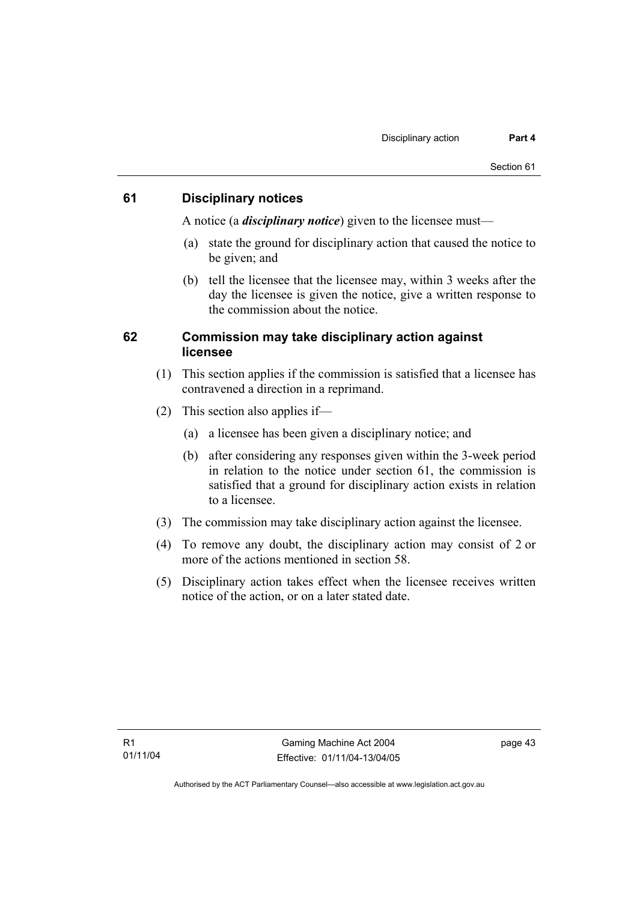### **61 Disciplinary notices**

A notice (a *disciplinary notice*) given to the licensee must—

- (a) state the ground for disciplinary action that caused the notice to be given; and
- (b) tell the licensee that the licensee may, within 3 weeks after the day the licensee is given the notice, give a written response to the commission about the notice.

### **62 Commission may take disciplinary action against licensee**

- (1) This section applies if the commission is satisfied that a licensee has contravened a direction in a reprimand.
- (2) This section also applies if—
	- (a) a licensee has been given a disciplinary notice; and
	- (b) after considering any responses given within the 3-week period in relation to the notice under section 61, the commission is satisfied that a ground for disciplinary action exists in relation to a licensee.
- (3) The commission may take disciplinary action against the licensee.
- (4) To remove any doubt, the disciplinary action may consist of 2 or more of the actions mentioned in section 58.
- (5) Disciplinary action takes effect when the licensee receives written notice of the action, or on a later stated date.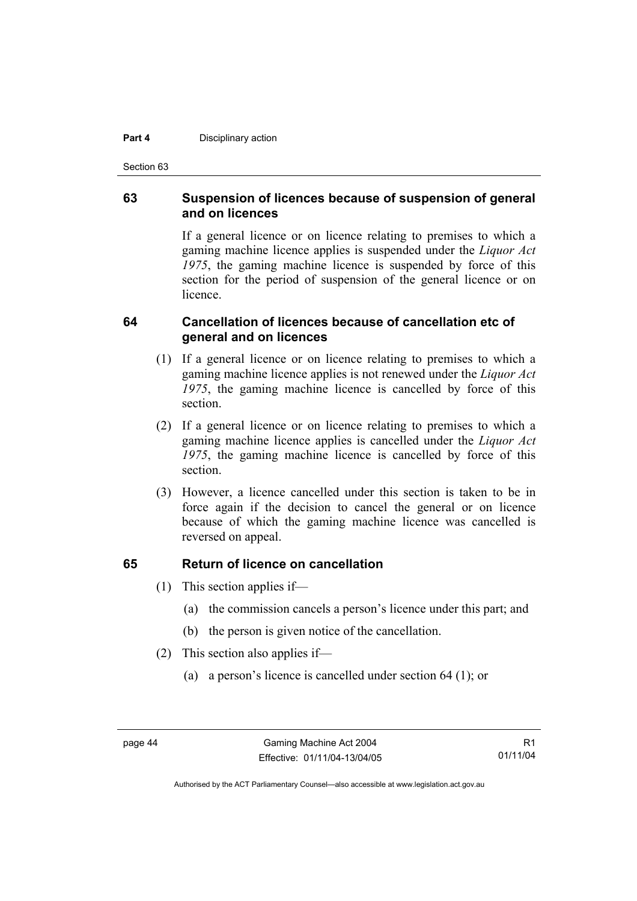#### **Part 4 Disciplinary action**

Section 63

### **63 Suspension of licences because of suspension of general and on licences**

If a general licence or on licence relating to premises to which a gaming machine licence applies is suspended under the *Liquor Act 1975*, the gaming machine licence is suspended by force of this section for the period of suspension of the general licence or on **licence** 

### **64 Cancellation of licences because of cancellation etc of general and on licences**

- (1) If a general licence or on licence relating to premises to which a gaming machine licence applies is not renewed under the *Liquor Act 1975*, the gaming machine licence is cancelled by force of this section.
- (2) If a general licence or on licence relating to premises to which a gaming machine licence applies is cancelled under the *Liquor Act 1975*, the gaming machine licence is cancelled by force of this section.
- (3) However, a licence cancelled under this section is taken to be in force again if the decision to cancel the general or on licence because of which the gaming machine licence was cancelled is reversed on appeal.

### **65 Return of licence on cancellation**

- (1) This section applies if—
	- (a) the commission cancels a person's licence under this part; and
	- (b) the person is given notice of the cancellation.
- (2) This section also applies if—
	- (a) a person's licence is cancelled under section 64 (1); or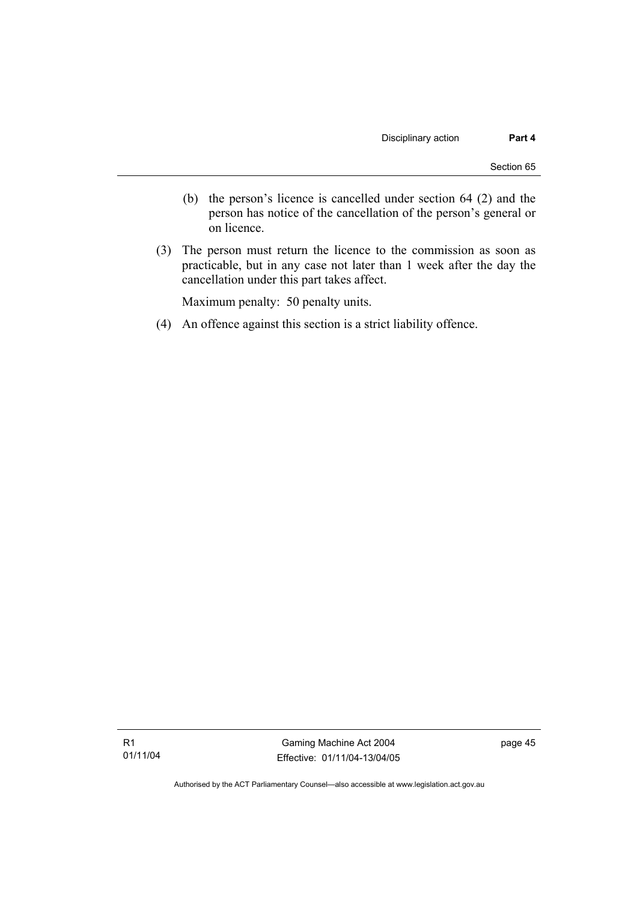- (b) the person's licence is cancelled under section 64 (2) and the person has notice of the cancellation of the person's general or on licence.
- (3) The person must return the licence to the commission as soon as practicable, but in any case not later than 1 week after the day the cancellation under this part takes affect.

Maximum penalty: 50 penalty units.

(4) An offence against this section is a strict liability offence.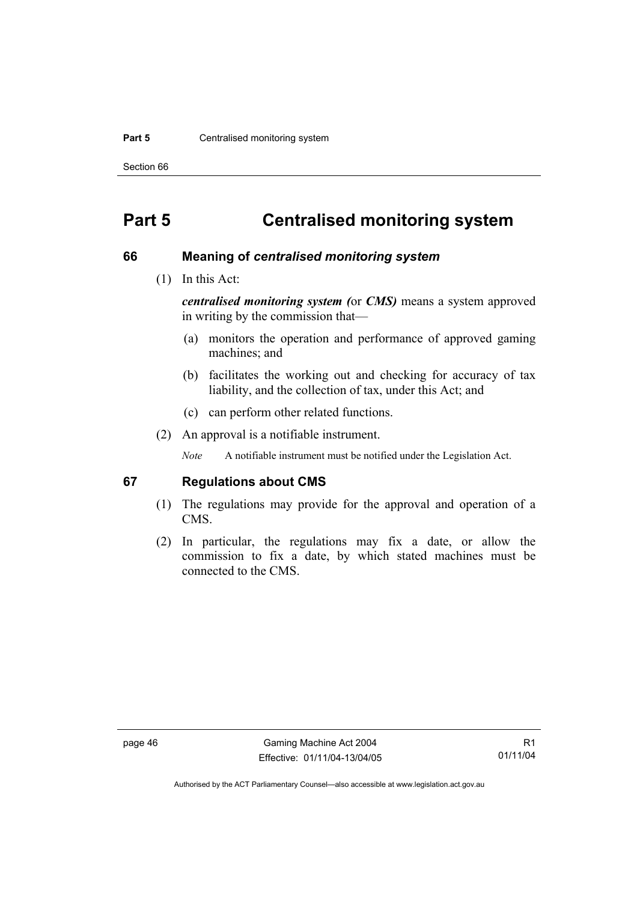#### **Part 5 Centralised monitoring system**

Section 66

## **Part 5 Centralised monitoring system**

#### **66 Meaning of** *centralised monitoring system*

(1) In this Act:

*centralised monitoring system (*or *CMS)* means a system approved in writing by the commission that—

- (a) monitors the operation and performance of approved gaming machines; and
- (b) facilitates the working out and checking for accuracy of tax liability, and the collection of tax, under this Act; and
- (c) can perform other related functions.
- (2) An approval is a notifiable instrument.

*Note* A notifiable instrument must be notified under the Legislation Act.

### **67 Regulations about CMS**

- (1) The regulations may provide for the approval and operation of a CMS.
- (2) In particular, the regulations may fix a date, or allow the commission to fix a date, by which stated machines must be connected to the CMS.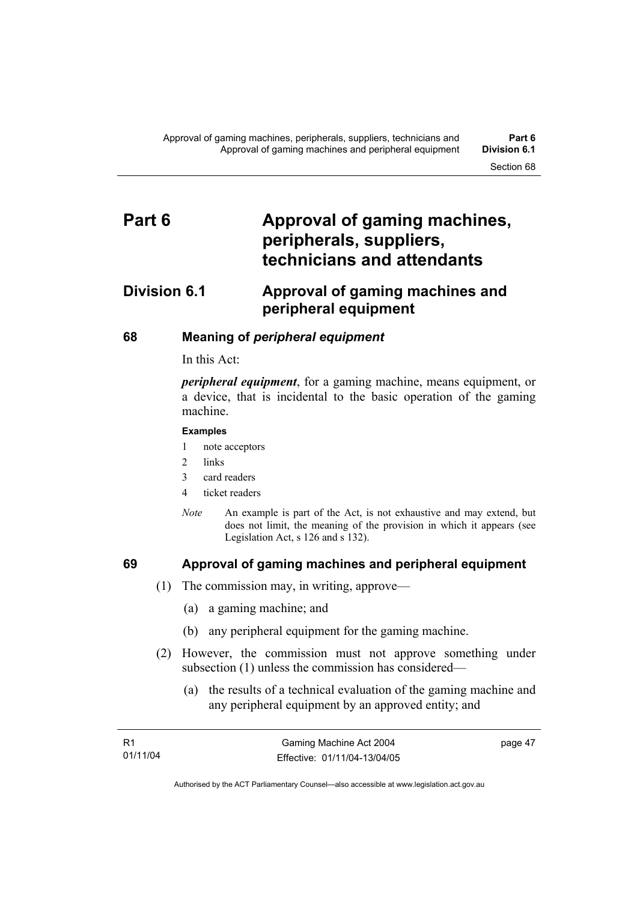## Part 6 **Approval of gaming machines, peripherals, suppliers, technicians and attendants**

## **Division 6.1 Approval of gaming machines and peripheral equipment**

### **68 Meaning of** *peripheral equipment*

In this Act:

*peripheral equipment*, for a gaming machine, means equipment, or a device, that is incidental to the basic operation of the gaming machine.

#### **Examples**

- 1 note acceptors
- 2 links
- 3 card readers
- 4 ticket readers
- *Note* An example is part of the Act, is not exhaustive and may extend, but does not limit, the meaning of the provision in which it appears (see Legislation Act, s 126 and s 132).

### **69 Approval of gaming machines and peripheral equipment**

- (1) The commission may, in writing, approve—
	- (a) a gaming machine; and
	- (b) any peripheral equipment for the gaming machine.
- (2) However, the commission must not approve something under subsection (1) unless the commission has considered—
	- (a) the results of a technical evaluation of the gaming machine and any peripheral equipment by an approved entity; and

| - R1     | Gaming Machine Act 2004      | page 47 |
|----------|------------------------------|---------|
| 01/11/04 | Effective: 01/11/04-13/04/05 |         |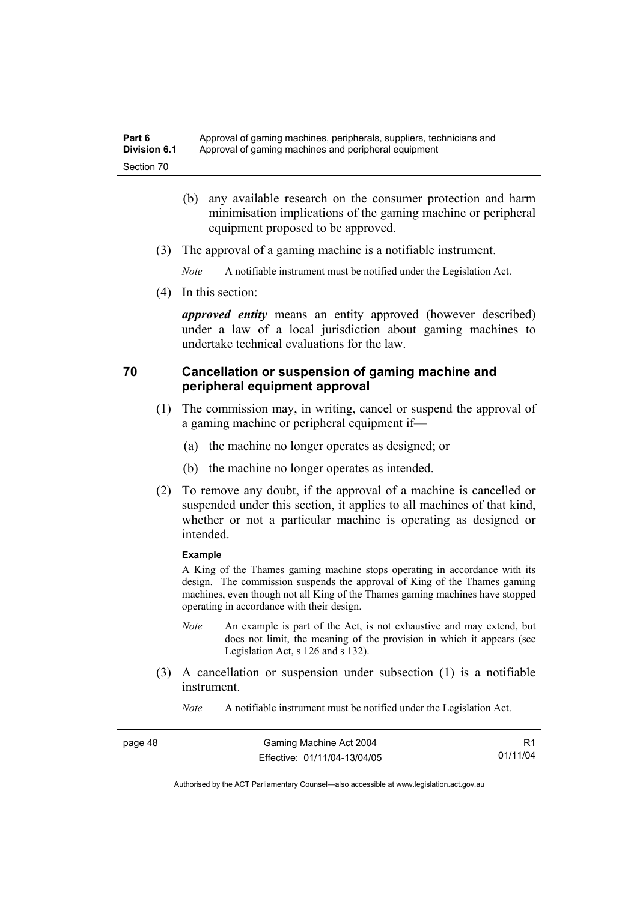- (b) any available research on the consumer protection and harm minimisation implications of the gaming machine or peripheral equipment proposed to be approved.
- (3) The approval of a gaming machine is a notifiable instrument.

*Note* A notifiable instrument must be notified under the Legislation Act.

(4) In this section:

*approved entity* means an entity approved (however described) under a law of a local jurisdiction about gaming machines to undertake technical evaluations for the law.

### **70 Cancellation or suspension of gaming machine and peripheral equipment approval**

- (1) The commission may, in writing, cancel or suspend the approval of a gaming machine or peripheral equipment if—
	- (a) the machine no longer operates as designed; or
	- (b) the machine no longer operates as intended.
- (2) To remove any doubt, if the approval of a machine is cancelled or suspended under this section, it applies to all machines of that kind, whether or not a particular machine is operating as designed or intended.

#### **Example**

A King of the Thames gaming machine stops operating in accordance with its design. The commission suspends the approval of King of the Thames gaming machines, even though not all King of the Thames gaming machines have stopped operating in accordance with their design.

- *Note* An example is part of the Act, is not exhaustive and may extend, but does not limit, the meaning of the provision in which it appears (see Legislation Act, s 126 and s 132).
- (3) A cancellation or suspension under subsection (1) is a notifiable instrument.
	- *Note* A notifiable instrument must be notified under the Legislation Act.

| page 48 | Gaming Machine Act 2004      | R1       |
|---------|------------------------------|----------|
|         | Effective: 01/11/04-13/04/05 | 01/11/04 |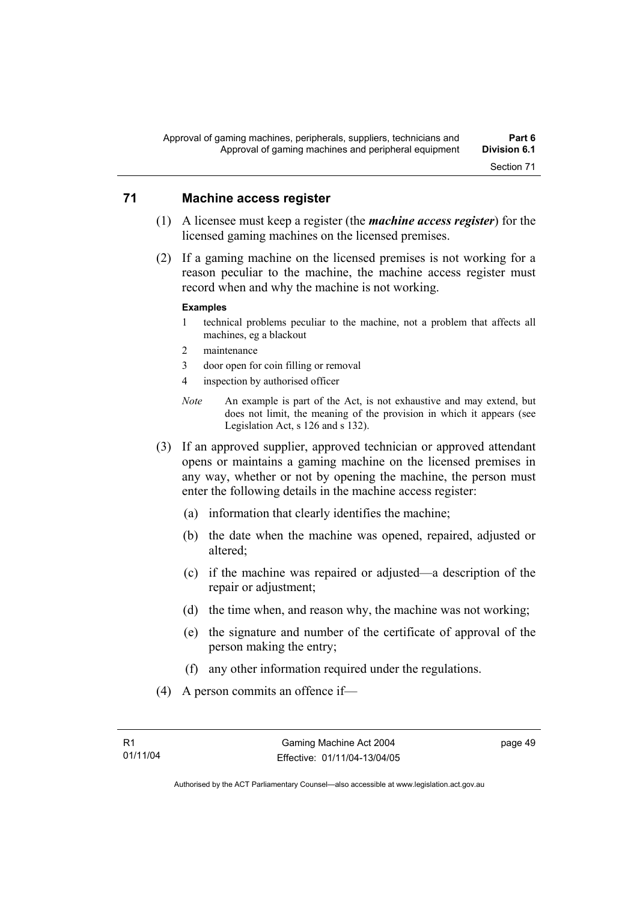### **71 Machine access register**

- (1) A licensee must keep a register (the *machine access register*) for the licensed gaming machines on the licensed premises.
- (2) If a gaming machine on the licensed premises is not working for a reason peculiar to the machine, the machine access register must record when and why the machine is not working.

#### **Examples**

- 1 technical problems peculiar to the machine, not a problem that affects all machines, eg a blackout
- 2 maintenance
- 3 door open for coin filling or removal
- 4 inspection by authorised officer
- *Note* An example is part of the Act, is not exhaustive and may extend, but does not limit, the meaning of the provision in which it appears (see Legislation Act, s 126 and s 132).
- (3) If an approved supplier, approved technician or approved attendant opens or maintains a gaming machine on the licensed premises in any way, whether or not by opening the machine, the person must enter the following details in the machine access register:
	- (a) information that clearly identifies the machine;
	- (b) the date when the machine was opened, repaired, adjusted or altered;
	- (c) if the machine was repaired or adjusted—a description of the repair or adjustment;
	- (d) the time when, and reason why, the machine was not working;
	- (e) the signature and number of the certificate of approval of the person making the entry;
	- (f) any other information required under the regulations.
- (4) A person commits an offence if—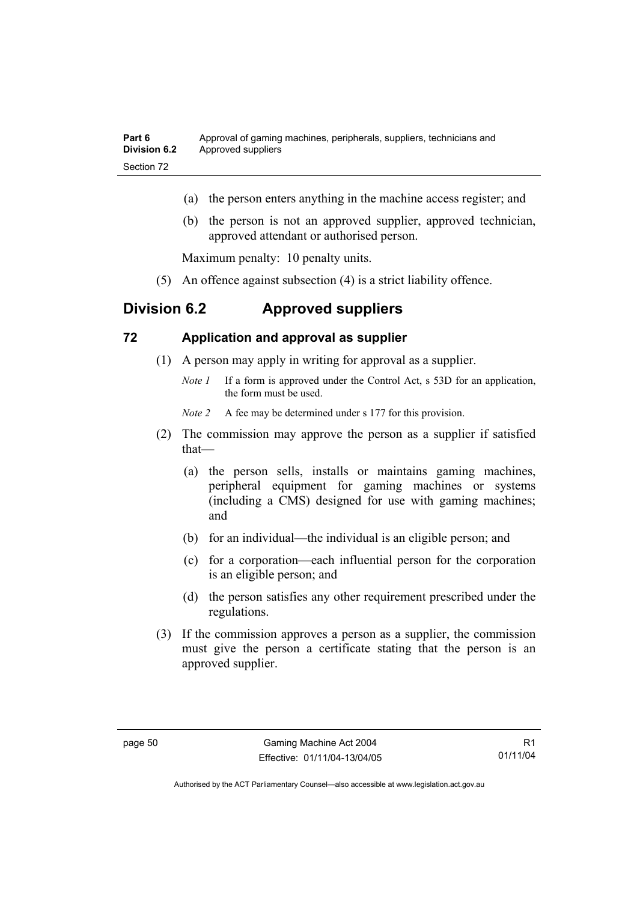- (a) the person enters anything in the machine access register; and
- (b) the person is not an approved supplier, approved technician, approved attendant or authorised person.

Maximum penalty: 10 penalty units.

(5) An offence against subsection (4) is a strict liability offence.

### **Division 6.2 Approved suppliers**

### **72 Application and approval as supplier**

- (1) A person may apply in writing for approval as a supplier.
	- *Note 1* If a form is approved under the Control Act, s 53D for an application, the form must be used.

*Note 2* A fee may be determined under s 177 for this provision.

- (2) The commission may approve the person as a supplier if satisfied that—
	- (a) the person sells, installs or maintains gaming machines, peripheral equipment for gaming machines or systems (including a CMS) designed for use with gaming machines; and
	- (b) for an individual—the individual is an eligible person; and
	- (c) for a corporation—each influential person for the corporation is an eligible person; and
	- (d) the person satisfies any other requirement prescribed under the regulations.
- (3) If the commission approves a person as a supplier, the commission must give the person a certificate stating that the person is an approved supplier.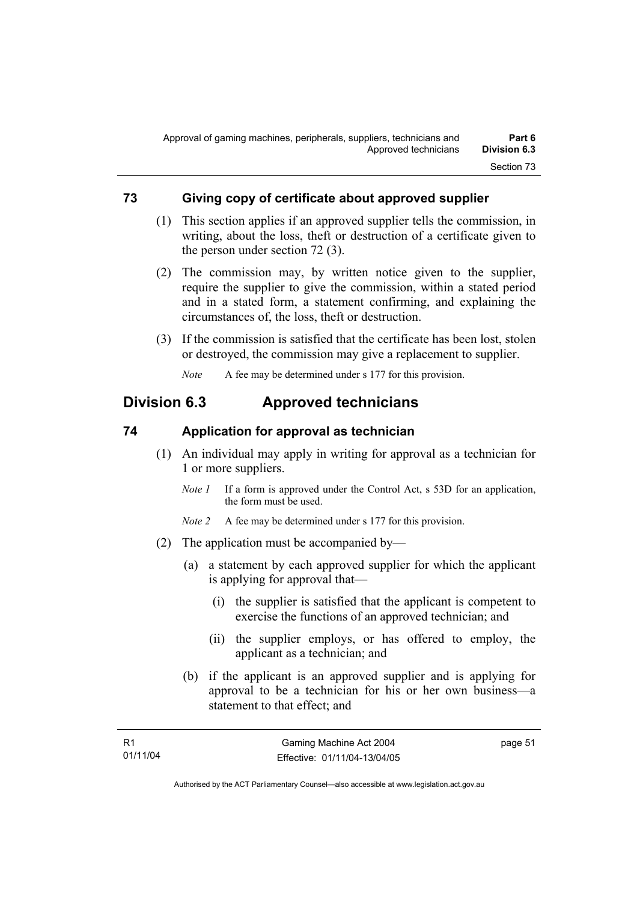### **73 Giving copy of certificate about approved supplier**

- (1) This section applies if an approved supplier tells the commission, in writing, about the loss, theft or destruction of a certificate given to the person under section 72 (3).
- (2) The commission may, by written notice given to the supplier, require the supplier to give the commission, within a stated period and in a stated form, a statement confirming, and explaining the circumstances of, the loss, theft or destruction.
- (3) If the commission is satisfied that the certificate has been lost, stolen or destroyed, the commission may give a replacement to supplier.

*Note* A fee may be determined under s 177 for this provision.

## **Division 6.3 Approved technicians**

### **74 Application for approval as technician**

- (1) An individual may apply in writing for approval as a technician for 1 or more suppliers.
	- *Note 1* If a form is approved under the Control Act, s 53D for an application, the form must be used.
	- *Note 2* A fee may be determined under s 177 for this provision.
- (2) The application must be accompanied by—
	- (a) a statement by each approved supplier for which the applicant is applying for approval that—
		- (i) the supplier is satisfied that the applicant is competent to exercise the functions of an approved technician; and
		- (ii) the supplier employs, or has offered to employ, the applicant as a technician; and
	- (b) if the applicant is an approved supplier and is applying for approval to be a technician for his or her own business—a statement to that effect; and

page 51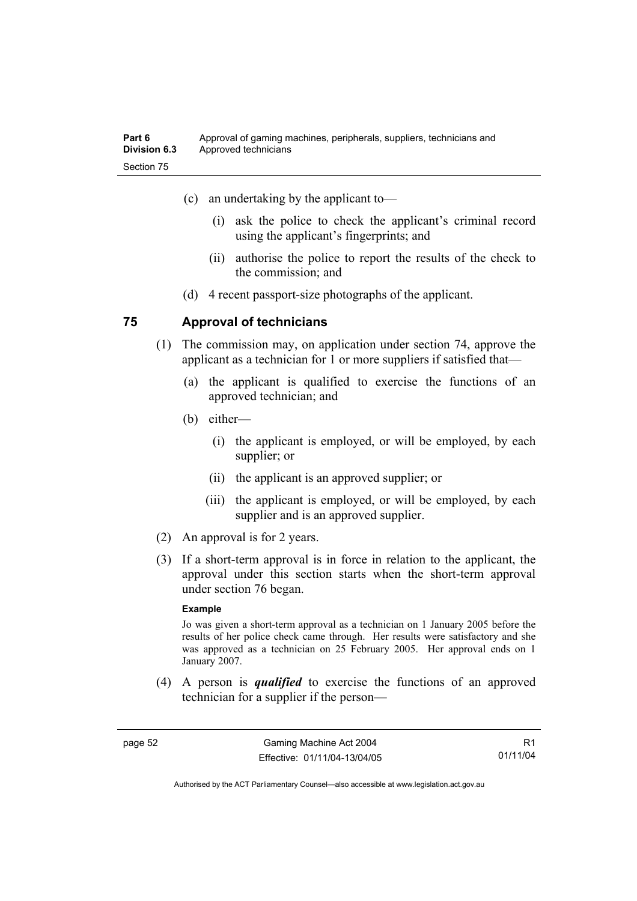- (c) an undertaking by the applicant to—
	- (i) ask the police to check the applicant's criminal record using the applicant's fingerprints; and
	- (ii) authorise the police to report the results of the check to the commission; and
- (d) 4 recent passport-size photographs of the applicant.

### **75 Approval of technicians**

- (1) The commission may, on application under section 74, approve the applicant as a technician for 1 or more suppliers if satisfied that—
	- (a) the applicant is qualified to exercise the functions of an approved technician; and
	- (b) either—
		- (i) the applicant is employed, or will be employed, by each supplier; or
		- (ii) the applicant is an approved supplier; or
		- (iii) the applicant is employed, or will be employed, by each supplier and is an approved supplier.
- (2) An approval is for 2 years.
- (3) If a short-term approval is in force in relation to the applicant, the approval under this section starts when the short-term approval under section 76 began.

#### **Example**

Jo was given a short-term approval as a technician on 1 January 2005 before the results of her police check came through. Her results were satisfactory and she was approved as a technician on 25 February 2005. Her approval ends on 1 January 2007.

 (4) A person is *qualified* to exercise the functions of an approved technician for a supplier if the person—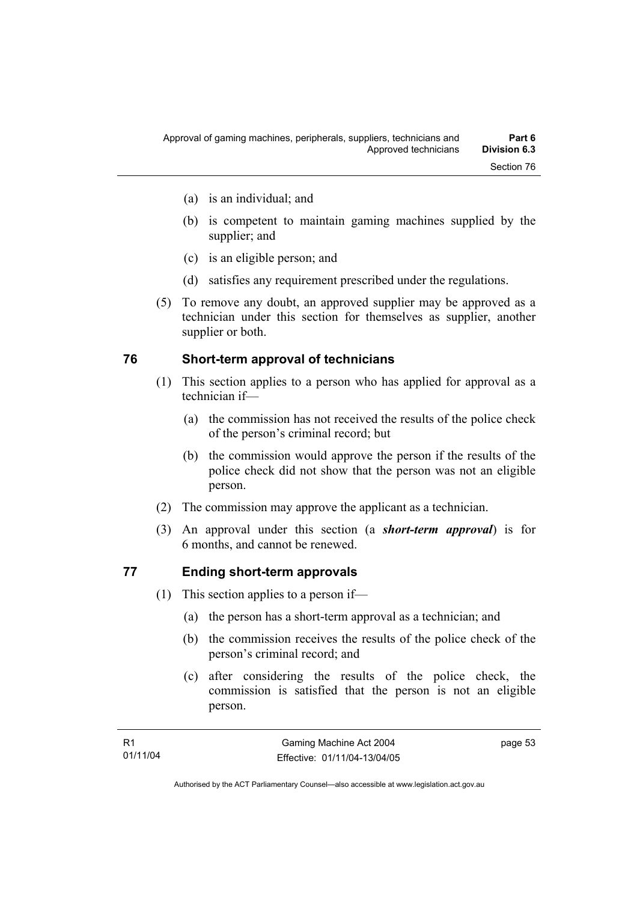- (b) is competent to maintain gaming machines supplied by the supplier; and
- (c) is an eligible person; and
- (d) satisfies any requirement prescribed under the regulations.
- (5) To remove any doubt, an approved supplier may be approved as a technician under this section for themselves as supplier, another supplier or both.

### **76 Short-term approval of technicians**

- (1) This section applies to a person who has applied for approval as a technician if—
	- (a) the commission has not received the results of the police check of the person's criminal record; but
	- (b) the commission would approve the person if the results of the police check did not show that the person was not an eligible person.
- (2) The commission may approve the applicant as a technician.
- (3) An approval under this section (a *short-term approval*) is for 6 months, and cannot be renewed.

### **77 Ending short-term approvals**

- (1) This section applies to a person if—
	- (a) the person has a short-term approval as a technician; and
	- (b) the commission receives the results of the police check of the person's criminal record; and
	- (c) after considering the results of the police check, the commission is satisfied that the person is not an eligible person.

page 53

Section 76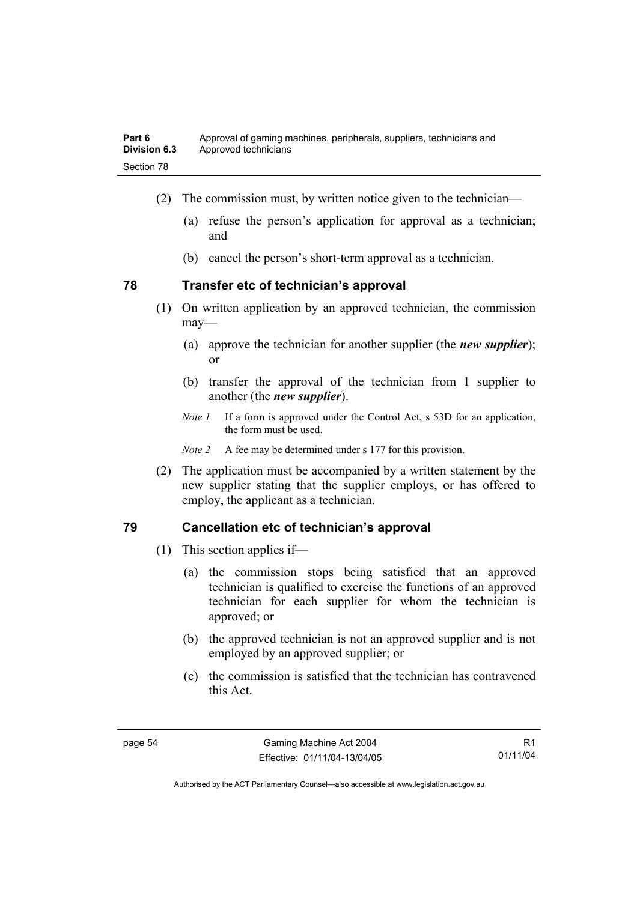- (2) The commission must, by written notice given to the technician—
	- (a) refuse the person's application for approval as a technician; and
	- (b) cancel the person's short-term approval as a technician.

### **78 Transfer etc of technician's approval**

- (1) On written application by an approved technician, the commission may—
	- (a) approve the technician for another supplier (the *new supplier*); or
	- (b) transfer the approval of the technician from 1 supplier to another (the *new supplier*).
	- *Note 1* If a form is approved under the Control Act, s 53D for an application, the form must be used.

*Note 2* A fee may be determined under s 177 for this provision.

 (2) The application must be accompanied by a written statement by the new supplier stating that the supplier employs, or has offered to employ, the applicant as a technician.

### **79 Cancellation etc of technician's approval**

- (1) This section applies if—
	- (a) the commission stops being satisfied that an approved technician is qualified to exercise the functions of an approved technician for each supplier for whom the technician is approved; or
	- (b) the approved technician is not an approved supplier and is not employed by an approved supplier; or
	- (c) the commission is satisfied that the technician has contravened this Act.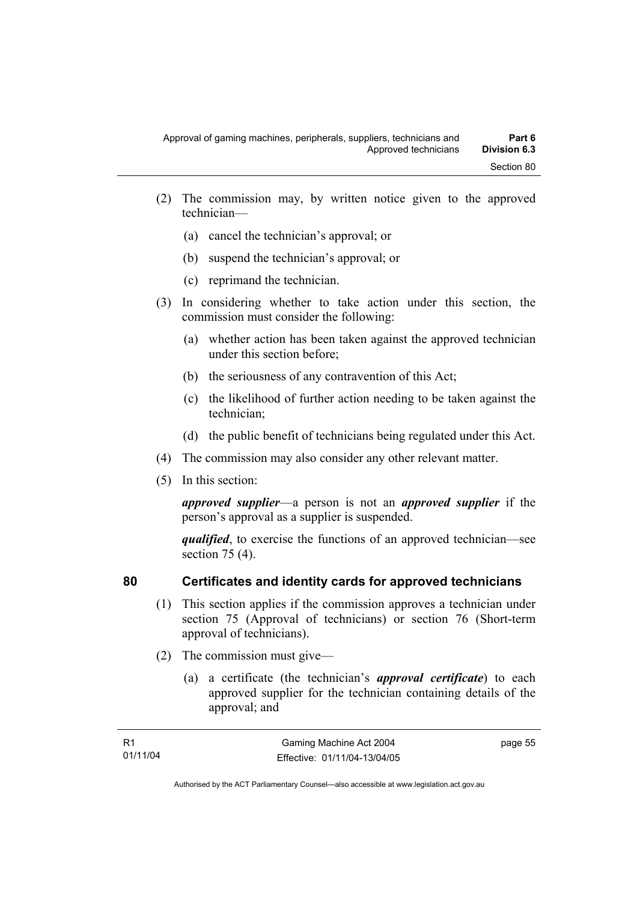- (2) The commission may, by written notice given to the approved technician—
	- (a) cancel the technician's approval; or
	- (b) suspend the technician's approval; or
	- (c) reprimand the technician.
- (3) In considering whether to take action under this section, the commission must consider the following:
	- (a) whether action has been taken against the approved technician under this section before;
	- (b) the seriousness of any contravention of this Act;
	- (c) the likelihood of further action needing to be taken against the technician;
	- (d) the public benefit of technicians being regulated under this Act.
- (4) The commission may also consider any other relevant matter.
- (5) In this section:

*approved supplier*—a person is not an *approved supplier* if the person's approval as a supplier is suspended.

*qualified*, to exercise the functions of an approved technician—see section 75 (4).

### **80 Certificates and identity cards for approved technicians**

- (1) This section applies if the commission approves a technician under section 75 (Approval of technicians) or section 76 (Short-term approval of technicians).
- (2) The commission must give—
	- (a) a certificate (the technician's *approval certificate*) to each approved supplier for the technician containing details of the approval; and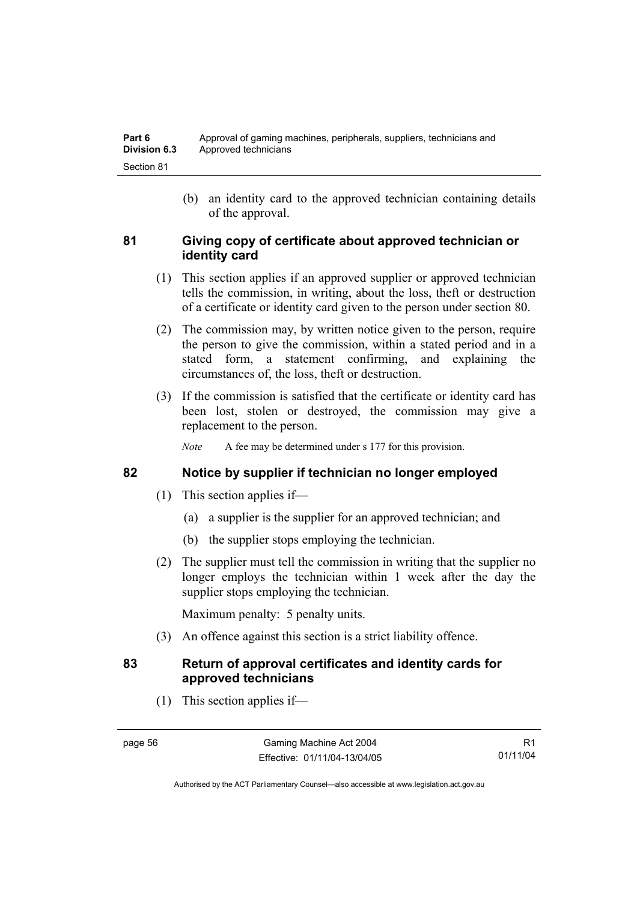(b) an identity card to the approved technician containing details of the approval.

### **81 Giving copy of certificate about approved technician or identity card**

- (1) This section applies if an approved supplier or approved technician tells the commission, in writing, about the loss, theft or destruction of a certificate or identity card given to the person under section 80.
- (2) The commission may, by written notice given to the person, require the person to give the commission, within a stated period and in a stated form, a statement confirming, and explaining the circumstances of, the loss, theft or destruction.
- (3) If the commission is satisfied that the certificate or identity card has been lost, stolen or destroyed, the commission may give a replacement to the person.

*Note* A fee may be determined under s 177 for this provision.

### **82 Notice by supplier if technician no longer employed**

- (1) This section applies if—
	- (a) a supplier is the supplier for an approved technician; and
	- (b) the supplier stops employing the technician.
- (2) The supplier must tell the commission in writing that the supplier no longer employs the technician within 1 week after the day the supplier stops employing the technician.

Maximum penalty: 5 penalty units.

(3) An offence against this section is a strict liability offence.

### **83 Return of approval certificates and identity cards for approved technicians**

(1) This section applies if—

R1 01/11/04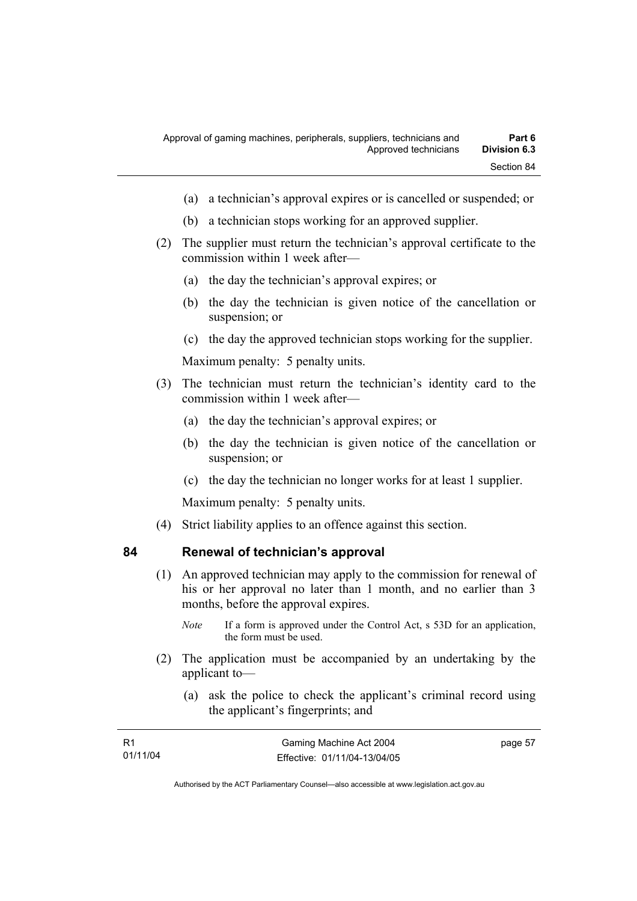- (a) a technician's approval expires or is cancelled or suspended; or
- (b) a technician stops working for an approved supplier.
- (2) The supplier must return the technician's approval certificate to the commission within 1 week after—
	- (a) the day the technician's approval expires; or
	- (b) the day the technician is given notice of the cancellation or suspension; or
	- (c) the day the approved technician stops working for the supplier.

Maximum penalty: 5 penalty units.

- (3) The technician must return the technician's identity card to the commission within 1 week after—
	- (a) the day the technician's approval expires; or
	- (b) the day the technician is given notice of the cancellation or suspension; or
	- (c) the day the technician no longer works for at least 1 supplier.

Maximum penalty: 5 penalty units.

(4) Strict liability applies to an offence against this section.

### **84 Renewal of technician's approval**

- (1) An approved technician may apply to the commission for renewal of his or her approval no later than 1 month, and no earlier than 3 months, before the approval expires.
	- *Note* If a form is approved under the Control Act, s 53D for an application, the form must be used.
- (2) The application must be accompanied by an undertaking by the applicant to—
	- (a) ask the police to check the applicant's criminal record using the applicant's fingerprints; and

| - R1     | Gaming Machine Act 2004      | page 57 |
|----------|------------------------------|---------|
| 01/11/04 | Effective: 01/11/04-13/04/05 |         |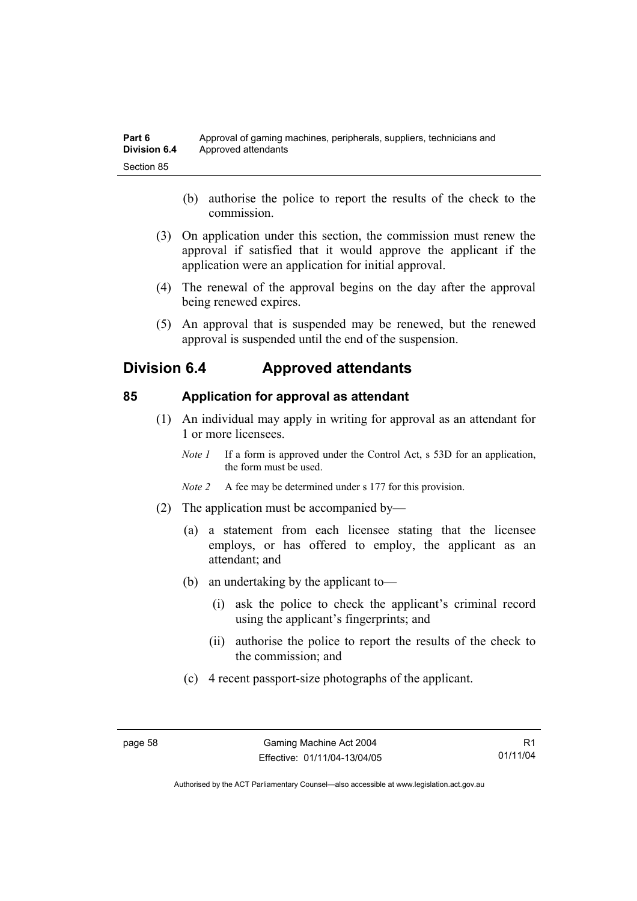- (b) authorise the police to report the results of the check to the commission.
- (3) On application under this section, the commission must renew the approval if satisfied that it would approve the applicant if the application were an application for initial approval.
- (4) The renewal of the approval begins on the day after the approval being renewed expires.
- (5) An approval that is suspended may be renewed, but the renewed approval is suspended until the end of the suspension.

## **Division 6.4 Approved attendants**

### **85 Application for approval as attendant**

- (1) An individual may apply in writing for approval as an attendant for 1 or more licensees.
	- *Note 1* If a form is approved under the Control Act, s 53D for an application, the form must be used.
	- *Note 2* A fee may be determined under s 177 for this provision.
- (2) The application must be accompanied by—
	- (a) a statement from each licensee stating that the licensee employs, or has offered to employ, the applicant as an attendant; and
	- (b) an undertaking by the applicant to—
		- (i) ask the police to check the applicant's criminal record using the applicant's fingerprints; and
		- (ii) authorise the police to report the results of the check to the commission; and
	- (c) 4 recent passport-size photographs of the applicant.

Authorised by the ACT Parliamentary Counsel—also accessible at www.legislation.act.gov.au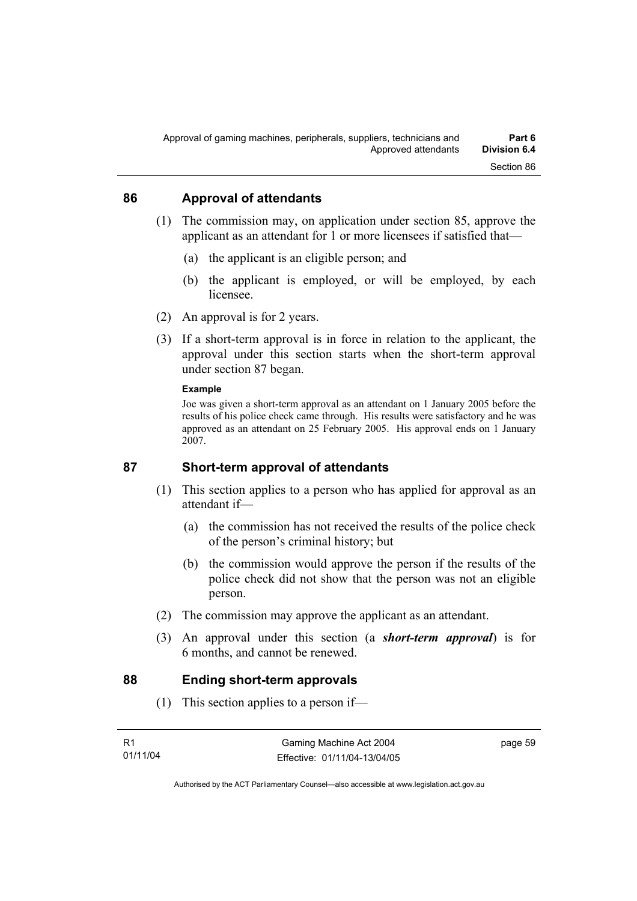### **86 Approval of attendants**

- (1) The commission may, on application under section 85, approve the applicant as an attendant for 1 or more licensees if satisfied that—
	- (a) the applicant is an eligible person; and
	- (b) the applicant is employed, or will be employed, by each licensee.
- (2) An approval is for 2 years.
- (3) If a short-term approval is in force in relation to the applicant, the approval under this section starts when the short-term approval under section 87 began.

#### **Example**

Joe was given a short-term approval as an attendant on 1 January 2005 before the results of his police check came through. His results were satisfactory and he was approved as an attendant on 25 February 2005. His approval ends on 1 January 2007.

### **87 Short-term approval of attendants**

- (1) This section applies to a person who has applied for approval as an attendant if—
	- (a) the commission has not received the results of the police check of the person's criminal history; but
	- (b) the commission would approve the person if the results of the police check did not show that the person was not an eligible person.
- (2) The commission may approve the applicant as an attendant.
- (3) An approval under this section (a *short-term approval*) is for 6 months, and cannot be renewed.

### **88 Ending short-term approvals**

(1) This section applies to a person if—

| - R1     | Gaming Machine Act 2004      | page 59 |
|----------|------------------------------|---------|
| 01/11/04 | Effective: 01/11/04-13/04/05 |         |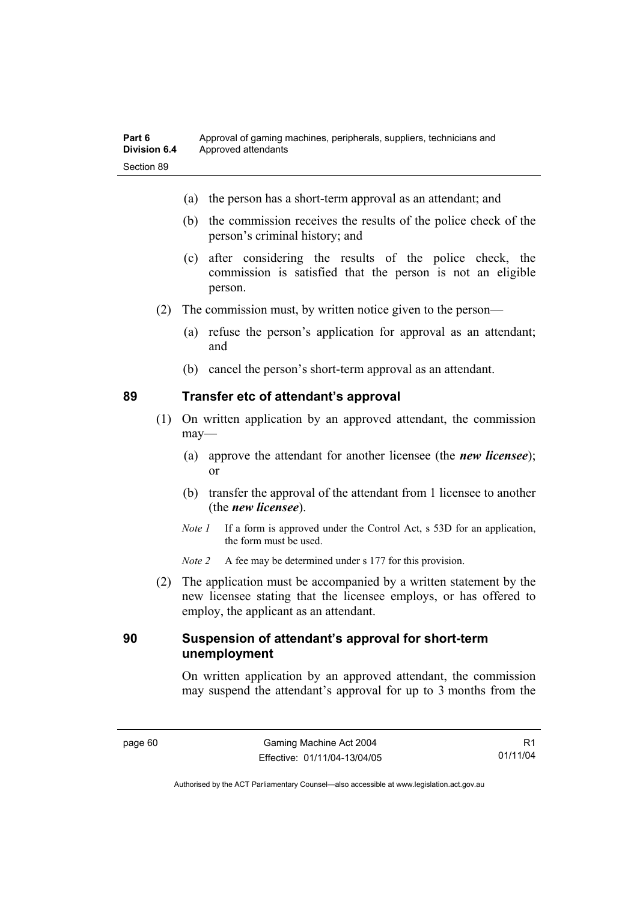- (a) the person has a short-term approval as an attendant; and
- (b) the commission receives the results of the police check of the person's criminal history; and
- (c) after considering the results of the police check, the commission is satisfied that the person is not an eligible person.
- (2) The commission must, by written notice given to the person—
	- (a) refuse the person's application for approval as an attendant; and
	- (b) cancel the person's short-term approval as an attendant.

### **89 Transfer etc of attendant's approval**

- (1) On written application by an approved attendant, the commission may—
	- (a) approve the attendant for another licensee (the *new licensee*); or
	- (b) transfer the approval of the attendant from 1 licensee to another (the *new licensee*).
	- *Note 1* If a form is approved under the Control Act, s 53D for an application, the form must be used.
	- *Note 2* A fee may be determined under s 177 for this provision.
- (2) The application must be accompanied by a written statement by the new licensee stating that the licensee employs, or has offered to employ, the applicant as an attendant.

### **90 Suspension of attendant's approval for short-term unemployment**

On written application by an approved attendant, the commission may suspend the attendant's approval for up to 3 months from the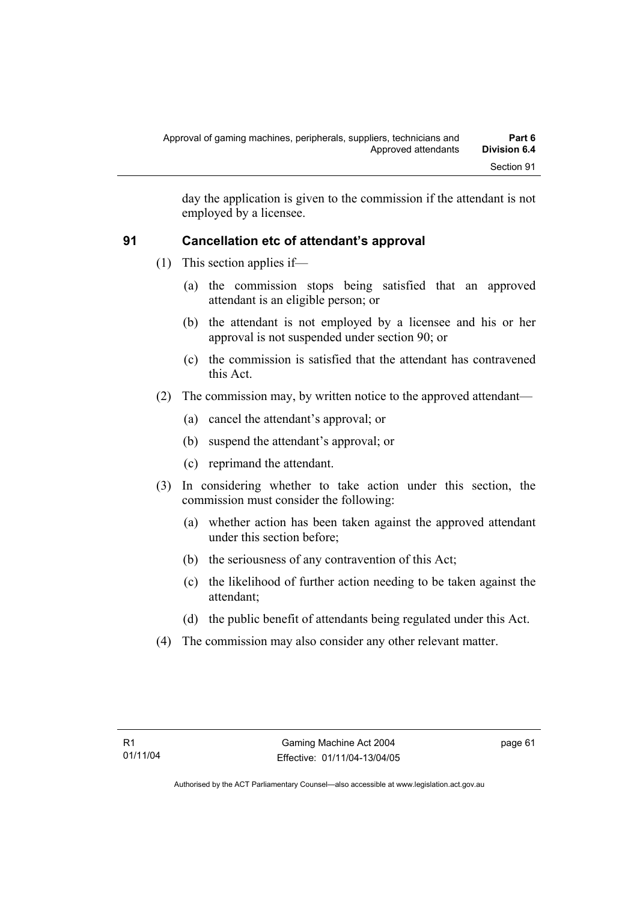day the application is given to the commission if the attendant is not employed by a licensee.

### **91 Cancellation etc of attendant's approval**

- (1) This section applies if—
	- (a) the commission stops being satisfied that an approved attendant is an eligible person; or
	- (b) the attendant is not employed by a licensee and his or her approval is not suspended under section 90; or
	- (c) the commission is satisfied that the attendant has contravened this Act.
- (2) The commission may, by written notice to the approved attendant—
	- (a) cancel the attendant's approval; or
	- (b) suspend the attendant's approval; or
	- (c) reprimand the attendant.
- (3) In considering whether to take action under this section, the commission must consider the following:
	- (a) whether action has been taken against the approved attendant under this section before;
	- (b) the seriousness of any contravention of this Act;
	- (c) the likelihood of further action needing to be taken against the attendant;
	- (d) the public benefit of attendants being regulated under this Act.
- (4) The commission may also consider any other relevant matter.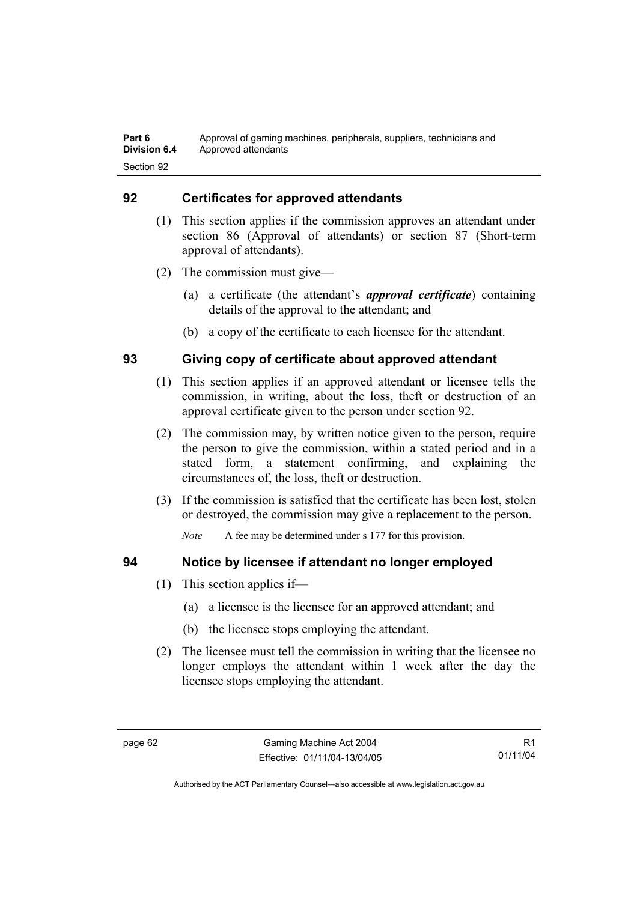### **92 Certificates for approved attendants**

- (1) This section applies if the commission approves an attendant under section 86 (Approval of attendants) or section 87 (Short-term approval of attendants).
- (2) The commission must give—
	- (a) a certificate (the attendant's *approval certificate*) containing details of the approval to the attendant; and
	- (b) a copy of the certificate to each licensee for the attendant.

### **93 Giving copy of certificate about approved attendant**

- (1) This section applies if an approved attendant or licensee tells the commission, in writing, about the loss, theft or destruction of an approval certificate given to the person under section 92.
- (2) The commission may, by written notice given to the person, require the person to give the commission, within a stated period and in a stated form, a statement confirming, and explaining the circumstances of, the loss, theft or destruction.
- (3) If the commission is satisfied that the certificate has been lost, stolen or destroyed, the commission may give a replacement to the person.

*Note* A fee may be determined under s 177 for this provision.

- **94 Notice by licensee if attendant no longer employed** 
	- (1) This section applies if—
		- (a) a licensee is the licensee for an approved attendant; and
		- (b) the licensee stops employing the attendant.
	- (2) The licensee must tell the commission in writing that the licensee no longer employs the attendant within 1 week after the day the licensee stops employing the attendant.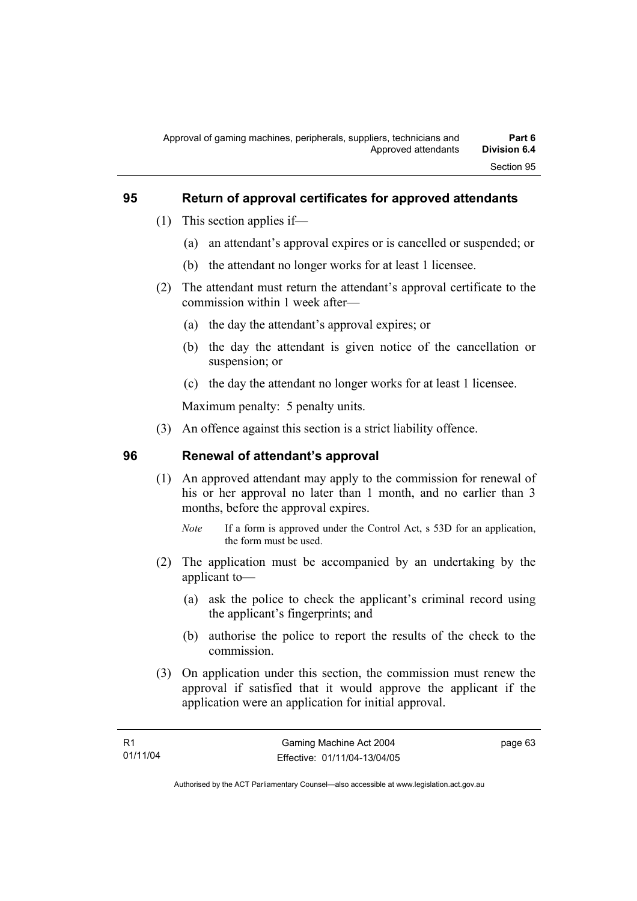#### **95 Return of approval certificates for approved attendants**

- (1) This section applies if—
	- (a) an attendant's approval expires or is cancelled or suspended; or
	- (b) the attendant no longer works for at least 1 licensee.
- (2) The attendant must return the attendant's approval certificate to the commission within 1 week after—
	- (a) the day the attendant's approval expires; or
	- (b) the day the attendant is given notice of the cancellation or suspension; or
	- (c) the day the attendant no longer works for at least 1 licensee.

Maximum penalty: 5 penalty units.

(3) An offence against this section is a strict liability offence.

#### **96 Renewal of attendant's approval**

- (1) An approved attendant may apply to the commission for renewal of his or her approval no later than 1 month, and no earlier than 3 months, before the approval expires.
	- *Note* If a form is approved under the Control Act, s 53D for an application, the form must be used.
- (2) The application must be accompanied by an undertaking by the applicant to—
	- (a) ask the police to check the applicant's criminal record using the applicant's fingerprints; and
	- (b) authorise the police to report the results of the check to the commission.
- (3) On application under this section, the commission must renew the approval if satisfied that it would approve the applicant if the application were an application for initial approval.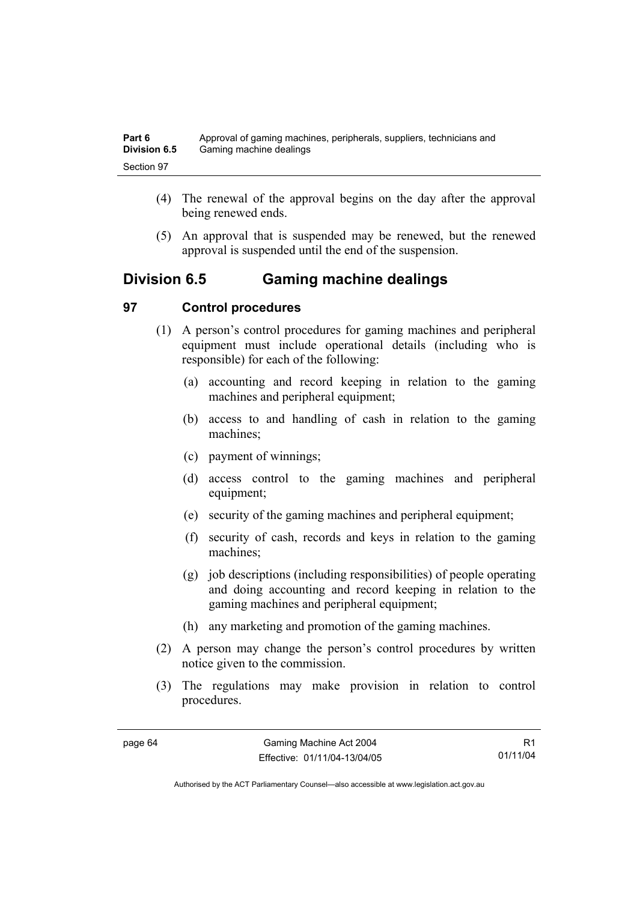- (4) The renewal of the approval begins on the day after the approval being renewed ends.
- (5) An approval that is suspended may be renewed, but the renewed approval is suspended until the end of the suspension.

# **Division 6.5 Gaming machine dealings**

### **97 Control procedures**

- (1) A person's control procedures for gaming machines and peripheral equipment must include operational details (including who is responsible) for each of the following:
	- (a) accounting and record keeping in relation to the gaming machines and peripheral equipment;
	- (b) access to and handling of cash in relation to the gaming machines;
	- (c) payment of winnings;
	- (d) access control to the gaming machines and peripheral equipment;
	- (e) security of the gaming machines and peripheral equipment;
	- (f) security of cash, records and keys in relation to the gaming machines;
	- (g) job descriptions (including responsibilities) of people operating and doing accounting and record keeping in relation to the gaming machines and peripheral equipment;
	- (h) any marketing and promotion of the gaming machines.
- (2) A person may change the person's control procedures by written notice given to the commission.
- (3) The regulations may make provision in relation to control procedures.

R1 01/11/04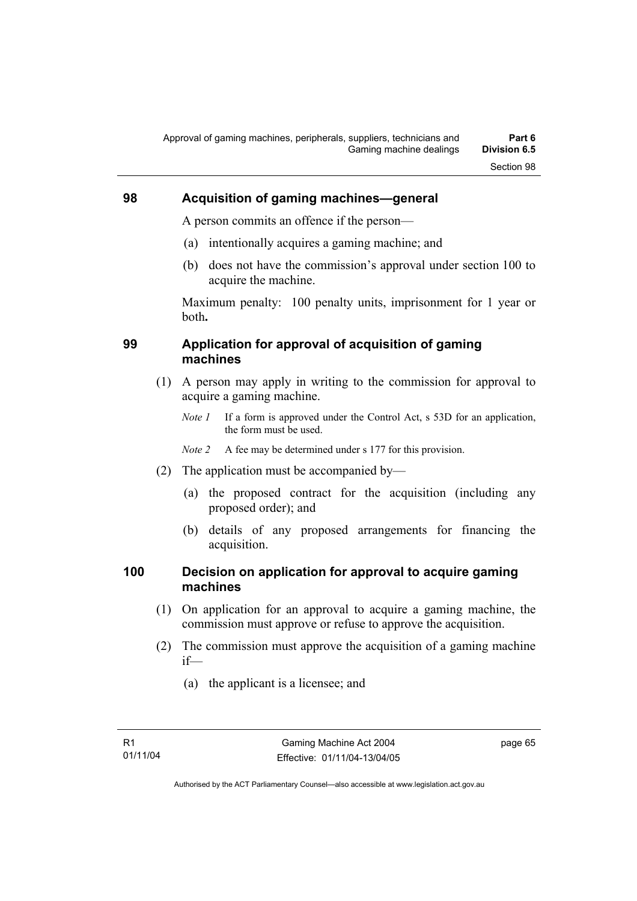### **98 Acquisition of gaming machines—general**

A person commits an offence if the person—

- (a) intentionally acquires a gaming machine; and
- (b) does not have the commission's approval under section 100 to acquire the machine.

Maximum penalty: 100 penalty units, imprisonment for 1 year or both**.**

#### **99 Application for approval of acquisition of gaming machines**

- (1) A person may apply in writing to the commission for approval to acquire a gaming machine.
	- *Note 1* If a form is approved under the Control Act, s 53D for an application, the form must be used.

*Note 2* A fee may be determined under s 177 for this provision.

- (2) The application must be accompanied by—
	- (a) the proposed contract for the acquisition (including any proposed order); and
	- (b) details of any proposed arrangements for financing the acquisition.

### **100 Decision on application for approval to acquire gaming machines**

- (1) On application for an approval to acquire a gaming machine, the commission must approve or refuse to approve the acquisition.
- (2) The commission must approve the acquisition of a gaming machine if—
	- (a) the applicant is a licensee; and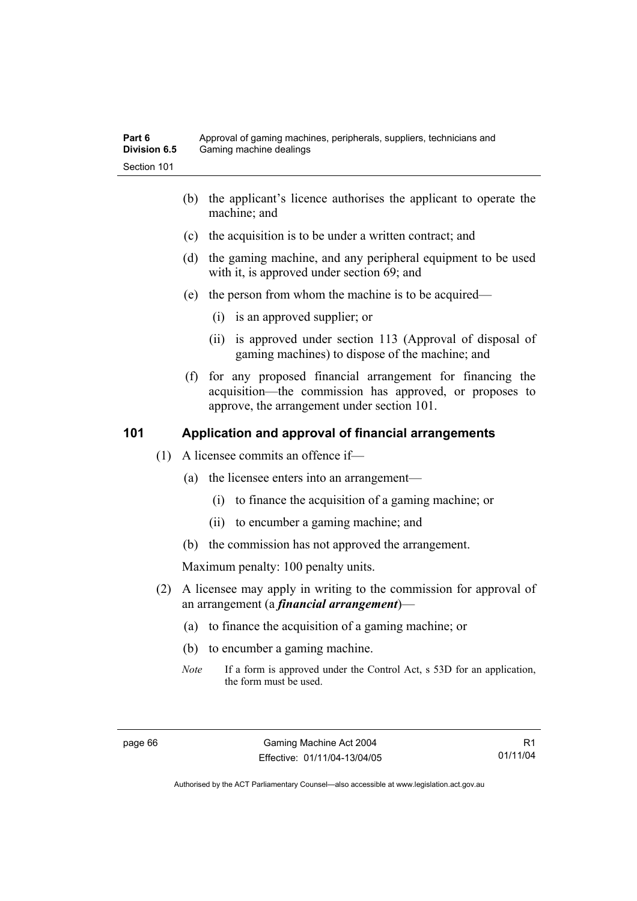- (b) the applicant's licence authorises the applicant to operate the machine; and
- (c) the acquisition is to be under a written contract; and
- (d) the gaming machine, and any peripheral equipment to be used with it, is approved under section 69; and
- (e) the person from whom the machine is to be acquired—
	- (i) is an approved supplier; or
	- (ii) is approved under section 113 (Approval of disposal of gaming machines) to dispose of the machine; and
- (f) for any proposed financial arrangement for financing the acquisition—the commission has approved, or proposes to approve, the arrangement under section 101.

#### **101 Application and approval of financial arrangements**

- (1) A licensee commits an offence if—
	- (a) the licensee enters into an arrangement—
		- (i) to finance the acquisition of a gaming machine; or
		- (ii) to encumber a gaming machine; and
	- (b) the commission has not approved the arrangement.

Maximum penalty: 100 penalty units.

- (2) A licensee may apply in writing to the commission for approval of an arrangement (a *financial arrangement*)—
	- (a) to finance the acquisition of a gaming machine; or
	- (b) to encumber a gaming machine.
	- *Note* If a form is approved under the Control Act, s 53D for an application, the form must be used.

R1 01/11/04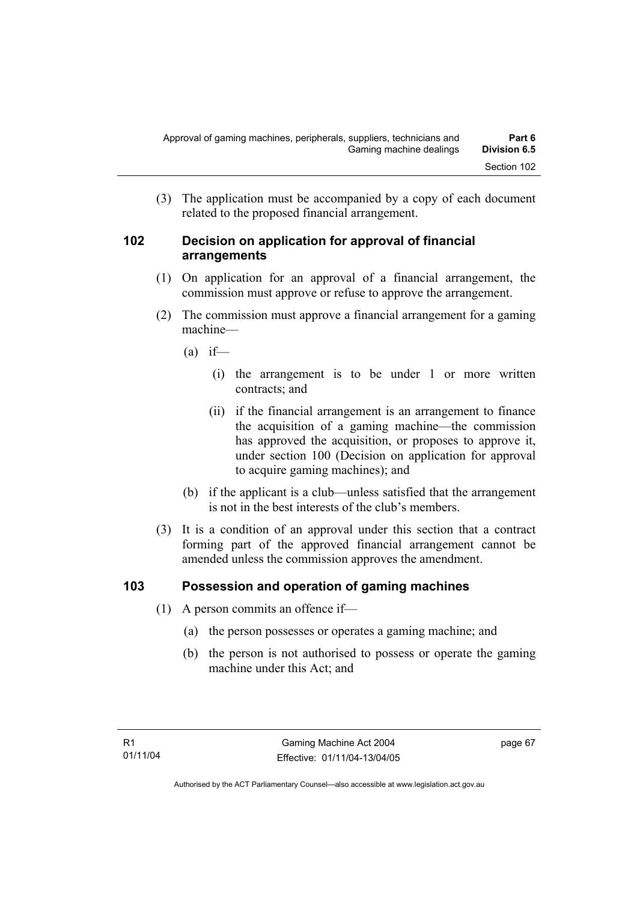(3) The application must be accompanied by a copy of each document related to the proposed financial arrangement.

#### **102 Decision on application for approval of financial arrangements**

- (1) On application for an approval of a financial arrangement, the commission must approve or refuse to approve the arrangement.
- (2) The commission must approve a financial arrangement for a gaming machine—
	- $(a)$  if—
		- (i) the arrangement is to be under 1 or more written contracts; and
		- (ii) if the financial arrangement is an arrangement to finance the acquisition of a gaming machine—the commission has approved the acquisition, or proposes to approve it, under section 100 (Decision on application for approval to acquire gaming machines); and
	- (b) if the applicant is a club—unless satisfied that the arrangement is not in the best interests of the club's members.
- (3) It is a condition of an approval under this section that a contract forming part of the approved financial arrangement cannot be amended unless the commission approves the amendment.

### **103 Possession and operation of gaming machines**

- (1) A person commits an offence if—
	- (a) the person possesses or operates a gaming machine; and
	- (b) the person is not authorised to possess or operate the gaming machine under this Act; and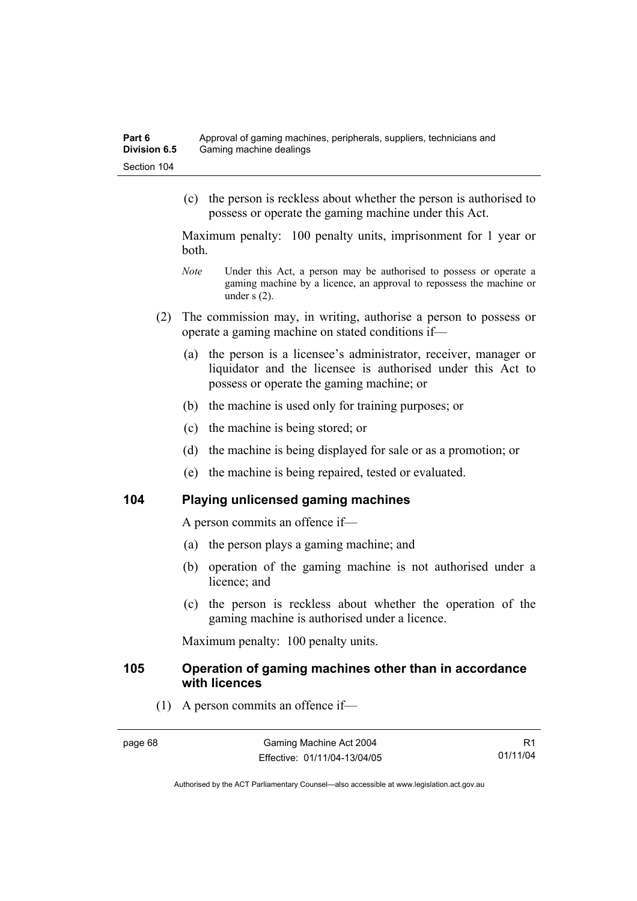(c) the person is reckless about whether the person is authorised to possess or operate the gaming machine under this Act.

Maximum penalty: 100 penalty units, imprisonment for 1 year or both.

- *Note* Under this Act, a person may be authorised to possess or operate a gaming machine by a licence, an approval to repossess the machine or under s (2).
- (2) The commission may, in writing, authorise a person to possess or operate a gaming machine on stated conditions if—
	- (a) the person is a licensee's administrator, receiver, manager or liquidator and the licensee is authorised under this Act to possess or operate the gaming machine; or
	- (b) the machine is used only for training purposes; or
	- (c) the machine is being stored; or
	- (d) the machine is being displayed for sale or as a promotion; or
	- (e) the machine is being repaired, tested or evaluated.

#### **104 Playing unlicensed gaming machines**

A person commits an offence if—

- (a) the person plays a gaming machine; and
- (b) operation of the gaming machine is not authorised under a licence; and
- (c) the person is reckless about whether the operation of the gaming machine is authorised under a licence.

Maximum penalty: 100 penalty units.

#### **105 Operation of gaming machines other than in accordance with licences**

(1) A person commits an offence if—

R1 01/11/04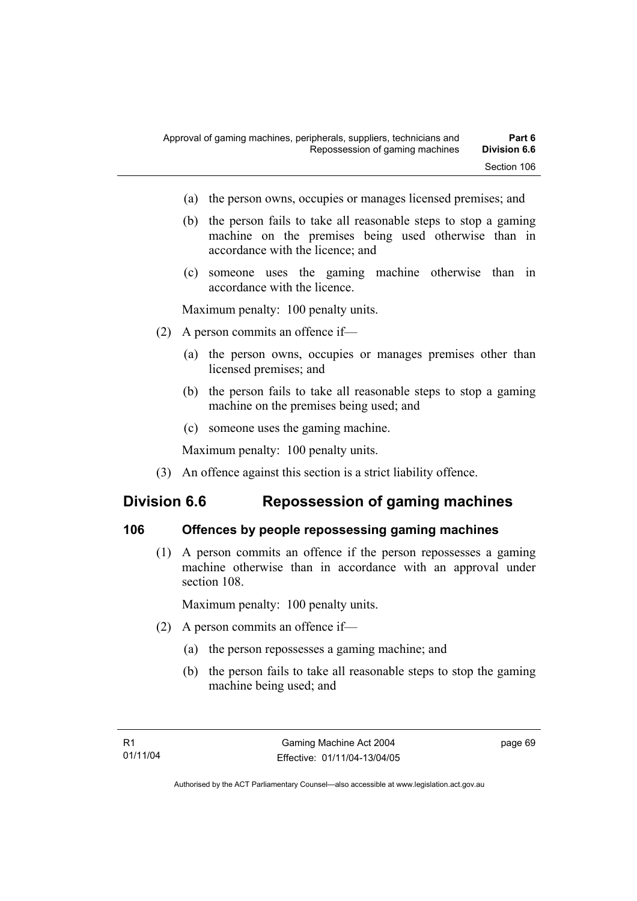- (a) the person owns, occupies or manages licensed premises; and
- (b) the person fails to take all reasonable steps to stop a gaming machine on the premises being used otherwise than in accordance with the licence; and
- (c) someone uses the gaming machine otherwise than in accordance with the licence.

Maximum penalty: 100 penalty units.

- (2) A person commits an offence if—
	- (a) the person owns, occupies or manages premises other than licensed premises; and
	- (b) the person fails to take all reasonable steps to stop a gaming machine on the premises being used; and
	- (c) someone uses the gaming machine.

Maximum penalty: 100 penalty units.

(3) An offence against this section is a strict liability offence.

## **Division 6.6 Repossession of gaming machines**

#### **106 Offences by people repossessing gaming machines**

 (1) A person commits an offence if the person repossesses a gaming machine otherwise than in accordance with an approval under section 108.

Maximum penalty: 100 penalty units.

- (2) A person commits an offence if—
	- (a) the person repossesses a gaming machine; and
	- (b) the person fails to take all reasonable steps to stop the gaming machine being used; and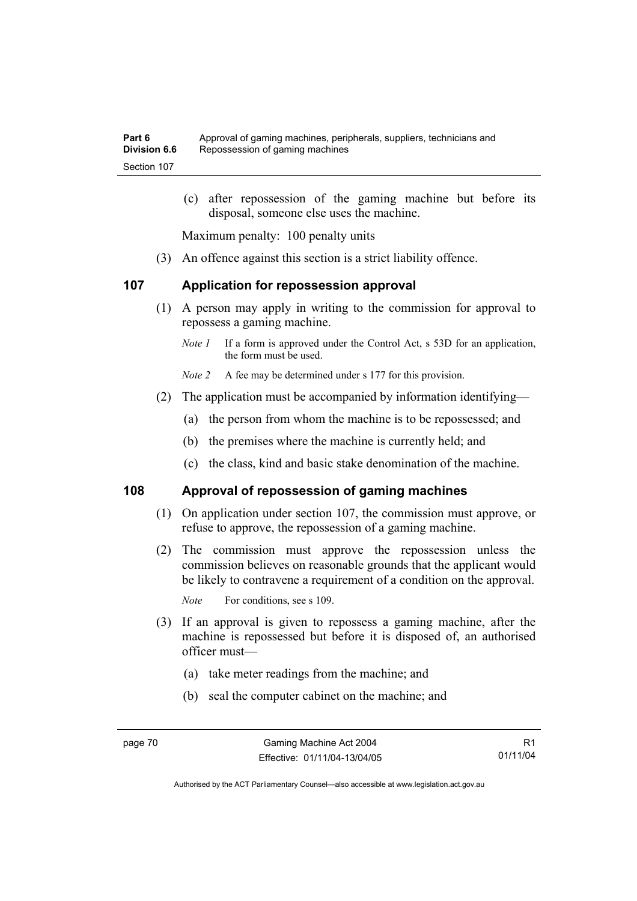(c) after repossession of the gaming machine but before its disposal, someone else uses the machine.

Maximum penalty: 100 penalty units

(3) An offence against this section is a strict liability offence.

#### **107 Application for repossession approval**

- (1) A person may apply in writing to the commission for approval to repossess a gaming machine.
	- *Note 1* If a form is approved under the Control Act, s 53D for an application, the form must be used.

*Note 2* A fee may be determined under s 177 for this provision.

- (2) The application must be accompanied by information identifying—
	- (a) the person from whom the machine is to be repossessed; and
	- (b) the premises where the machine is currently held; and
	- (c) the class, kind and basic stake denomination of the machine.

#### **108 Approval of repossession of gaming machines**

- (1) On application under section 107, the commission must approve, or refuse to approve, the repossession of a gaming machine.
- (2) The commission must approve the repossession unless the commission believes on reasonable grounds that the applicant would be likely to contravene a requirement of a condition on the approval.

*Note* For conditions, see s 109.

- (3) If an approval is given to repossess a gaming machine, after the machine is repossessed but before it is disposed of, an authorised officer must—
	- (a) take meter readings from the machine; and
	- (b) seal the computer cabinet on the machine; and

R1 01/11/04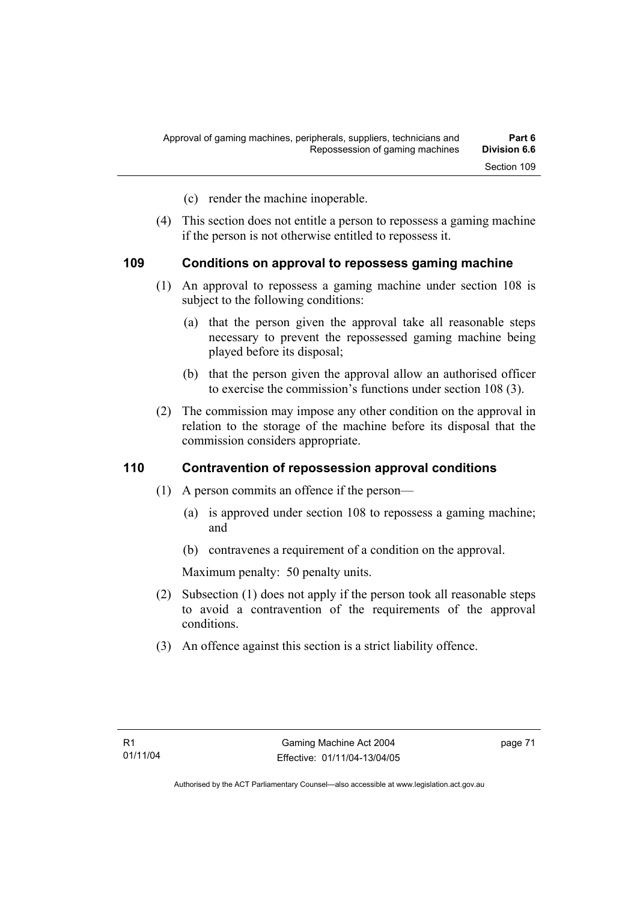- (c) render the machine inoperable.
- (4) This section does not entitle a person to repossess a gaming machine if the person is not otherwise entitled to repossess it.

#### **109 Conditions on approval to repossess gaming machine**

- (1) An approval to repossess a gaming machine under section 108 is subject to the following conditions:
	- (a) that the person given the approval take all reasonable steps necessary to prevent the repossessed gaming machine being played before its disposal;
	- (b) that the person given the approval allow an authorised officer to exercise the commission's functions under section 108 (3).
- (2) The commission may impose any other condition on the approval in relation to the storage of the machine before its disposal that the commission considers appropriate.

#### **110 Contravention of repossession approval conditions**

- (1) A person commits an offence if the person—
	- (a) is approved under section 108 to repossess a gaming machine; and
	- (b) contravenes a requirement of a condition on the approval.

Maximum penalty: 50 penalty units.

- (2) Subsection (1) does not apply if the person took all reasonable steps to avoid a contravention of the requirements of the approval conditions.
- (3) An offence against this section is a strict liability offence.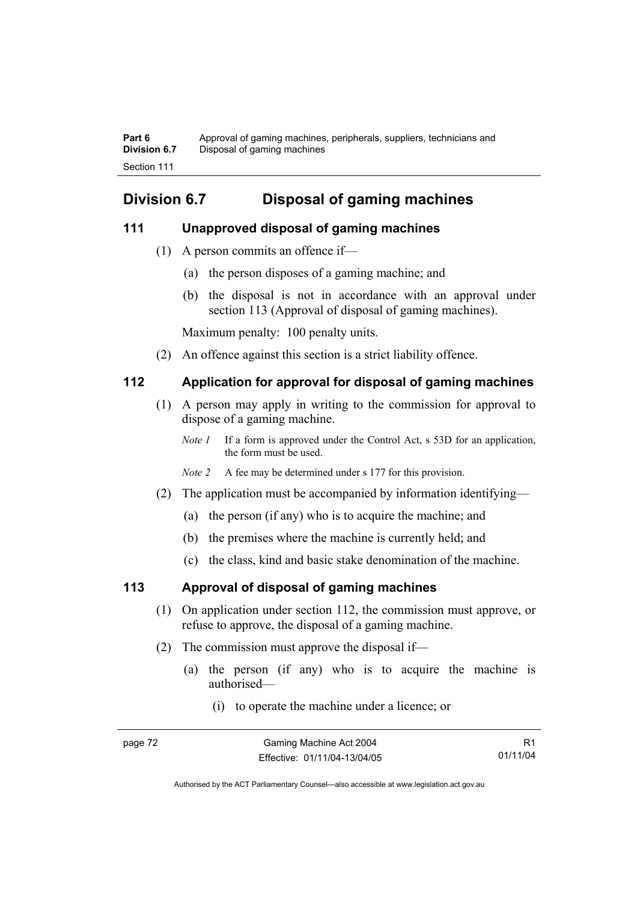**Part 6** Approval of gaming machines, peripherals, suppliers, technicians and **Division 6.7** Disposal of gaming machines Section 111

# **Division 6.7 Disposal of gaming machines**

#### **111 Unapproved disposal of gaming machines**

- (1) A person commits an offence if—
	- (a) the person disposes of a gaming machine; and
	- (b) the disposal is not in accordance with an approval under section 113 (Approval of disposal of gaming machines).

Maximum penalty: 100 penalty units.

(2) An offence against this section is a strict liability offence.

### **112 Application for approval for disposal of gaming machines**

- (1) A person may apply in writing to the commission for approval to dispose of a gaming machine.
	- *Note 1* If a form is approved under the Control Act, s 53D for an application, the form must be used.
	- *Note 2* A fee may be determined under s 177 for this provision.
- (2) The application must be accompanied by information identifying—
	- (a) the person (if any) who is to acquire the machine; and
	- (b) the premises where the machine is currently held; and
	- (c) the class, kind and basic stake denomination of the machine.

### **113 Approval of disposal of gaming machines**

- (1) On application under section 112, the commission must approve, or refuse to approve, the disposal of a gaming machine.
- (2) The commission must approve the disposal if—
	- (a) the person (if any) who is to acquire the machine is authorised—
		- (i) to operate the machine under a licence; or

| page 72 | Gaming Machine Act 2004      |          |
|---------|------------------------------|----------|
|         | Effective: 01/11/04-13/04/05 | 01/11/04 |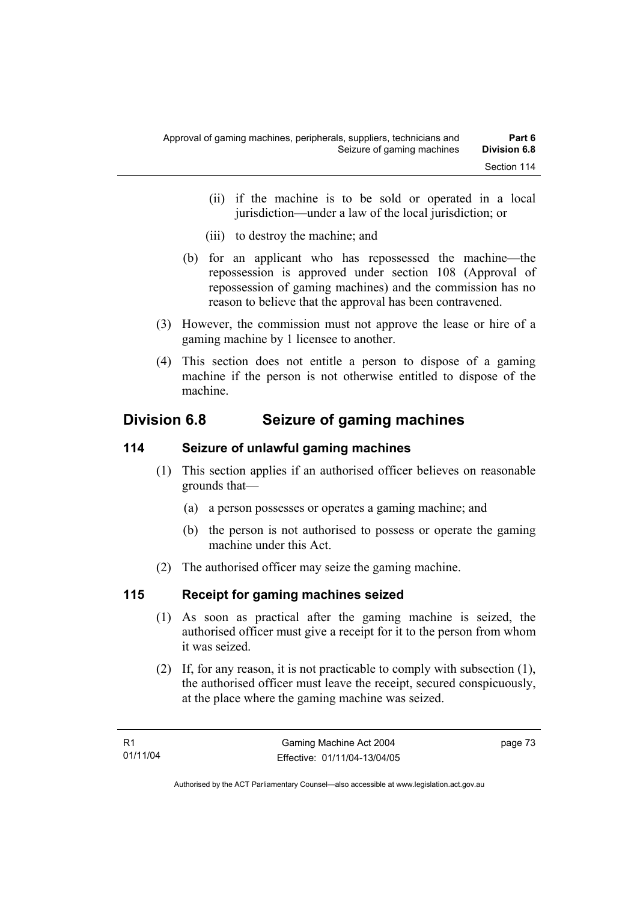- (ii) if the machine is to be sold or operated in a local jurisdiction—under a law of the local jurisdiction; or
- (iii) to destroy the machine; and
- (b) for an applicant who has repossessed the machine—the repossession is approved under section 108 (Approval of repossession of gaming machines) and the commission has no reason to believe that the approval has been contravened.
- (3) However, the commission must not approve the lease or hire of a gaming machine by 1 licensee to another.
- (4) This section does not entitle a person to dispose of a gaming machine if the person is not otherwise entitled to dispose of the machine.

# **Division 6.8 Seizure of gaming machines**

### **114 Seizure of unlawful gaming machines**

- (1) This section applies if an authorised officer believes on reasonable grounds that—
	- (a) a person possesses or operates a gaming machine; and
	- (b) the person is not authorised to possess or operate the gaming machine under this Act.
- (2) The authorised officer may seize the gaming machine.

## **115 Receipt for gaming machines seized**

- (1) As soon as practical after the gaming machine is seized, the authorised officer must give a receipt for it to the person from whom it was seized.
- (2) If, for any reason, it is not practicable to comply with subsection (1), the authorised officer must leave the receipt, secured conspicuously, at the place where the gaming machine was seized.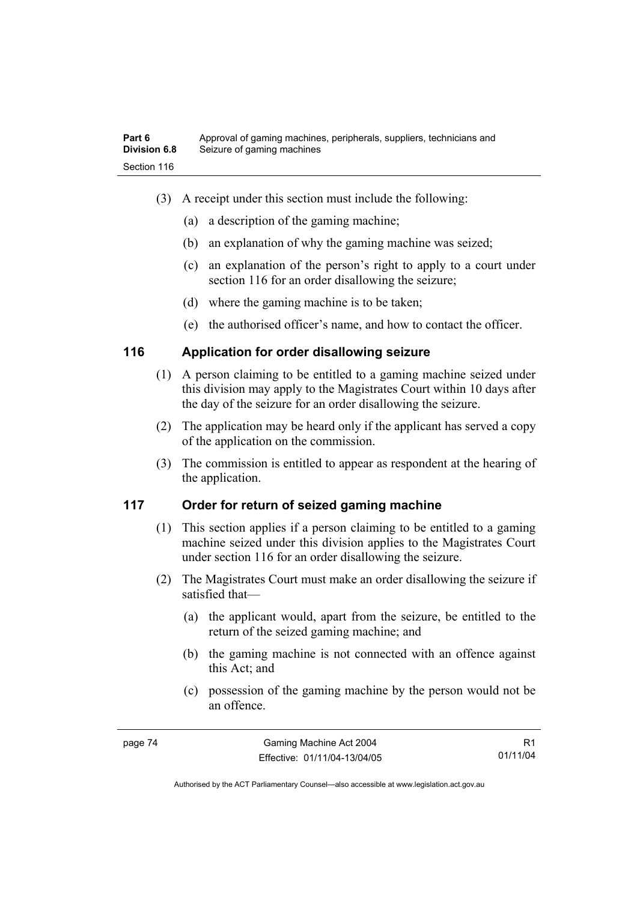- (3) A receipt under this section must include the following:
	- (a) a description of the gaming machine;
	- (b) an explanation of why the gaming machine was seized;
	- (c) an explanation of the person's right to apply to a court under section 116 for an order disallowing the seizure;
	- (d) where the gaming machine is to be taken;
	- (e) the authorised officer's name, and how to contact the officer.

### **116 Application for order disallowing seizure**

- (1) A person claiming to be entitled to a gaming machine seized under this division may apply to the Magistrates Court within 10 days after the day of the seizure for an order disallowing the seizure.
- (2) The application may be heard only if the applicant has served a copy of the application on the commission.
- (3) The commission is entitled to appear as respondent at the hearing of the application.

### **117 Order for return of seized gaming machine**

- (1) This section applies if a person claiming to be entitled to a gaming machine seized under this division applies to the Magistrates Court under section 116 for an order disallowing the seizure.
- (2) The Magistrates Court must make an order disallowing the seizure if satisfied that—
	- (a) the applicant would, apart from the seizure, be entitled to the return of the seized gaming machine; and
	- (b) the gaming machine is not connected with an offence against this Act; and
	- (c) possession of the gaming machine by the person would not be an offence.

R1 01/11/04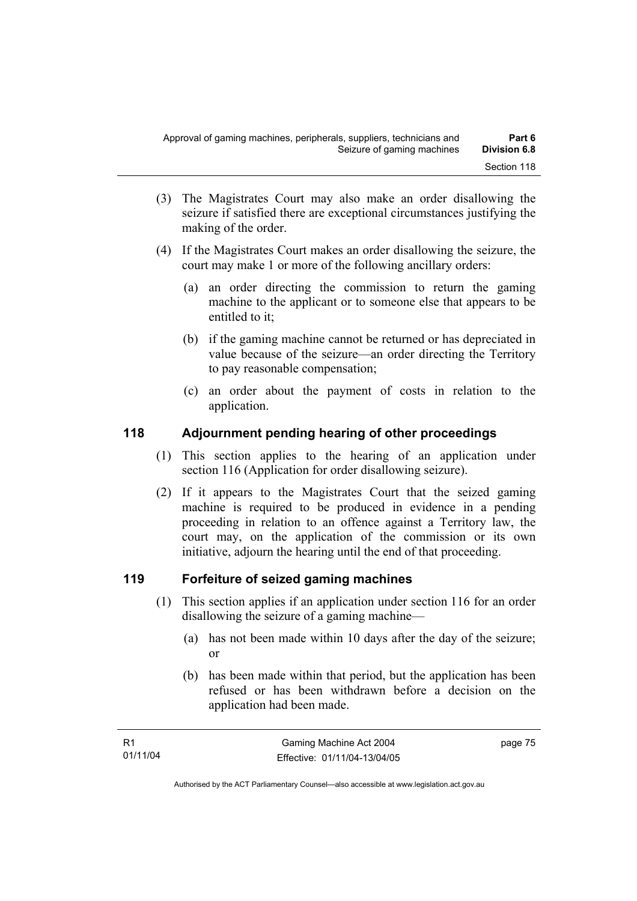- (3) The Magistrates Court may also make an order disallowing the seizure if satisfied there are exceptional circumstances justifying the making of the order.
- (4) If the Magistrates Court makes an order disallowing the seizure, the court may make 1 or more of the following ancillary orders:
	- (a) an order directing the commission to return the gaming machine to the applicant or to someone else that appears to be entitled to it;
	- (b) if the gaming machine cannot be returned or has depreciated in value because of the seizure—an order directing the Territory to pay reasonable compensation;
	- (c) an order about the payment of costs in relation to the application.

### **118 Adjournment pending hearing of other proceedings**

- (1) This section applies to the hearing of an application under section 116 (Application for order disallowing seizure).
- (2) If it appears to the Magistrates Court that the seized gaming machine is required to be produced in evidence in a pending proceeding in relation to an offence against a Territory law, the court may, on the application of the commission or its own initiative, adjourn the hearing until the end of that proceeding.

### **119 Forfeiture of seized gaming machines**

- (1) This section applies if an application under section 116 for an order disallowing the seizure of a gaming machine—
	- (a) has not been made within 10 days after the day of the seizure; or
	- (b) has been made within that period, but the application has been refused or has been withdrawn before a decision on the application had been made.

page 75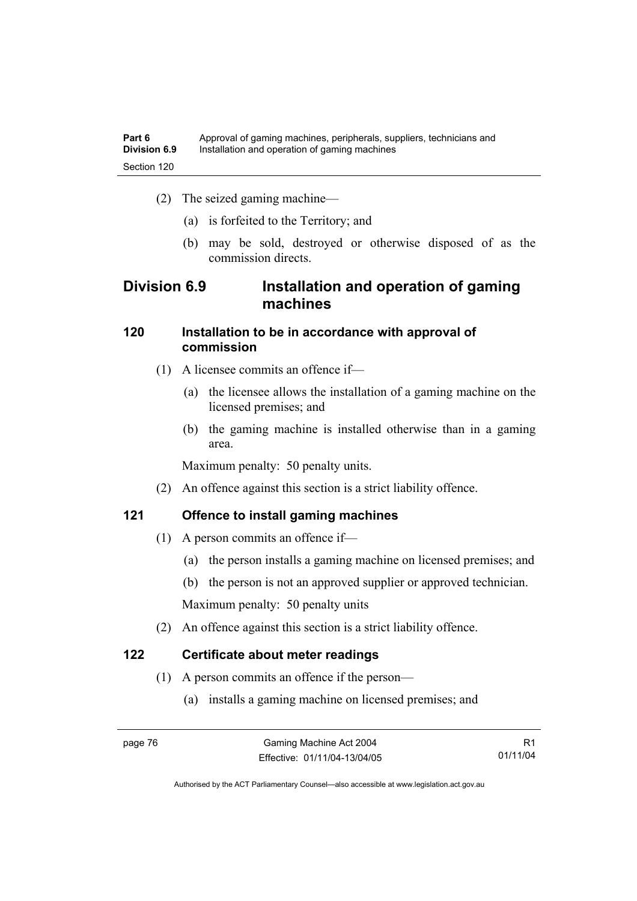- (2) The seized gaming machine—
	- (a) is forfeited to the Territory; and
	- (b) may be sold, destroyed or otherwise disposed of as the commission directs.

# **Division 6.9 Installation and operation of gaming machines**

### **120 Installation to be in accordance with approval of commission**

- (1) A licensee commits an offence if—
	- (a) the licensee allows the installation of a gaming machine on the licensed premises; and
	- (b) the gaming machine is installed otherwise than in a gaming area.

Maximum penalty: 50 penalty units.

(2) An offence against this section is a strict liability offence.

### **121 Offence to install gaming machines**

- (1) A person commits an offence if—
	- (a) the person installs a gaming machine on licensed premises; and
	- (b) the person is not an approved supplier or approved technician.

Maximum penalty: 50 penalty units

(2) An offence against this section is a strict liability offence.

### **122 Certificate about meter readings**

- (1) A person commits an offence if the person—
	- (a) installs a gaming machine on licensed premises; and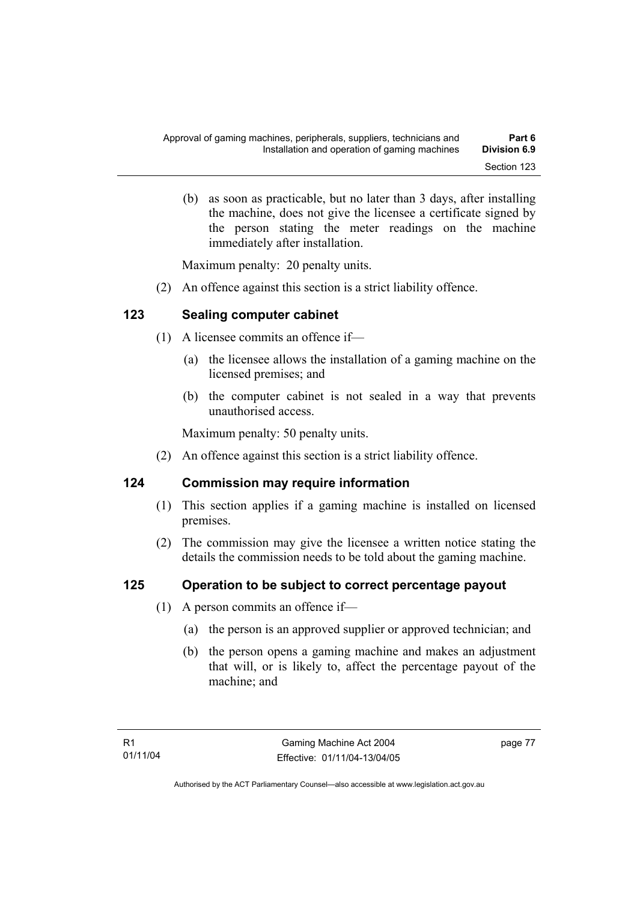(b) as soon as practicable, but no later than 3 days, after installing the machine, does not give the licensee a certificate signed by the person stating the meter readings on the machine immediately after installation.

Maximum penalty: 20 penalty units.

(2) An offence against this section is a strict liability offence.

### **123 Sealing computer cabinet**

- (1) A licensee commits an offence if—
	- (a) the licensee allows the installation of a gaming machine on the licensed premises; and
	- (b) the computer cabinet is not sealed in a way that prevents unauthorised access.

Maximum penalty: 50 penalty units.

(2) An offence against this section is a strict liability offence.

### **124 Commission may require information**

- (1) This section applies if a gaming machine is installed on licensed premises.
- (2) The commission may give the licensee a written notice stating the details the commission needs to be told about the gaming machine.

### **125 Operation to be subject to correct percentage payout**

- (1) A person commits an offence if—
	- (a) the person is an approved supplier or approved technician; and
	- (b) the person opens a gaming machine and makes an adjustment that will, or is likely to, affect the percentage payout of the machine; and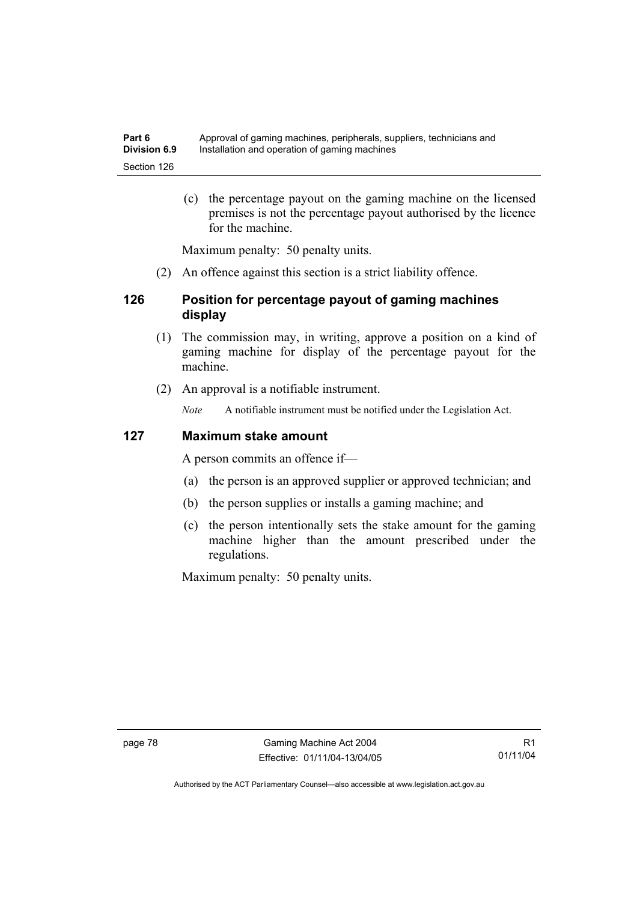(c) the percentage payout on the gaming machine on the licensed premises is not the percentage payout authorised by the licence for the machine.

Maximum penalty: 50 penalty units.

(2) An offence against this section is a strict liability offence.

### **126 Position for percentage payout of gaming machines display**

- (1) The commission may, in writing, approve a position on a kind of gaming machine for display of the percentage payout for the machine.
- (2) An approval is a notifiable instrument.

*Note* A notifiable instrument must be notified under the Legislation Act.

#### **127 Maximum stake amount**

A person commits an offence if—

- (a) the person is an approved supplier or approved technician; and
- (b) the person supplies or installs a gaming machine; and
- (c) the person intentionally sets the stake amount for the gaming machine higher than the amount prescribed under the regulations.

Maximum penalty: 50 penalty units.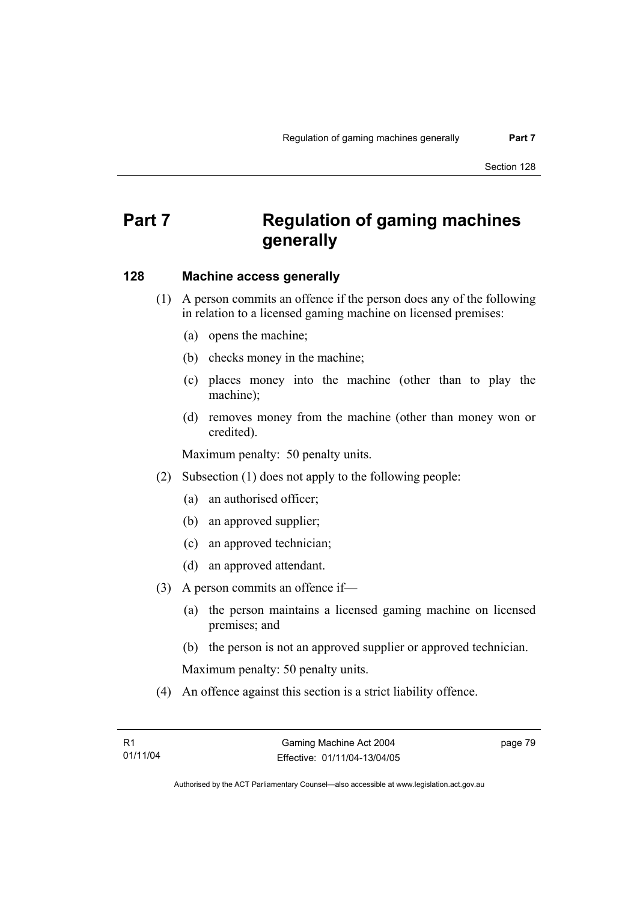# **Part 7 Regulation of gaming machines generally**

#### **128 Machine access generally**

- (1) A person commits an offence if the person does any of the following in relation to a licensed gaming machine on licensed premises:
	- (a) opens the machine;
	- (b) checks money in the machine;
	- (c) places money into the machine (other than to play the machine);
	- (d) removes money from the machine (other than money won or credited).

Maximum penalty: 50 penalty units.

- (2) Subsection (1) does not apply to the following people:
	- (a) an authorised officer;
	- (b) an approved supplier;
	- (c) an approved technician;
	- (d) an approved attendant.
- (3) A person commits an offence if—
	- (a) the person maintains a licensed gaming machine on licensed premises; and
	- (b) the person is not an approved supplier or approved technician.

Maximum penalty: 50 penalty units.

(4) An offence against this section is a strict liability offence.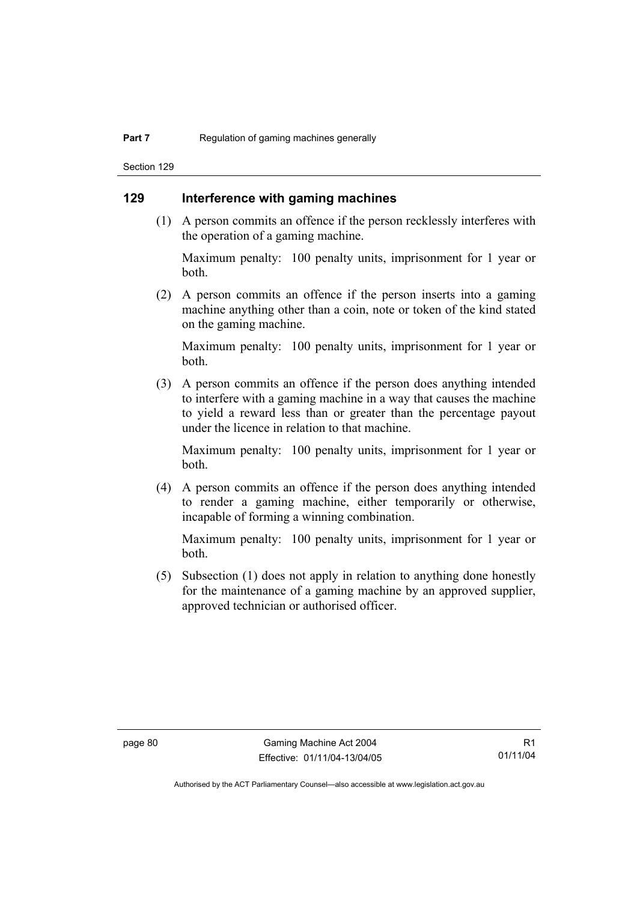Section 129

### **129 Interference with gaming machines**

 (1) A person commits an offence if the person recklessly interferes with the operation of a gaming machine.

Maximum penalty: 100 penalty units, imprisonment for 1 year or both.

 (2) A person commits an offence if the person inserts into a gaming machine anything other than a coin, note or token of the kind stated on the gaming machine.

Maximum penalty: 100 penalty units, imprisonment for 1 year or both.

 (3) A person commits an offence if the person does anything intended to interfere with a gaming machine in a way that causes the machine to yield a reward less than or greater than the percentage payout under the licence in relation to that machine.

Maximum penalty: 100 penalty units, imprisonment for 1 year or both.

 (4) A person commits an offence if the person does anything intended to render a gaming machine, either temporarily or otherwise, incapable of forming a winning combination.

Maximum penalty: 100 penalty units, imprisonment for 1 year or both.

 (5) Subsection (1) does not apply in relation to anything done honestly for the maintenance of a gaming machine by an approved supplier, approved technician or authorised officer.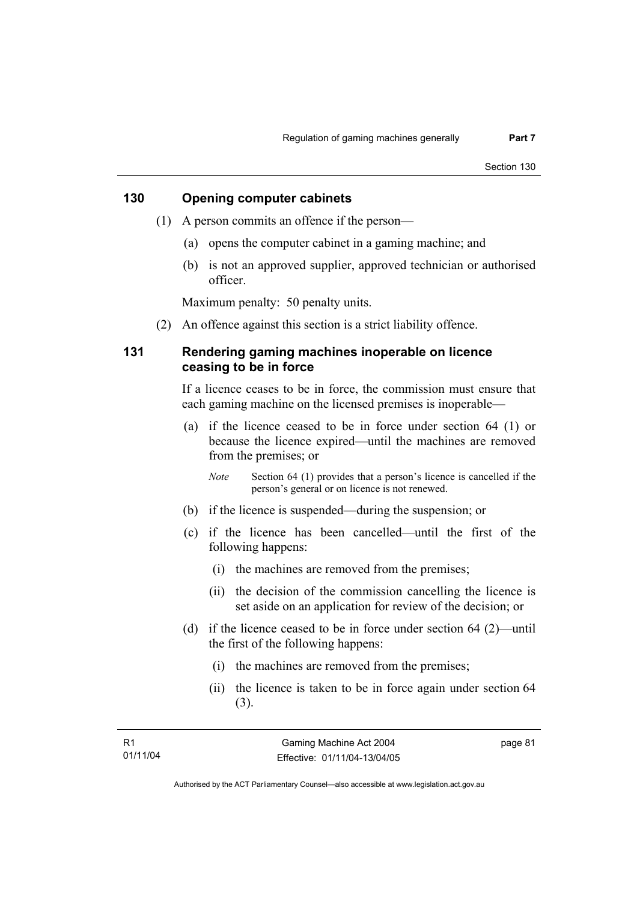#### **130 Opening computer cabinets**

- (1) A person commits an offence if the person—
	- (a) opens the computer cabinet in a gaming machine; and
	- (b) is not an approved supplier, approved technician or authorised officer.

Maximum penalty: 50 penalty units.

(2) An offence against this section is a strict liability offence.

#### **131 Rendering gaming machines inoperable on licence ceasing to be in force**

If a licence ceases to be in force, the commission must ensure that each gaming machine on the licensed premises is inoperable—

 (a) if the licence ceased to be in force under section 64 (1) or because the licence expired—until the machines are removed from the premises; or

*Note* Section 64 (1) provides that a person's licence is cancelled if the person's general or on licence is not renewed.

- (b) if the licence is suspended—during the suspension; or
- (c) if the licence has been cancelled—until the first of the following happens:
	- (i) the machines are removed from the premises;
	- (ii) the decision of the commission cancelling the licence is set aside on an application for review of the decision; or
- (d) if the licence ceased to be in force under section 64 (2)—until the first of the following happens:
	- (i) the machines are removed from the premises;
	- (ii) the licence is taken to be in force again under section 64 (3).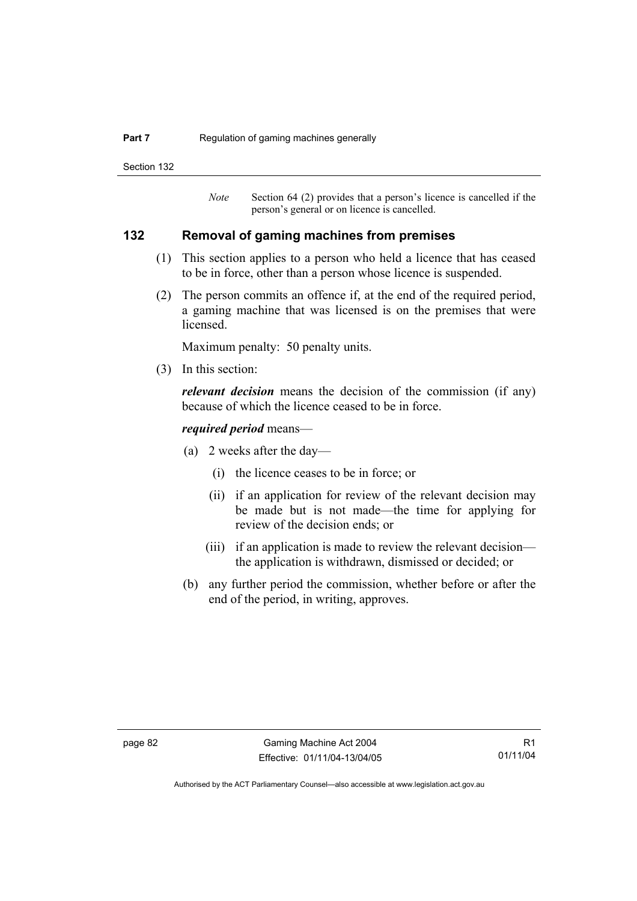#### **Part 7 Regulation of gaming machines generally**

Section 132

*Note* Section 64 (2) provides that a person's licence is cancelled if the person's general or on licence is cancelled.

#### **132 Removal of gaming machines from premises**

- (1) This section applies to a person who held a licence that has ceased to be in force, other than a person whose licence is suspended.
- (2) The person commits an offence if, at the end of the required period, a gaming machine that was licensed is on the premises that were licensed.

Maximum penalty: 50 penalty units.

(3) In this section:

*relevant decision* means the decision of the commission (if any) because of which the licence ceased to be in force.

#### *required period* means—

- (a) 2 weeks after the day—
	- (i) the licence ceases to be in force; or
	- (ii) if an application for review of the relevant decision may be made but is not made—the time for applying for review of the decision ends; or
	- (iii) if an application is made to review the relevant decision the application is withdrawn, dismissed or decided; or
- (b) any further period the commission, whether before or after the end of the period, in writing, approves.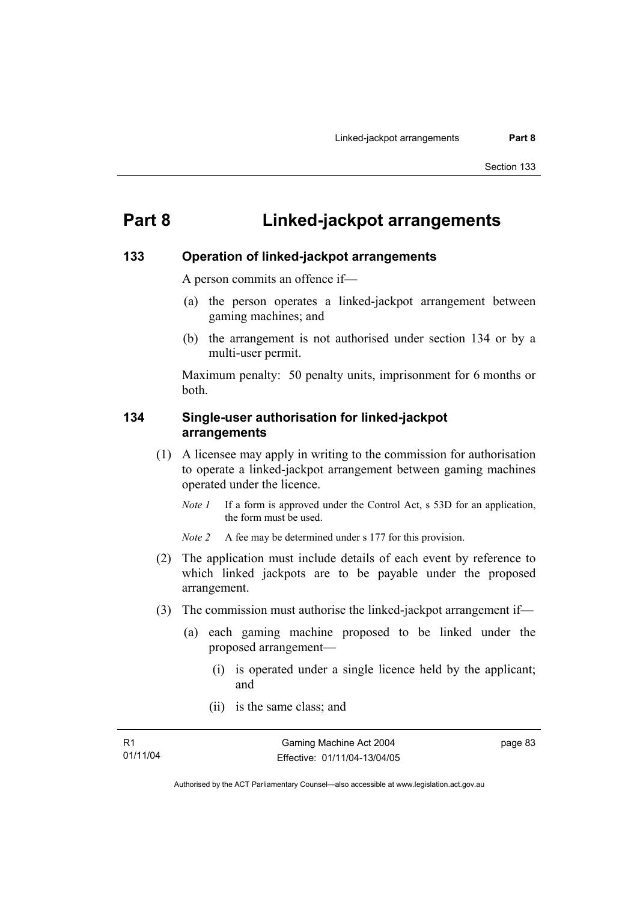# **Part 8 Linked-jackpot arrangements**

#### **133 Operation of linked-jackpot arrangements**

A person commits an offence if—

- (a) the person operates a linked-jackpot arrangement between gaming machines; and
- (b) the arrangement is not authorised under section 134 or by a multi-user permit.

Maximum penalty: 50 penalty units, imprisonment for 6 months or both.

#### **134 Single-user authorisation for linked-jackpot arrangements**

- (1) A licensee may apply in writing to the commission for authorisation to operate a linked-jackpot arrangement between gaming machines operated under the licence.
	- *Note 1* If a form is approved under the Control Act, s 53D for an application, the form must be used.

*Note 2* A fee may be determined under s 177 for this provision.

- (2) The application must include details of each event by reference to which linked jackpots are to be payable under the proposed arrangement.
- (3) The commission must authorise the linked-jackpot arrangement if—
	- (a) each gaming machine proposed to be linked under the proposed arrangement—
		- (i) is operated under a single licence held by the applicant; and
		- (ii) is the same class; and

page 83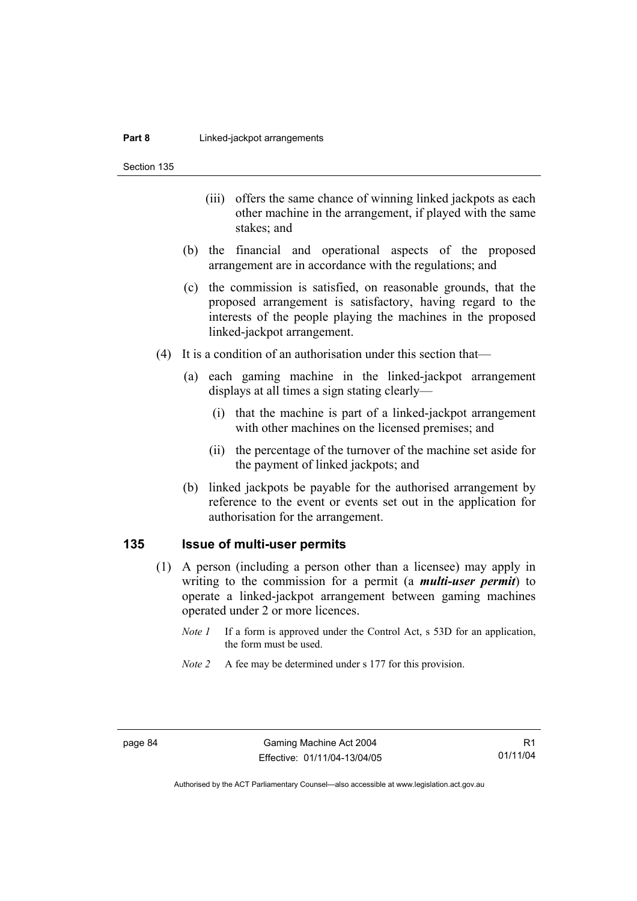Section 135

- (iii) offers the same chance of winning linked jackpots as each other machine in the arrangement, if played with the same stakes; and
- (b) the financial and operational aspects of the proposed arrangement are in accordance with the regulations; and
- (c) the commission is satisfied, on reasonable grounds, that the proposed arrangement is satisfactory, having regard to the interests of the people playing the machines in the proposed linked-jackpot arrangement.
- (4) It is a condition of an authorisation under this section that—
	- (a) each gaming machine in the linked-jackpot arrangement displays at all times a sign stating clearly—
		- (i) that the machine is part of a linked-jackpot arrangement with other machines on the licensed premises; and
		- (ii) the percentage of the turnover of the machine set aside for the payment of linked jackpots; and
	- (b) linked jackpots be payable for the authorised arrangement by reference to the event or events set out in the application for authorisation for the arrangement.

#### **135 Issue of multi-user permits**

- (1) A person (including a person other than a licensee) may apply in writing to the commission for a permit (a *multi-user permit*) to operate a linked-jackpot arrangement between gaming machines operated under 2 or more licences.
	- *Note 1* If a form is approved under the Control Act, s 53D for an application, the form must be used.
	- *Note 2* A fee may be determined under s 177 for this provision.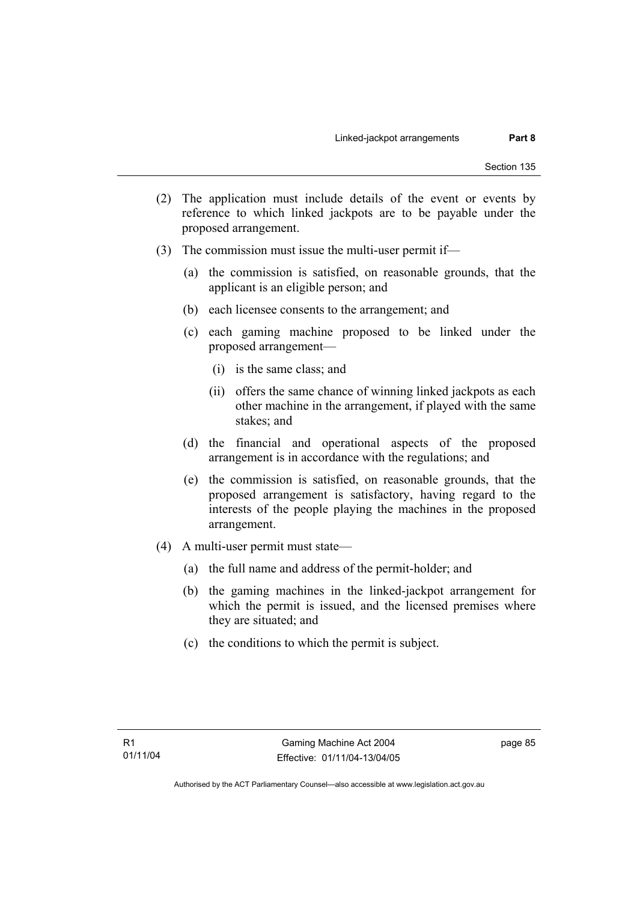- (2) The application must include details of the event or events by reference to which linked jackpots are to be payable under the proposed arrangement.
- (3) The commission must issue the multi-user permit if—
	- (a) the commission is satisfied, on reasonable grounds, that the applicant is an eligible person; and
	- (b) each licensee consents to the arrangement; and
	- (c) each gaming machine proposed to be linked under the proposed arrangement—
		- (i) is the same class; and
		- (ii) offers the same chance of winning linked jackpots as each other machine in the arrangement, if played with the same stakes; and
	- (d) the financial and operational aspects of the proposed arrangement is in accordance with the regulations; and
	- (e) the commission is satisfied, on reasonable grounds, that the proposed arrangement is satisfactory, having regard to the interests of the people playing the machines in the proposed arrangement.
- (4) A multi-user permit must state—
	- (a) the full name and address of the permit-holder; and
	- (b) the gaming machines in the linked-jackpot arrangement for which the permit is issued, and the licensed premises where they are situated; and
	- (c) the conditions to which the permit is subject.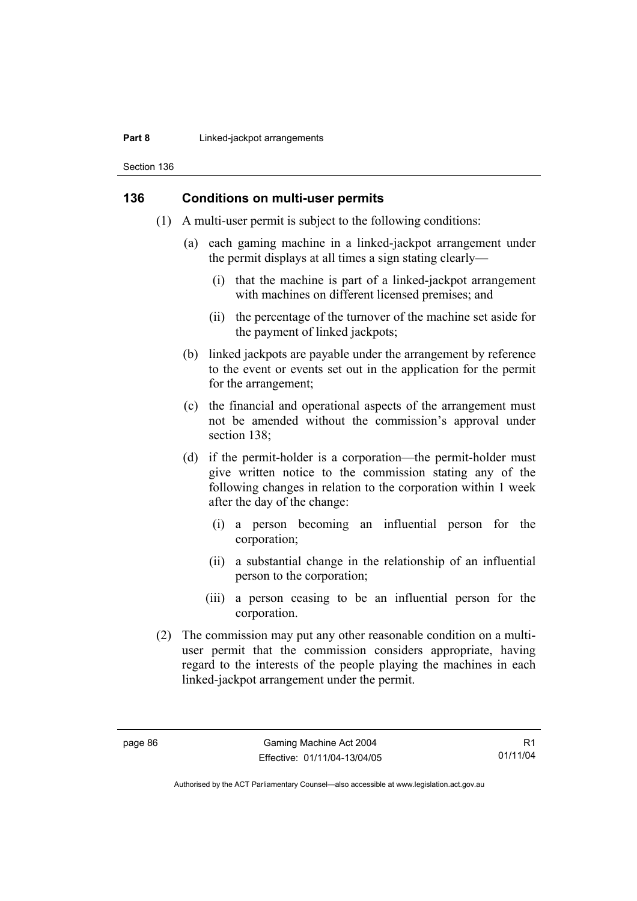#### **Part 8 Linked-jackpot arrangements**

Section 136

#### **136 Conditions on multi-user permits**

- (1) A multi-user permit is subject to the following conditions:
	- (a) each gaming machine in a linked-jackpot arrangement under the permit displays at all times a sign stating clearly—
		- (i) that the machine is part of a linked-jackpot arrangement with machines on different licensed premises; and
		- (ii) the percentage of the turnover of the machine set aside for the payment of linked jackpots;
	- (b) linked jackpots are payable under the arrangement by reference to the event or events set out in the application for the permit for the arrangement;
	- (c) the financial and operational aspects of the arrangement must not be amended without the commission's approval under section 138:
	- (d) if the permit-holder is a corporation—the permit-holder must give written notice to the commission stating any of the following changes in relation to the corporation within 1 week after the day of the change:
		- (i) a person becoming an influential person for the corporation;
		- (ii) a substantial change in the relationship of an influential person to the corporation;
		- (iii) a person ceasing to be an influential person for the corporation.
- (2) The commission may put any other reasonable condition on a multiuser permit that the commission considers appropriate, having regard to the interests of the people playing the machines in each linked-jackpot arrangement under the permit.

R1 01/11/04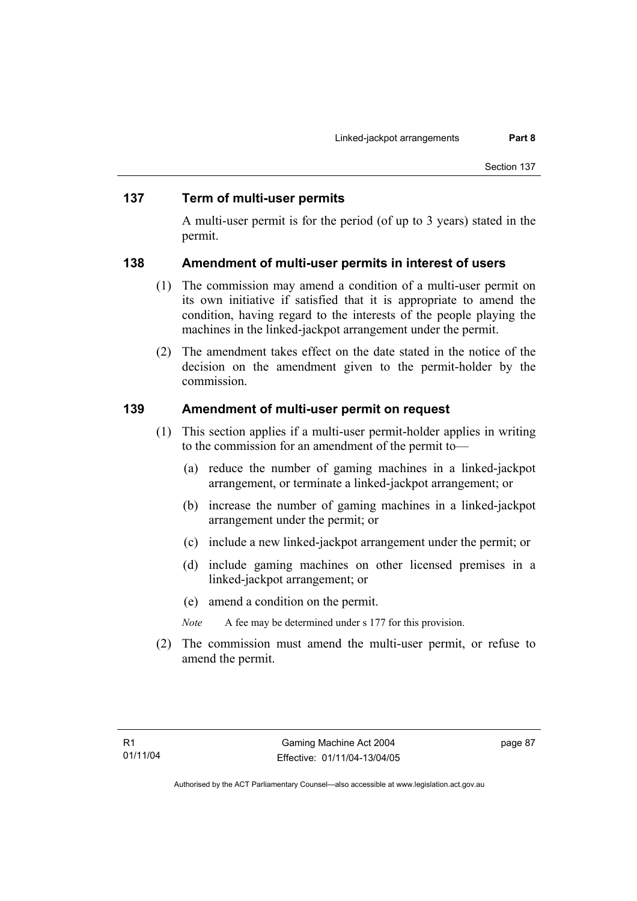#### **137 Term of multi-user permits**

A multi-user permit is for the period (of up to 3 years) stated in the permit.

#### **138 Amendment of multi-user permits in interest of users**

- (1) The commission may amend a condition of a multi-user permit on its own initiative if satisfied that it is appropriate to amend the condition, having regard to the interests of the people playing the machines in the linked-jackpot arrangement under the permit.
- (2) The amendment takes effect on the date stated in the notice of the decision on the amendment given to the permit-holder by the commission.

### **139 Amendment of multi-user permit on request**

- (1) This section applies if a multi-user permit-holder applies in writing to the commission for an amendment of the permit to—
	- (a) reduce the number of gaming machines in a linked-jackpot arrangement, or terminate a linked-jackpot arrangement; or
	- (b) increase the number of gaming machines in a linked-jackpot arrangement under the permit; or
	- (c) include a new linked-jackpot arrangement under the permit; or
	- (d) include gaming machines on other licensed premises in a linked-jackpot arrangement; or
	- (e) amend a condition on the permit.
	- *Note* A fee may be determined under s 177 for this provision.
- (2) The commission must amend the multi-user permit, or refuse to amend the permit.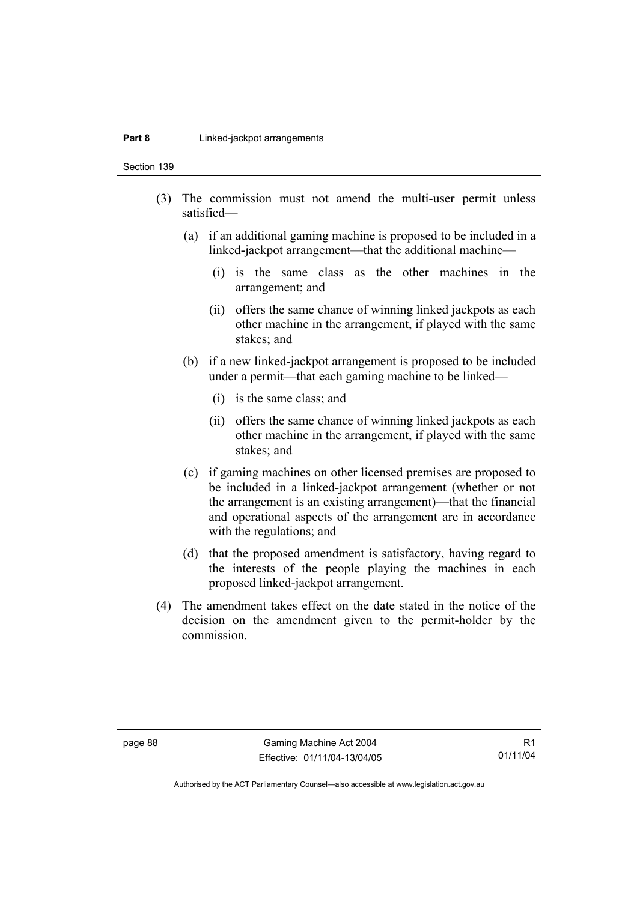#### **Part 8 Linked-jackpot arrangements**

Section 139

- (3) The commission must not amend the multi-user permit unless satisfied—
	- (a) if an additional gaming machine is proposed to be included in a linked-jackpot arrangement—that the additional machine—
		- (i) is the same class as the other machines in the arrangement; and
		- (ii) offers the same chance of winning linked jackpots as each other machine in the arrangement, if played with the same stakes; and
	- (b) if a new linked-jackpot arrangement is proposed to be included under a permit—that each gaming machine to be linked—
		- (i) is the same class; and
		- (ii) offers the same chance of winning linked jackpots as each other machine in the arrangement, if played with the same stakes; and
	- (c) if gaming machines on other licensed premises are proposed to be included in a linked-jackpot arrangement (whether or not the arrangement is an existing arrangement)—that the financial and operational aspects of the arrangement are in accordance with the regulations; and
	- (d) that the proposed amendment is satisfactory, having regard to the interests of the people playing the machines in each proposed linked-jackpot arrangement.
- (4) The amendment takes effect on the date stated in the notice of the decision on the amendment given to the permit-holder by the commission.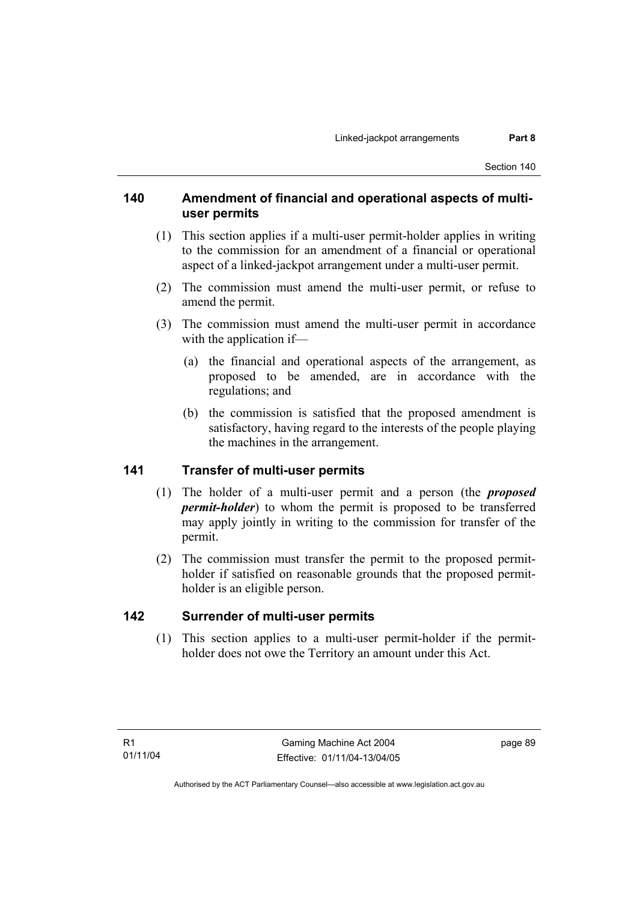#### **140 Amendment of financial and operational aspects of multiuser permits**

- (1) This section applies if a multi-user permit-holder applies in writing to the commission for an amendment of a financial or operational aspect of a linked-jackpot arrangement under a multi-user permit.
- (2) The commission must amend the multi-user permit, or refuse to amend the permit.
- (3) The commission must amend the multi-user permit in accordance with the application if—
	- (a) the financial and operational aspects of the arrangement, as proposed to be amended, are in accordance with the regulations; and
	- (b) the commission is satisfied that the proposed amendment is satisfactory, having regard to the interests of the people playing the machines in the arrangement.

### **141 Transfer of multi-user permits**

- (1) The holder of a multi-user permit and a person (the *proposed permit-holder*) to whom the permit is proposed to be transferred may apply jointly in writing to the commission for transfer of the permit.
- (2) The commission must transfer the permit to the proposed permitholder if satisfied on reasonable grounds that the proposed permitholder is an eligible person.

### **142 Surrender of multi-user permits**

 (1) This section applies to a multi-user permit-holder if the permitholder does not owe the Territory an amount under this Act.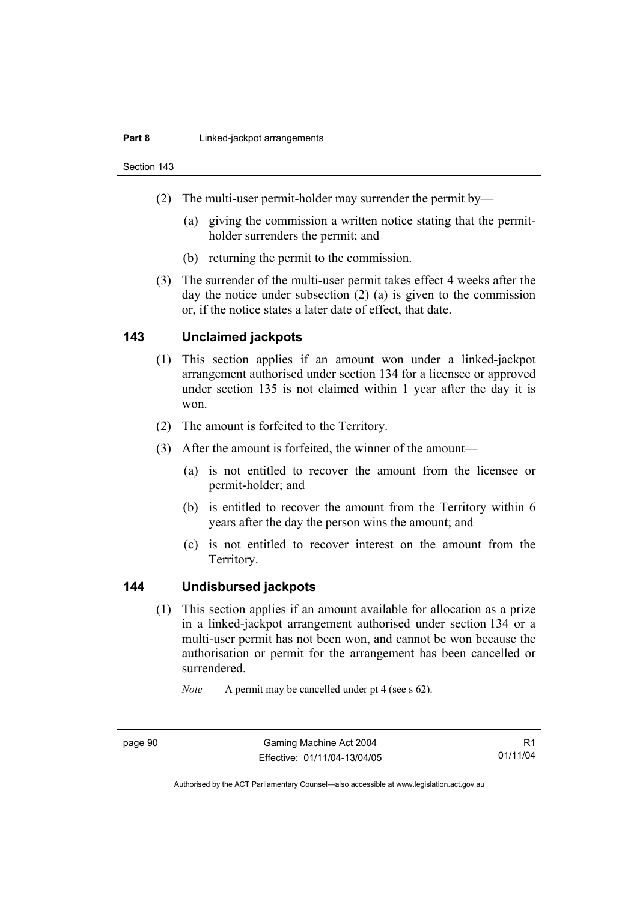#### **Part 8 Linked-jackpot arrangements**

Section 143

- (2) The multi-user permit-holder may surrender the permit by—
	- (a) giving the commission a written notice stating that the permitholder surrenders the permit; and
	- (b) returning the permit to the commission.
- (3) The surrender of the multi-user permit takes effect 4 weeks after the day the notice under subsection (2) (a) is given to the commission or, if the notice states a later date of effect, that date.

#### **143 Unclaimed jackpots**

- (1) This section applies if an amount won under a linked-jackpot arrangement authorised under section 134 for a licensee or approved under section 135 is not claimed within 1 year after the day it is won.
- (2) The amount is forfeited to the Territory.
- (3) After the amount is forfeited, the winner of the amount—
	- (a) is not entitled to recover the amount from the licensee or permit-holder; and
	- (b) is entitled to recover the amount from the Territory within 6 years after the day the person wins the amount; and
	- (c) is not entitled to recover interest on the amount from the Territory.

#### **144 Undisbursed jackpots**

 (1) This section applies if an amount available for allocation as a prize in a linked-jackpot arrangement authorised under section 134 or a multi-user permit has not been won, and cannot be won because the authorisation or permit for the arrangement has been cancelled or surrendered.

*Note* A permit may be cancelled under pt 4 (see s 62).

page 90 Gaming Machine Act 2004 Effective: 01/11/04-13/04/05

R1 01/11/04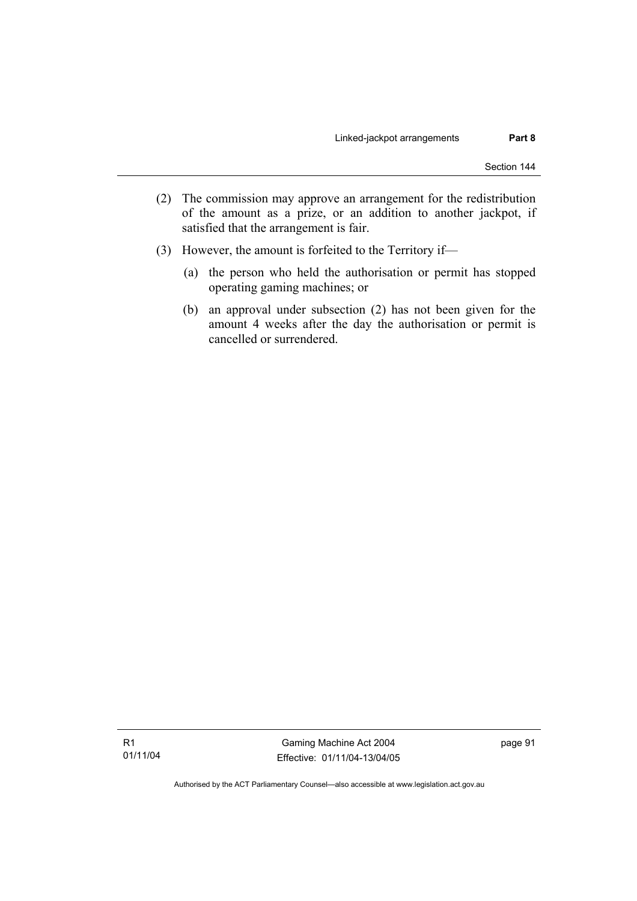- (2) The commission may approve an arrangement for the redistribution of the amount as a prize, or an addition to another jackpot, if satisfied that the arrangement is fair.
- (3) However, the amount is forfeited to the Territory if—
	- (a) the person who held the authorisation or permit has stopped operating gaming machines; or
	- (b) an approval under subsection (2) has not been given for the amount 4 weeks after the day the authorisation or permit is cancelled or surrendered.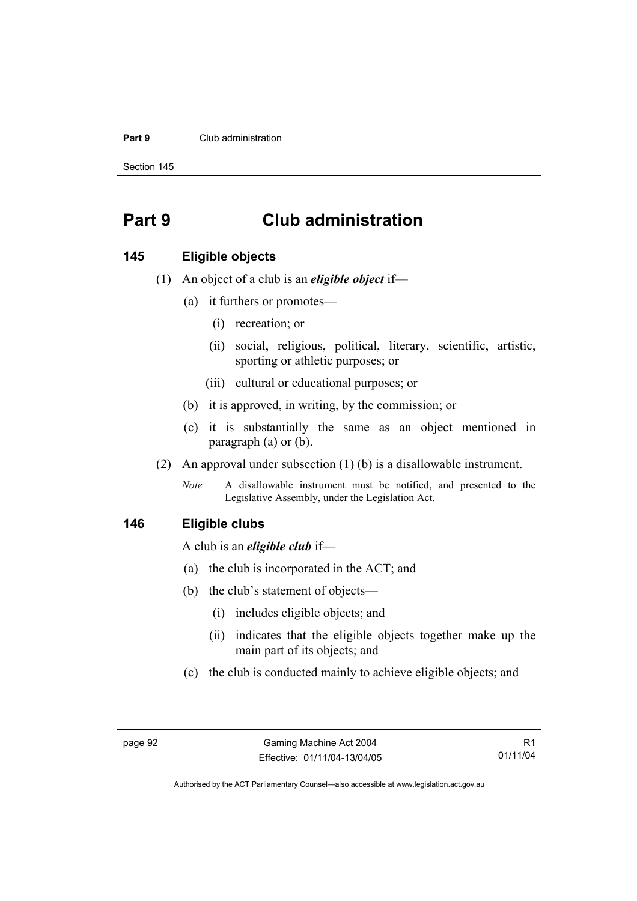#### **Part 9** Club administration

Section 145

# **Part 9 Club administration**

#### **145 Eligible objects**

- (1) An object of a club is an *eligible object* if—
	- (a) it furthers or promotes—
		- (i) recreation; or
		- (ii) social, religious, political, literary, scientific, artistic, sporting or athletic purposes; or
		- (iii) cultural or educational purposes; or
	- (b) it is approved, in writing, by the commission; or
	- (c) it is substantially the same as an object mentioned in paragraph (a) or (b).
- (2) An approval under subsection (1) (b) is a disallowable instrument.
	- *Note* A disallowable instrument must be notified, and presented to the Legislative Assembly, under the Legislation Act.

#### **146 Eligible clubs**

A club is an *eligible club* if—

- (a) the club is incorporated in the ACT; and
- (b) the club's statement of objects—
	- (i) includes eligible objects; and
	- (ii) indicates that the eligible objects together make up the main part of its objects; and
- (c) the club is conducted mainly to achieve eligible objects; and

R1 01/11/04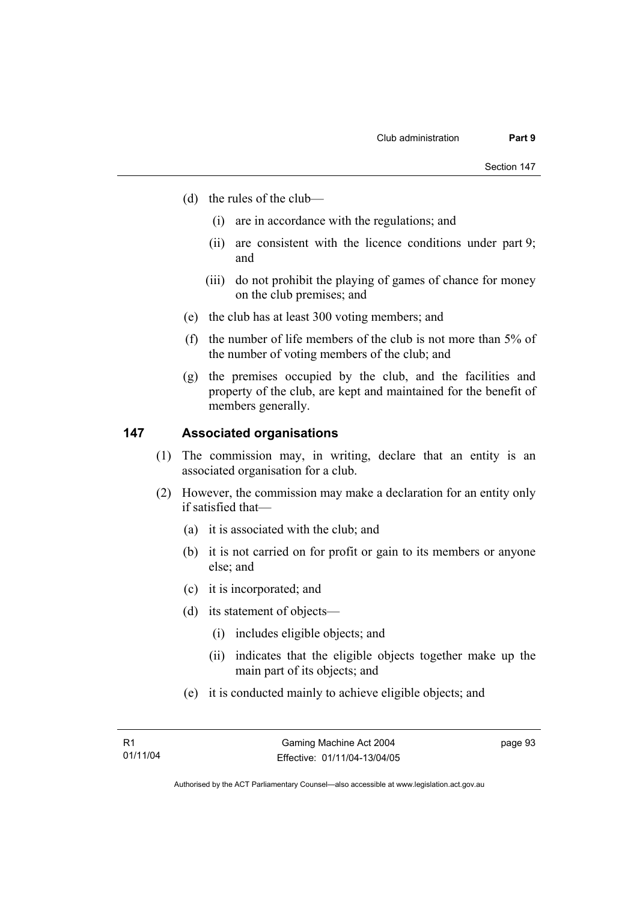- (d) the rules of the club—
	- (i) are in accordance with the regulations; and
	- (ii) are consistent with the licence conditions under part 9; and
	- (iii) do not prohibit the playing of games of chance for money on the club premises; and
- (e) the club has at least 300 voting members; and
- (f) the number of life members of the club is not more than 5% of the number of voting members of the club; and
- (g) the premises occupied by the club, and the facilities and property of the club, are kept and maintained for the benefit of members generally.

#### **147 Associated organisations**

- (1) The commission may, in writing, declare that an entity is an associated organisation for a club.
- (2) However, the commission may make a declaration for an entity only if satisfied that—
	- (a) it is associated with the club; and
	- (b) it is not carried on for profit or gain to its members or anyone else; and
	- (c) it is incorporated; and
	- (d) its statement of objects—
		- (i) includes eligible objects; and
		- (ii) indicates that the eligible objects together make up the main part of its objects; and
	- (e) it is conducted mainly to achieve eligible objects; and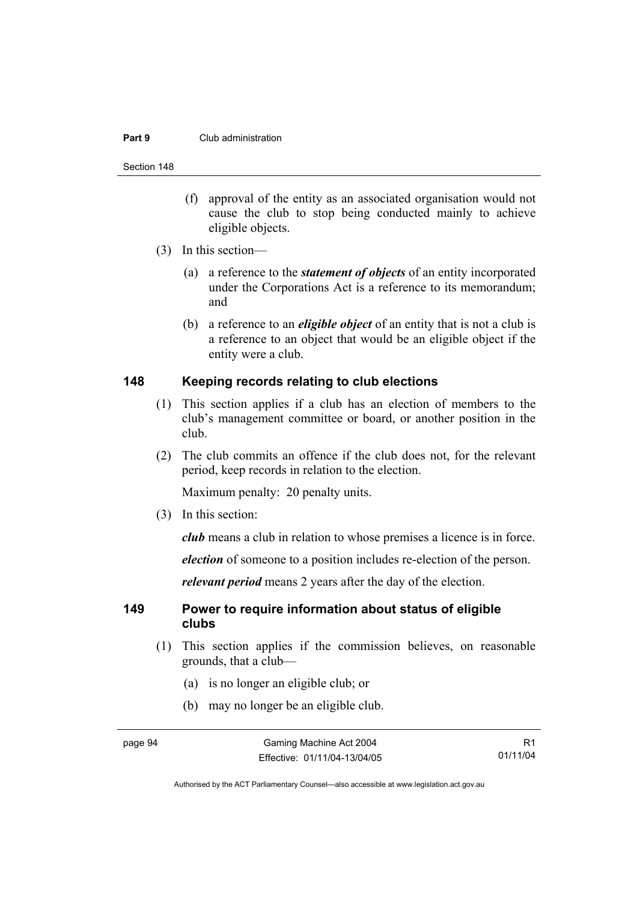#### **Part 9** Club administration

Section 148

- (f) approval of the entity as an associated organisation would not cause the club to stop being conducted mainly to achieve eligible objects.
- (3) In this section—
	- (a) a reference to the *statement of objects* of an entity incorporated under the Corporations Act is a reference to its memorandum; and
	- (b) a reference to an *eligible object* of an entity that is not a club is a reference to an object that would be an eligible object if the entity were a club.

#### **148 Keeping records relating to club elections**

- (1) This section applies if a club has an election of members to the club's management committee or board, or another position in the club.
- (2) The club commits an offence if the club does not, for the relevant period, keep records in relation to the election.

Maximum penalty: 20 penalty units.

(3) In this section:

*club* means a club in relation to whose premises a licence is in force.

*election* of someone to a position includes re-election of the person.

*relevant period* means 2 years after the day of the election.

#### **149 Power to require information about status of eligible clubs**

- (1) This section applies if the commission believes, on reasonable grounds, that a club—
	- (a) is no longer an eligible club; or
	- (b) may no longer be an eligible club.

R1 01/11/04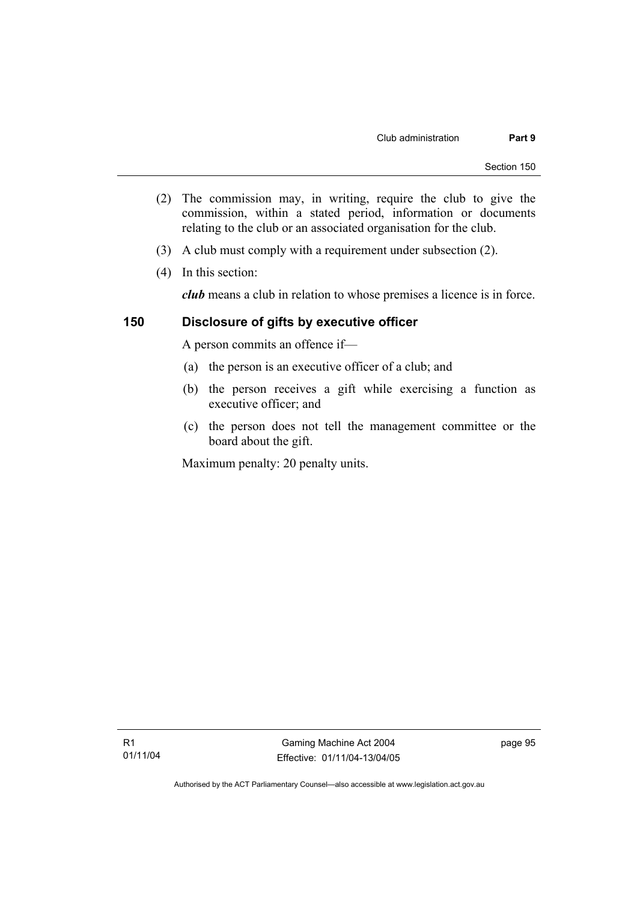- (2) The commission may, in writing, require the club to give the commission, within a stated period, information or documents relating to the club or an associated organisation for the club.
- (3) A club must comply with a requirement under subsection (2).
- (4) In this section:

*club* means a club in relation to whose premises a licence is in force.

#### **150 Disclosure of gifts by executive officer**

A person commits an offence if—

- (a) the person is an executive officer of a club; and
- (b) the person receives a gift while exercising a function as executive officer; and
- (c) the person does not tell the management committee or the board about the gift.

Maximum penalty: 20 penalty units.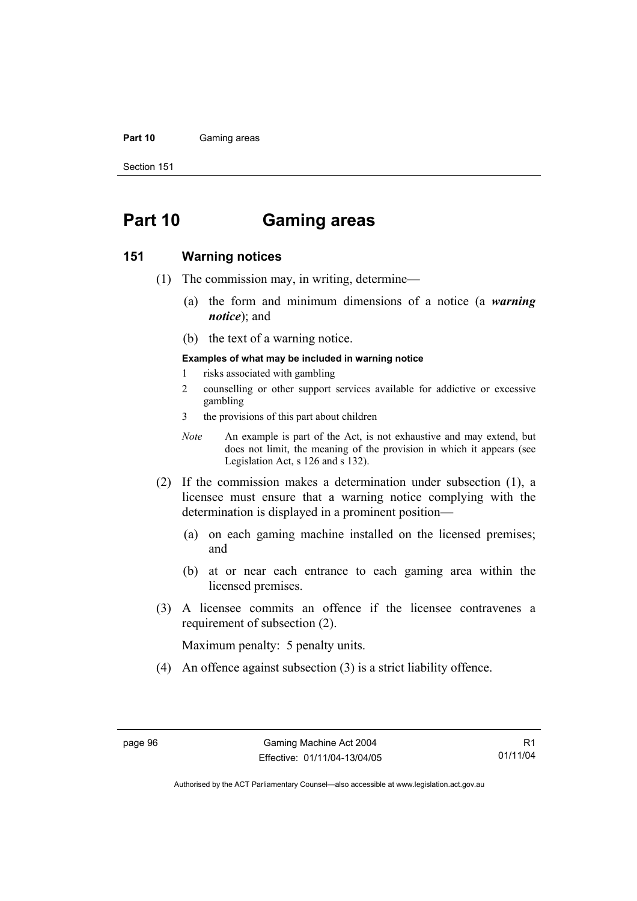#### Part 10 **Gaming areas**

Section 151

# **Part 10 Gaming areas**

#### **151 Warning notices**

- (1) The commission may, in writing, determine—
	- (a) the form and minimum dimensions of a notice (a *warning notice*); and
	- (b) the text of a warning notice.

#### **Examples of what may be included in warning notice**

- 1 risks associated with gambling
- 2 counselling or other support services available for addictive or excessive gambling
- 3 the provisions of this part about children
- *Note* An example is part of the Act, is not exhaustive and may extend, but does not limit, the meaning of the provision in which it appears (see Legislation Act, s 126 and s 132).
- (2) If the commission makes a determination under subsection (1), a licensee must ensure that a warning notice complying with the determination is displayed in a prominent position—
	- (a) on each gaming machine installed on the licensed premises; and
	- (b) at or near each entrance to each gaming area within the licensed premises.
- (3) A licensee commits an offence if the licensee contravenes a requirement of subsection (2).

Maximum penalty: 5 penalty units.

(4) An offence against subsection (3) is a strict liability offence.

R1 01/11/04

Authorised by the ACT Parliamentary Counsel—also accessible at www.legislation.act.gov.au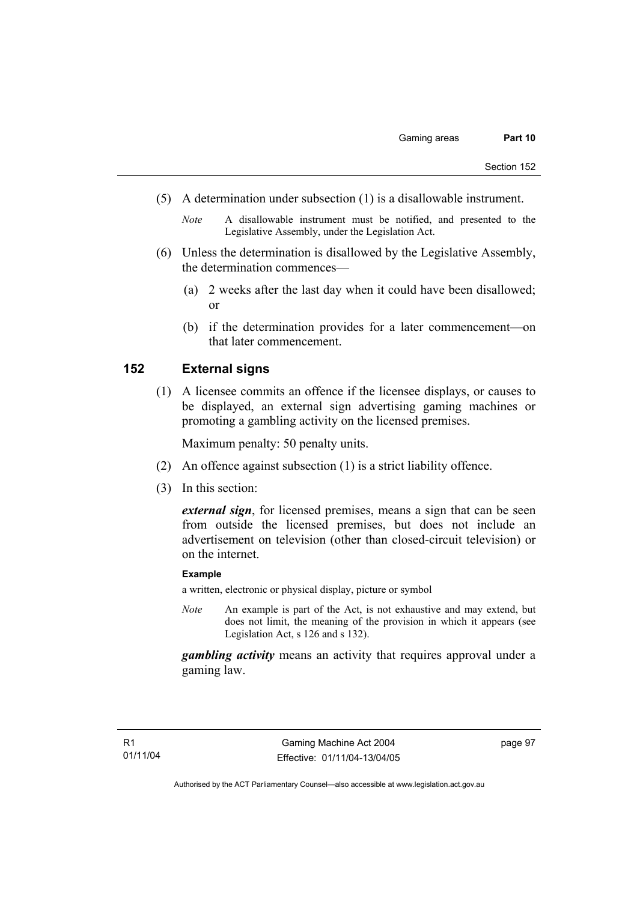- (5) A determination under subsection (1) is a disallowable instrument.
	- *Note* A disallowable instrument must be notified, and presented to the Legislative Assembly, under the Legislation Act.
- (6) Unless the determination is disallowed by the Legislative Assembly, the determination commences—
	- (a) 2 weeks after the last day when it could have been disallowed; or
	- (b) if the determination provides for a later commencement—on that later commencement.

### **152 External signs**

 (1) A licensee commits an offence if the licensee displays, or causes to be displayed, an external sign advertising gaming machines or promoting a gambling activity on the licensed premises.

Maximum penalty: 50 penalty units.

- (2) An offence against subsection (1) is a strict liability offence.
- (3) In this section:

*external sign*, for licensed premises, means a sign that can be seen from outside the licensed premises, but does not include an advertisement on television (other than closed-circuit television) or on the internet.

#### **Example**

a written, electronic or physical display, picture or symbol

*Note* An example is part of the Act, is not exhaustive and may extend, but does not limit, the meaning of the provision in which it appears (see Legislation Act, s 126 and s 132).

*gambling activity* means an activity that requires approval under a gaming law.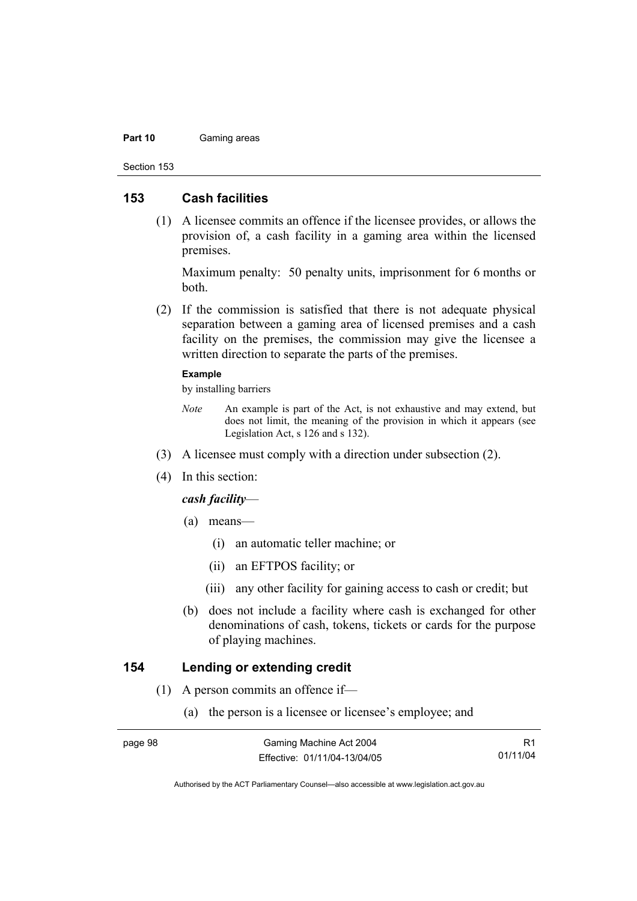#### Part 10 **Gaming areas**

Section 153

#### **153 Cash facilities**

 (1) A licensee commits an offence if the licensee provides, or allows the provision of, a cash facility in a gaming area within the licensed premises.

Maximum penalty: 50 penalty units, imprisonment for 6 months or both.

 (2) If the commission is satisfied that there is not adequate physical separation between a gaming area of licensed premises and a cash facility on the premises, the commission may give the licensee a written direction to separate the parts of the premises.

#### **Example**

by installing barriers

- *Note* An example is part of the Act, is not exhaustive and may extend, but does not limit, the meaning of the provision in which it appears (see Legislation Act, s 126 and s 132).
- (3) A licensee must comply with a direction under subsection (2).
- (4) In this section:

#### *cash facility*—

- (a) means—
	- (i) an automatic teller machine; or
	- (ii) an EFTPOS facility; or
	- (iii) any other facility for gaining access to cash or credit; but
- (b) does not include a facility where cash is exchanged for other denominations of cash, tokens, tickets or cards for the purpose of playing machines.

### **154 Lending or extending credit**

- (1) A person commits an offence if—
	- (a) the person is a licensee or licensee's employee; and

| nade |  |
|------|--|
|      |  |

R1 01/11/04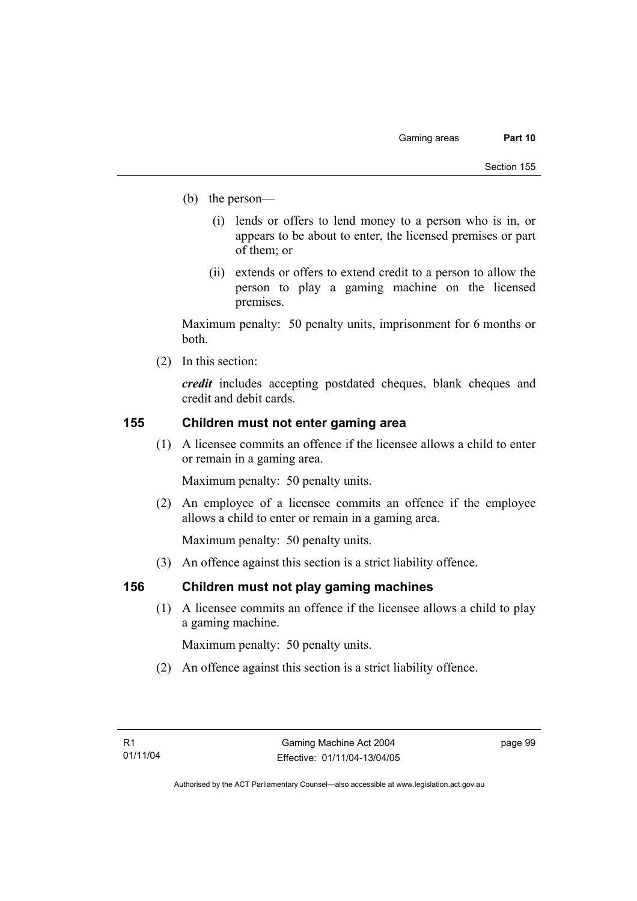- (b) the person—
	- (i) lends or offers to lend money to a person who is in, or appears to be about to enter, the licensed premises or part of them; or
	- (ii) extends or offers to extend credit to a person to allow the person to play a gaming machine on the licensed premises.

Maximum penalty: 50 penalty units, imprisonment for 6 months or both.

(2) In this section:

*credit* includes accepting postdated cheques, blank cheques and credit and debit cards.

### **155 Children must not enter gaming area**

 (1) A licensee commits an offence if the licensee allows a child to enter or remain in a gaming area.

Maximum penalty: 50 penalty units.

 (2) An employee of a licensee commits an offence if the employee allows a child to enter or remain in a gaming area.

Maximum penalty: 50 penalty units.

(3) An offence against this section is a strict liability offence.

### **156 Children must not play gaming machines**

 (1) A licensee commits an offence if the licensee allows a child to play a gaming machine.

Maximum penalty: 50 penalty units.

(2) An offence against this section is a strict liability offence.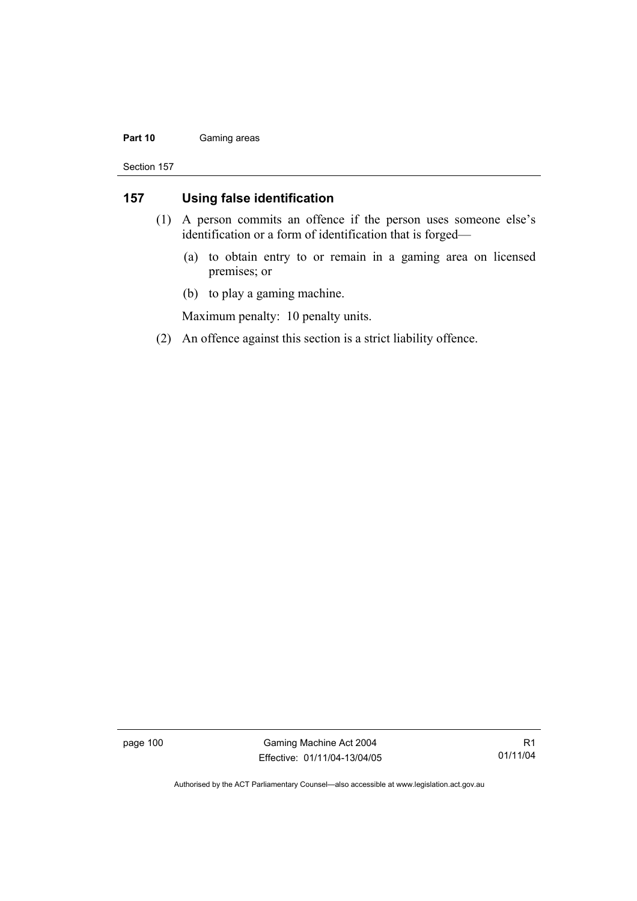#### Part 10 **Gaming areas**

Section 157

### **157 Using false identification**

- (1) A person commits an offence if the person uses someone else's identification or a form of identification that is forged—
	- (a) to obtain entry to or remain in a gaming area on licensed premises; or
	- (b) to play a gaming machine.

Maximum penalty: 10 penalty units.

(2) An offence against this section is a strict liability offence.

page 100 Gaming Machine Act 2004 Effective: 01/11/04-13/04/05

R1 01/11/04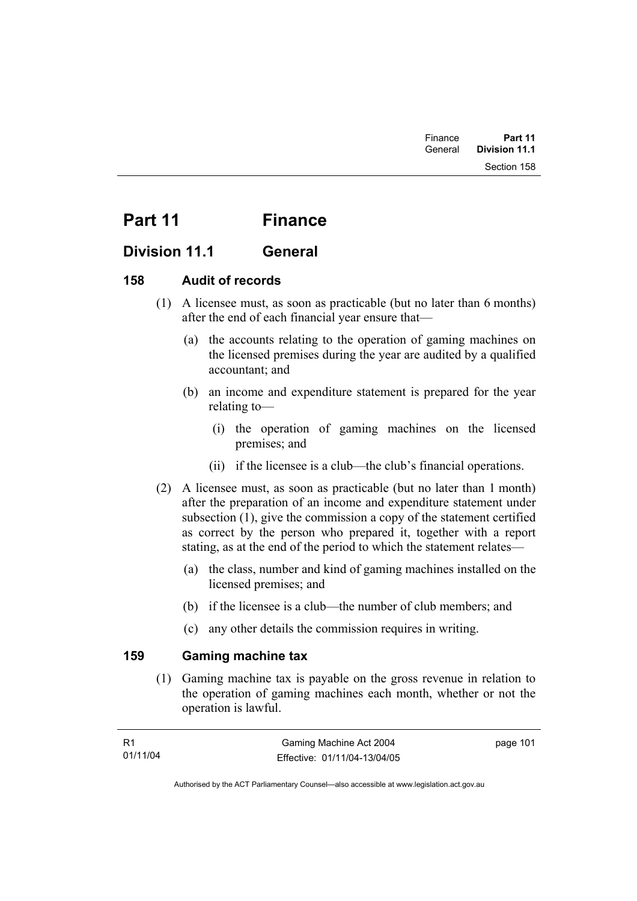# Part 11 Finance

## **Division 11.1 General**

### **158 Audit of records**

- (1) A licensee must, as soon as practicable (but no later than 6 months) after the end of each financial year ensure that—
	- (a) the accounts relating to the operation of gaming machines on the licensed premises during the year are audited by a qualified accountant; and
	- (b) an income and expenditure statement is prepared for the year relating to—
		- (i) the operation of gaming machines on the licensed premises; and
		- (ii) if the licensee is a club—the club's financial operations.
- (2) A licensee must, as soon as practicable (but no later than 1 month) after the preparation of an income and expenditure statement under subsection (1), give the commission a copy of the statement certified as correct by the person who prepared it, together with a report stating, as at the end of the period to which the statement relates—
	- (a) the class, number and kind of gaming machines installed on the licensed premises; and
	- (b) if the licensee is a club—the number of club members; and
	- (c) any other details the commission requires in writing.

### **159 Gaming machine tax**

 (1) Gaming machine tax is payable on the gross revenue in relation to the operation of gaming machines each month, whether or not the operation is lawful.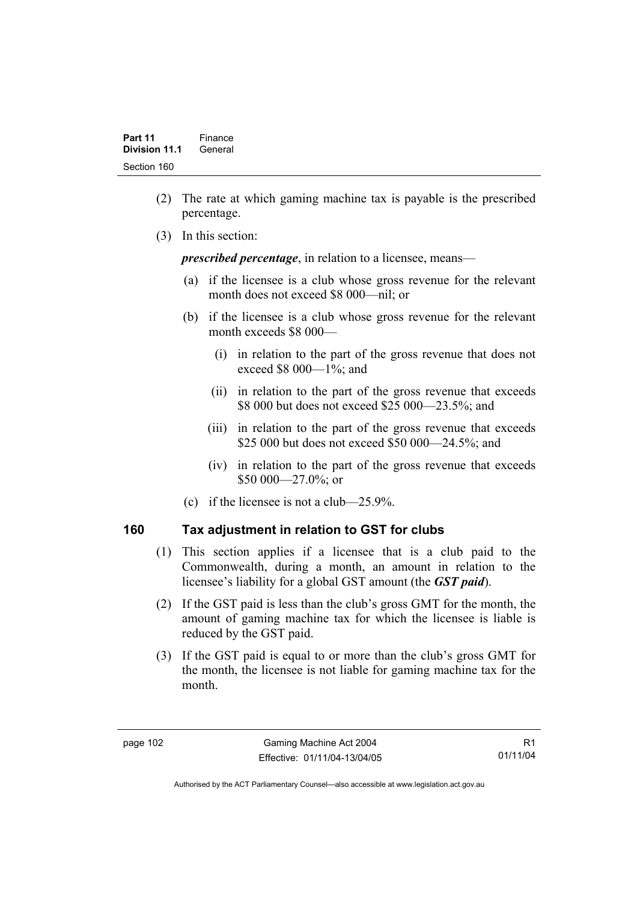- (2) The rate at which gaming machine tax is payable is the prescribed percentage.
- (3) In this section:

*prescribed percentage*, in relation to a licensee, means—

- (a) if the licensee is a club whose gross revenue for the relevant month does not exceed \$8 000—nil; or
- (b) if the licensee is a club whose gross revenue for the relevant month exceeds \$8 000—
	- (i) in relation to the part of the gross revenue that does not exceed \$8 000—1%; and
	- (ii) in relation to the part of the gross revenue that exceeds \$8 000 but does not exceed \$25 000—23.5%; and
	- (iii) in relation to the part of the gross revenue that exceeds \$25 000 but does not exceed \$50 000—24.5%; and
	- (iv) in relation to the part of the gross revenue that exceeds \$50 000 - 27.0%; or
- (c) if the licensee is not a club—25.9%.

### **160 Tax adjustment in relation to GST for clubs**

- (1) This section applies if a licensee that is a club paid to the Commonwealth, during a month, an amount in relation to the licensee's liability for a global GST amount (the *GST paid*).
- (2) If the GST paid is less than the club's gross GMT for the month, the amount of gaming machine tax for which the licensee is liable is reduced by the GST paid.
- (3) If the GST paid is equal to or more than the club's gross GMT for the month, the licensee is not liable for gaming machine tax for the month.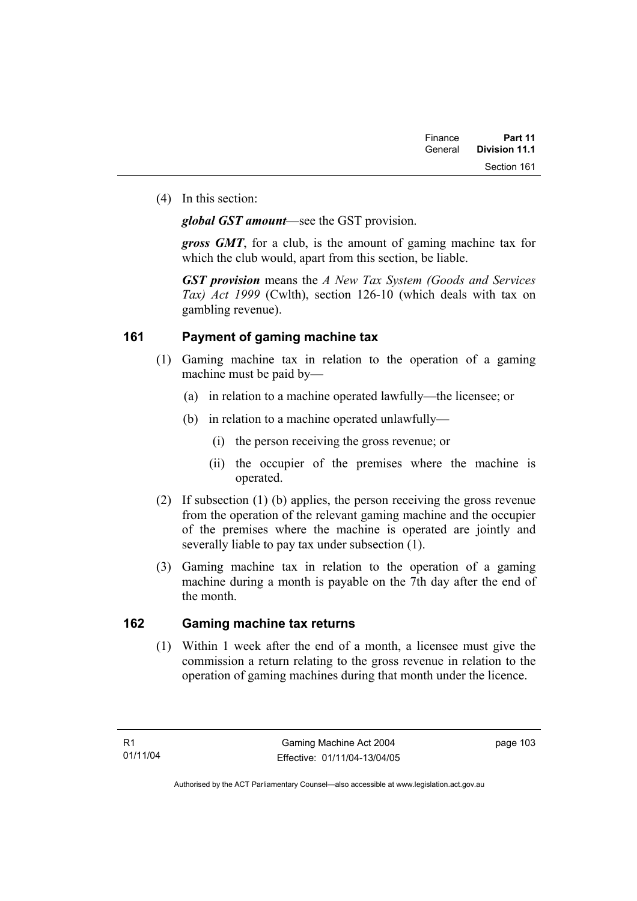(4) In this section:

*global GST amount*—see the GST provision.

*gross GMT*, for a club, is the amount of gaming machine tax for which the club would, apart from this section, be liable.

*GST provision* means the *A New Tax System (Goods and Services Tax) Act 1999* (Cwlth), section 126-10 (which deals with tax on gambling revenue).

### **161 Payment of gaming machine tax**

- (1) Gaming machine tax in relation to the operation of a gaming machine must be paid by—
	- (a) in relation to a machine operated lawfully—the licensee; or
	- (b) in relation to a machine operated unlawfully—
		- (i) the person receiving the gross revenue; or
		- (ii) the occupier of the premises where the machine is operated.
- (2) If subsection (1) (b) applies, the person receiving the gross revenue from the operation of the relevant gaming machine and the occupier of the premises where the machine is operated are jointly and severally liable to pay tax under subsection (1).
- (3) Gaming machine tax in relation to the operation of a gaming machine during a month is payable on the 7th day after the end of the month.

### **162 Gaming machine tax returns**

 (1) Within 1 week after the end of a month, a licensee must give the commission a return relating to the gross revenue in relation to the operation of gaming machines during that month under the licence.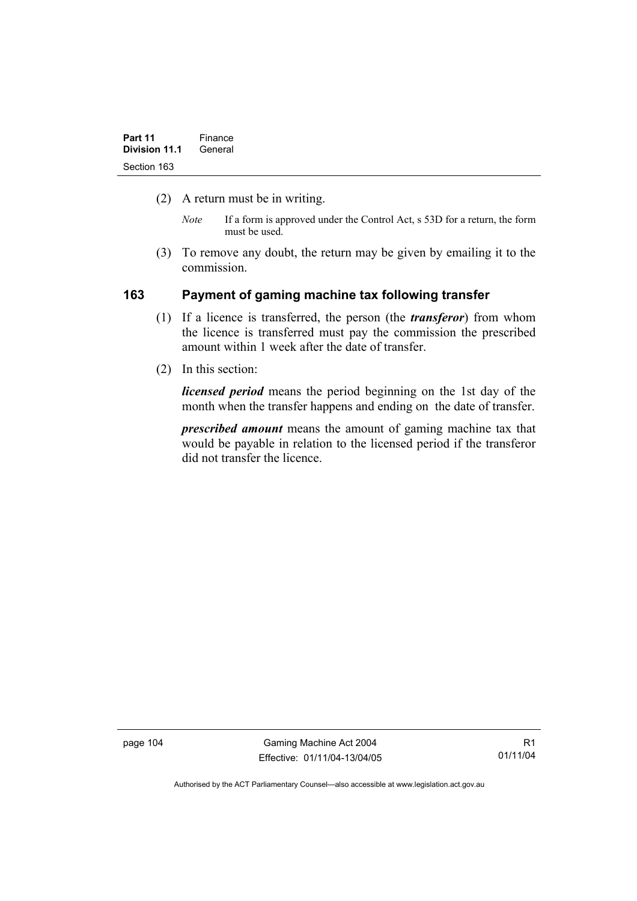- (2) A return must be in writing.
	- *Note* If a form is approved under the Control Act, s 53D for a return, the form must be used.
- (3) To remove any doubt, the return may be given by emailing it to the commission.

### **163 Payment of gaming machine tax following transfer**

- (1) If a licence is transferred, the person (the *transferor*) from whom the licence is transferred must pay the commission the prescribed amount within 1 week after the date of transfer.
- (2) In this section:

*licensed period* means the period beginning on the 1st day of the month when the transfer happens and ending on the date of transfer.

*prescribed amount* means the amount of gaming machine tax that would be payable in relation to the licensed period if the transferor did not transfer the licence.

page 104 Gaming Machine Act 2004 Effective: 01/11/04-13/04/05

R1 01/11/04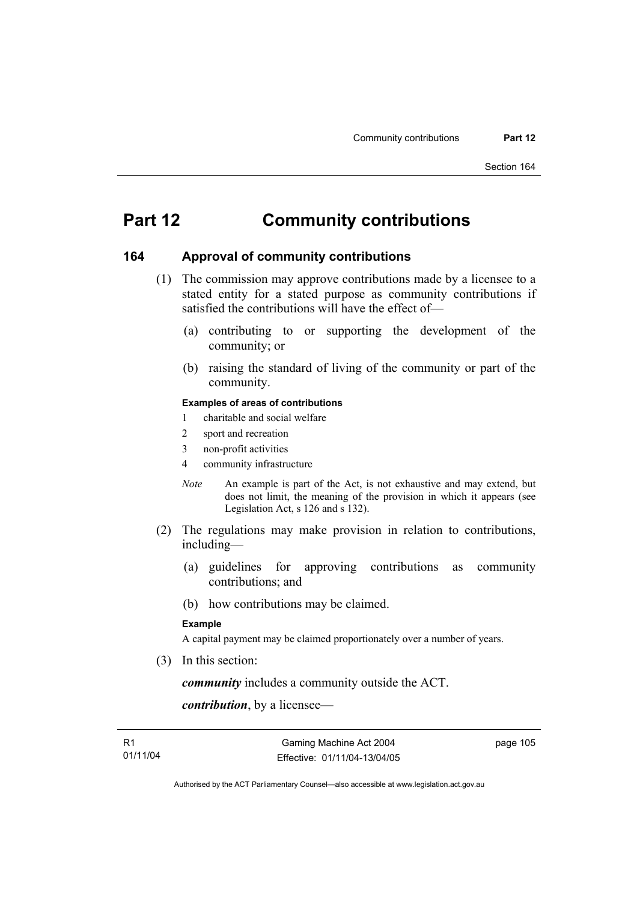# **Part 12 Community contributions**

#### **164 Approval of community contributions**

- (1) The commission may approve contributions made by a licensee to a stated entity for a stated purpose as community contributions if satisfied the contributions will have the effect of—
	- (a) contributing to or supporting the development of the community; or
	- (b) raising the standard of living of the community or part of the community.

#### **Examples of areas of contributions**

- 1 charitable and social welfare
- 2 sport and recreation
- 3 non-profit activities
- 4 community infrastructure
- *Note* An example is part of the Act, is not exhaustive and may extend, but does not limit, the meaning of the provision in which it appears (see Legislation Act, s 126 and s 132).
- (2) The regulations may make provision in relation to contributions, including—
	- (a) guidelines for approving contributions as community contributions; and
	- (b) how contributions may be claimed.

#### **Example**

A capital payment may be claimed proportionately over a number of years.

(3) In this section:

*community* includes a community outside the ACT.

*contribution*, by a licensee—

page 105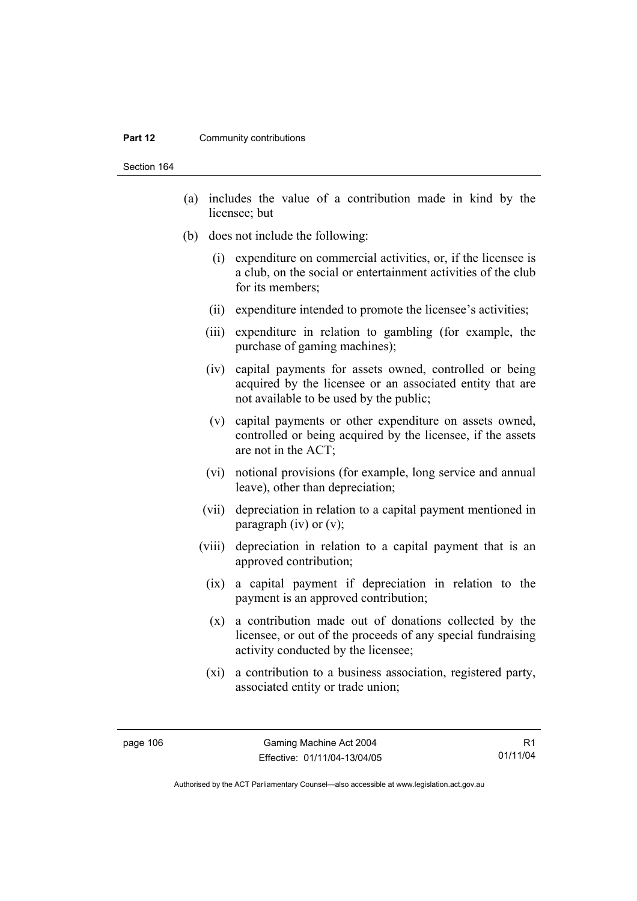#### **Part 12 Community contributions**

Section 164

- (a) includes the value of a contribution made in kind by the licensee; but
- (b) does not include the following:
	- (i) expenditure on commercial activities, or, if the licensee is a club, on the social or entertainment activities of the club for its members;
	- (ii) expenditure intended to promote the licensee's activities;
	- (iii) expenditure in relation to gambling (for example, the purchase of gaming machines);
	- (iv) capital payments for assets owned, controlled or being acquired by the licensee or an associated entity that are not available to be used by the public;
	- (v) capital payments or other expenditure on assets owned, controlled or being acquired by the licensee, if the assets are not in the ACT;
	- (vi) notional provisions (for example, long service and annual leave), other than depreciation;
	- (vii) depreciation in relation to a capital payment mentioned in paragraph (iv) or  $(v)$ ;
	- (viii) depreciation in relation to a capital payment that is an approved contribution;
		- (ix) a capital payment if depreciation in relation to the payment is an approved contribution;
		- (x) a contribution made out of donations collected by the licensee, or out of the proceeds of any special fundraising activity conducted by the licensee;
		- (xi) a contribution to a business association, registered party, associated entity or trade union;

R1 01/11/04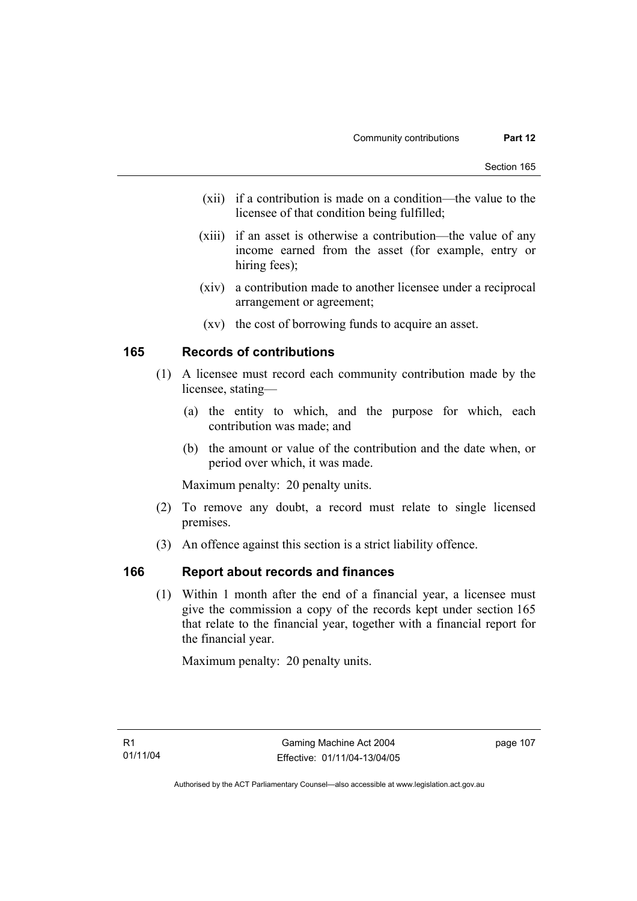- (xii) if a contribution is made on a condition—the value to the licensee of that condition being fulfilled;
- (xiii) if an asset is otherwise a contribution—the value of any income earned from the asset (for example, entry or hiring fees);
- (xiv) a contribution made to another licensee under a reciprocal arrangement or agreement;
- (xv) the cost of borrowing funds to acquire an asset.

### **165 Records of contributions**

- (1) A licensee must record each community contribution made by the licensee, stating—
	- (a) the entity to which, and the purpose for which, each contribution was made; and
	- (b) the amount or value of the contribution and the date when, or period over which, it was made.

Maximum penalty: 20 penalty units.

- (2) To remove any doubt, a record must relate to single licensed premises.
- (3) An offence against this section is a strict liability offence.

#### **166 Report about records and finances**

 (1) Within 1 month after the end of a financial year, a licensee must give the commission a copy of the records kept under section 165 that relate to the financial year, together with a financial report for the financial year.

Maximum penalty: 20 penalty units.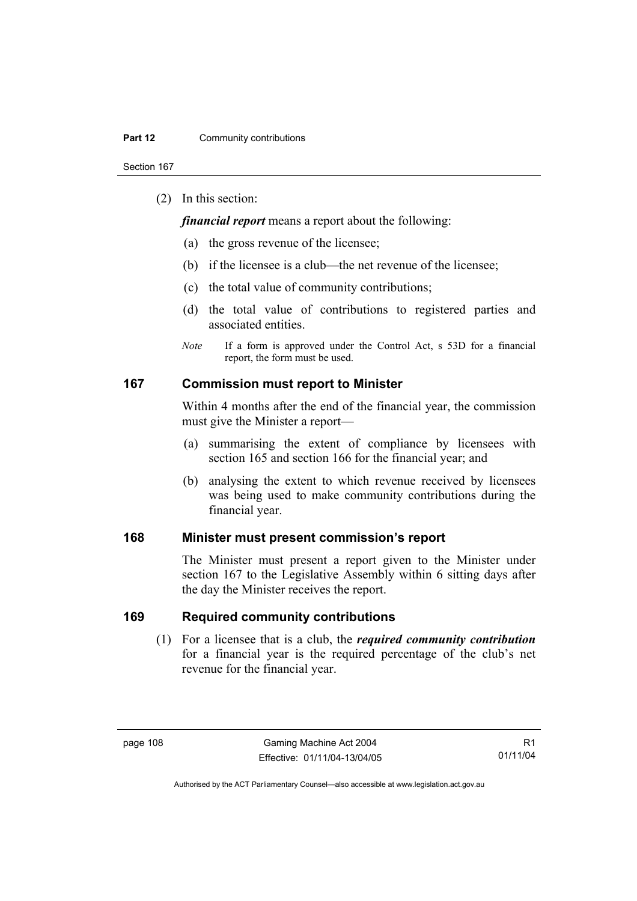Section 167

(2) In this section:

*financial report* means a report about the following:

- (a) the gross revenue of the licensee;
- (b) if the licensee is a club—the net revenue of the licensee;
- (c) the total value of community contributions;
- (d) the total value of contributions to registered parties and associated entities.
- *Note* If a form is approved under the Control Act, s 53D for a financial report, the form must be used.

#### **167 Commission must report to Minister**

Within 4 months after the end of the financial year, the commission must give the Minister a report—

- (a) summarising the extent of compliance by licensees with section 165 and section 166 for the financial year; and
- (b) analysing the extent to which revenue received by licensees was being used to make community contributions during the financial year.

### **168 Minister must present commission's report**

The Minister must present a report given to the Minister under section 167 to the Legislative Assembly within 6 sitting days after the day the Minister receives the report.

#### **169 Required community contributions**

 (1) For a licensee that is a club, the *required community contribution* for a financial year is the required percentage of the club's net revenue for the financial year.

R1 01/11/04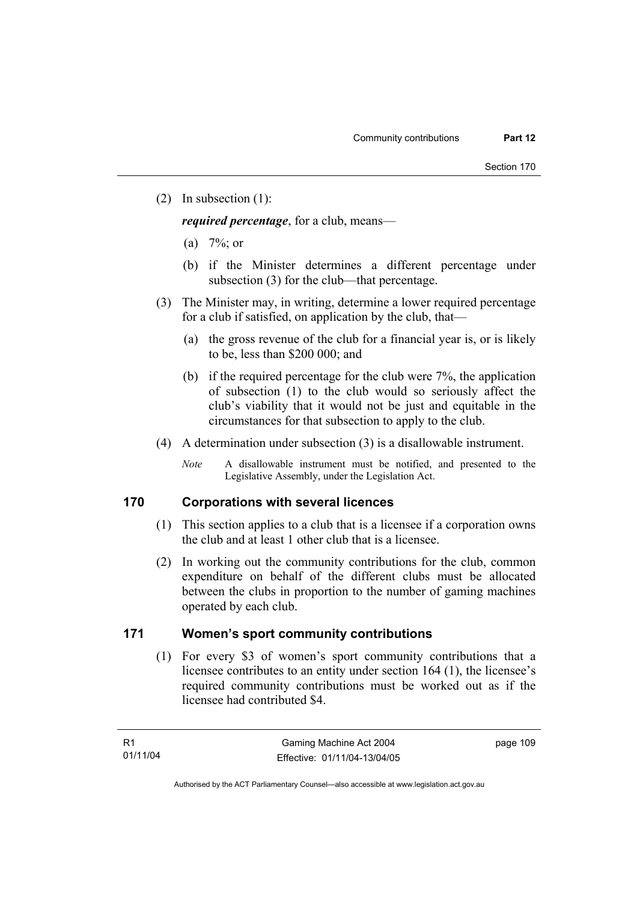(2) In subsection (1):

*required percentage*, for a club, means—

- (a)  $7\%$ ; or
- (b) if the Minister determines a different percentage under subsection (3) for the club—that percentage.
- (3) The Minister may, in writing, determine a lower required percentage for a club if satisfied, on application by the club, that—
	- (a) the gross revenue of the club for a financial year is, or is likely to be, less than \$200 000; and
	- (b) if the required percentage for the club were 7%, the application of subsection (1) to the club would so seriously affect the club's viability that it would not be just and equitable in the circumstances for that subsection to apply to the club.
- (4) A determination under subsection (3) is a disallowable instrument.
	- *Note* A disallowable instrument must be notified, and presented to the Legislative Assembly, under the Legislation Act.

#### **170 Corporations with several licences**

- (1) This section applies to a club that is a licensee if a corporation owns the club and at least 1 other club that is a licensee.
- (2) In working out the community contributions for the club, common expenditure on behalf of the different clubs must be allocated between the clubs in proportion to the number of gaming machines operated by each club.

#### **171 Women's sport community contributions**

 (1) For every \$3 of women's sport community contributions that a licensee contributes to an entity under section 164 (1), the licensee's required community contributions must be worked out as if the licensee had contributed \$4.

page 109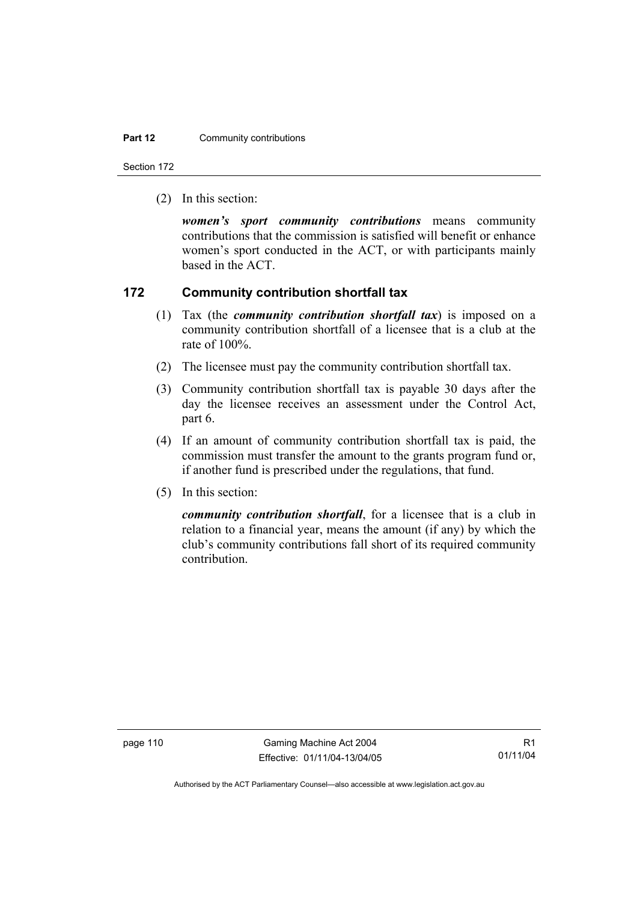#### **Part 12 Community contributions**

Section 172

(2) In this section:

*women's sport community contributions* means community contributions that the commission is satisfied will benefit or enhance women's sport conducted in the ACT, or with participants mainly based in the ACT.

#### **172 Community contribution shortfall tax**

- (1) Tax (the *community contribution shortfall tax*) is imposed on a community contribution shortfall of a licensee that is a club at the rate of 100%.
- (2) The licensee must pay the community contribution shortfall tax.
- (3) Community contribution shortfall tax is payable 30 days after the day the licensee receives an assessment under the Control Act, part 6.
- (4) If an amount of community contribution shortfall tax is paid, the commission must transfer the amount to the grants program fund or, if another fund is prescribed under the regulations, that fund.
- (5) In this section:

*community contribution shortfall*, for a licensee that is a club in relation to a financial year, means the amount (if any) by which the club's community contributions fall short of its required community contribution.

page 110 Gaming Machine Act 2004 Effective: 01/11/04-13/04/05

R1 01/11/04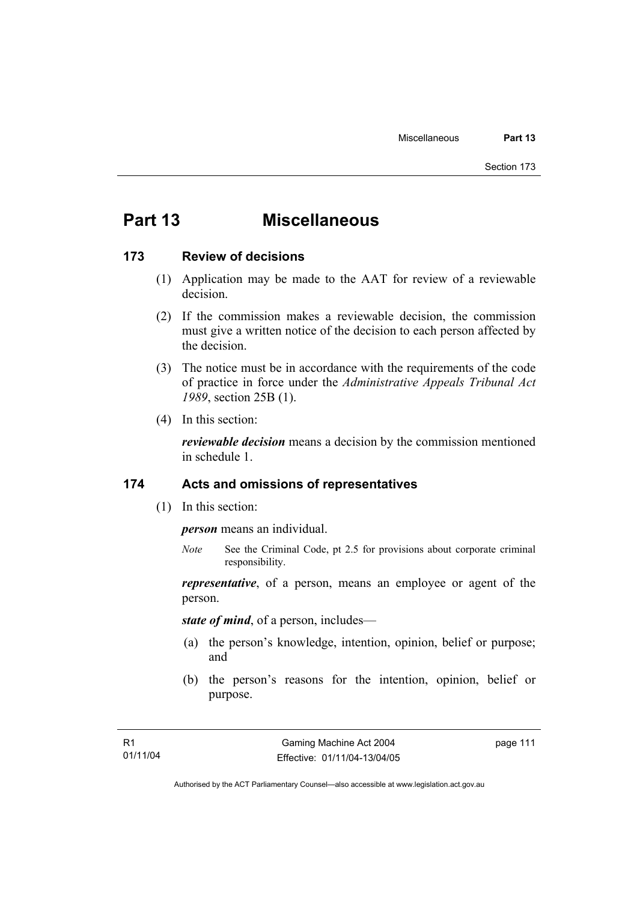# **Part 13 Miscellaneous**

#### **173 Review of decisions**

- (1) Application may be made to the AAT for review of a reviewable decision.
- (2) If the commission makes a reviewable decision, the commission must give a written notice of the decision to each person affected by the decision.
- (3) The notice must be in accordance with the requirements of the code of practice in force under the *Administrative Appeals Tribunal Act 1989*, section 25B (1).
- (4) In this section:

*reviewable decision* means a decision by the commission mentioned in schedule 1.

#### **174 Acts and omissions of representatives**

(1) In this section:

*person* means an individual.

*Note* See the Criminal Code, pt 2.5 for provisions about corporate criminal responsibility.

*representative*, of a person, means an employee or agent of the person.

*state of mind*, of a person, includes—

- (a) the person's knowledge, intention, opinion, belief or purpose; and
- (b) the person's reasons for the intention, opinion, belief or purpose.

page 111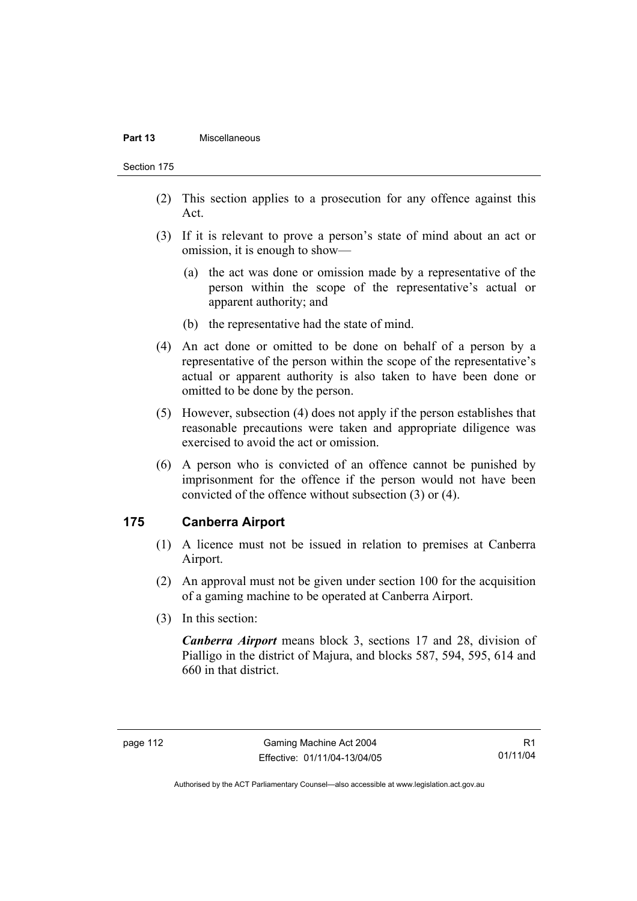#### **Part 13** Miscellaneous

Section 175

- (2) This section applies to a prosecution for any offence against this Act.
- (3) If it is relevant to prove a person's state of mind about an act or omission, it is enough to show—
	- (a) the act was done or omission made by a representative of the person within the scope of the representative's actual or apparent authority; and
	- (b) the representative had the state of mind.
- (4) An act done or omitted to be done on behalf of a person by a representative of the person within the scope of the representative's actual or apparent authority is also taken to have been done or omitted to be done by the person.
- (5) However, subsection (4) does not apply if the person establishes that reasonable precautions were taken and appropriate diligence was exercised to avoid the act or omission.
- (6) A person who is convicted of an offence cannot be punished by imprisonment for the offence if the person would not have been convicted of the offence without subsection (3) or (4).

### **175 Canberra Airport**

- (1) A licence must not be issued in relation to premises at Canberra Airport.
- (2) An approval must not be given under section 100 for the acquisition of a gaming machine to be operated at Canberra Airport.
- (3) In this section:

*Canberra Airport* means block 3, sections 17 and 28, division of Pialligo in the district of Majura, and blocks 587, 594, 595, 614 and 660 in that district.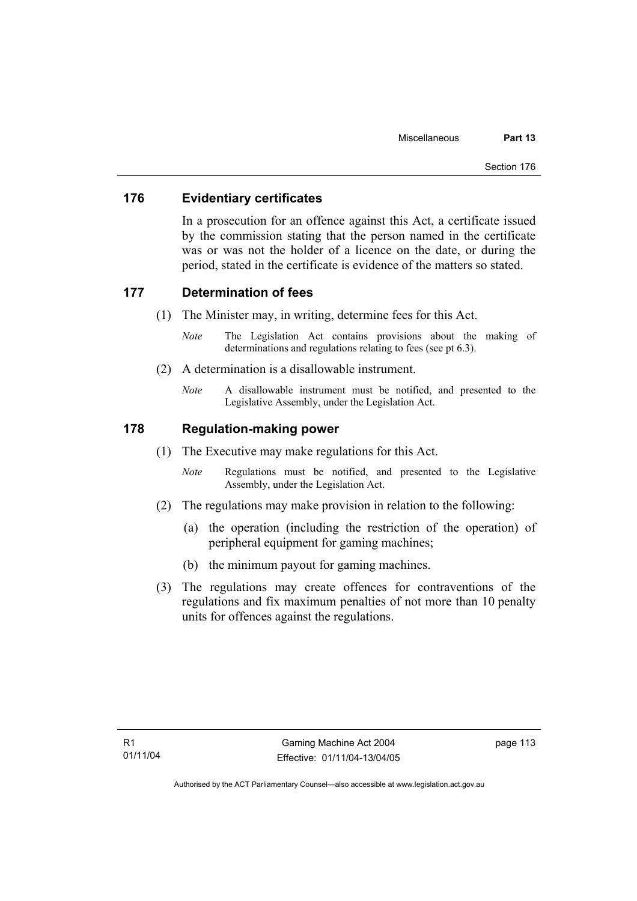### **176 Evidentiary certificates**

In a prosecution for an offence against this Act, a certificate issued by the commission stating that the person named in the certificate was or was not the holder of a licence on the date, or during the period, stated in the certificate is evidence of the matters so stated.

#### **177 Determination of fees**

- (1) The Minister may, in writing, determine fees for this Act.
	- *Note* The Legislation Act contains provisions about the making of determinations and regulations relating to fees (see pt 6.3).
- (2) A determination is a disallowable instrument.
	- *Note* A disallowable instrument must be notified, and presented to the Legislative Assembly, under the Legislation Act.

### **178 Regulation-making power**

- (1) The Executive may make regulations for this Act.
	- *Note* Regulations must be notified, and presented to the Legislative Assembly, under the Legislation Act.
- (2) The regulations may make provision in relation to the following:
	- (a) the operation (including the restriction of the operation) of peripheral equipment for gaming machines;
	- (b) the minimum payout for gaming machines.
- (3) The regulations may create offences for contraventions of the regulations and fix maximum penalties of not more than 10 penalty units for offences against the regulations.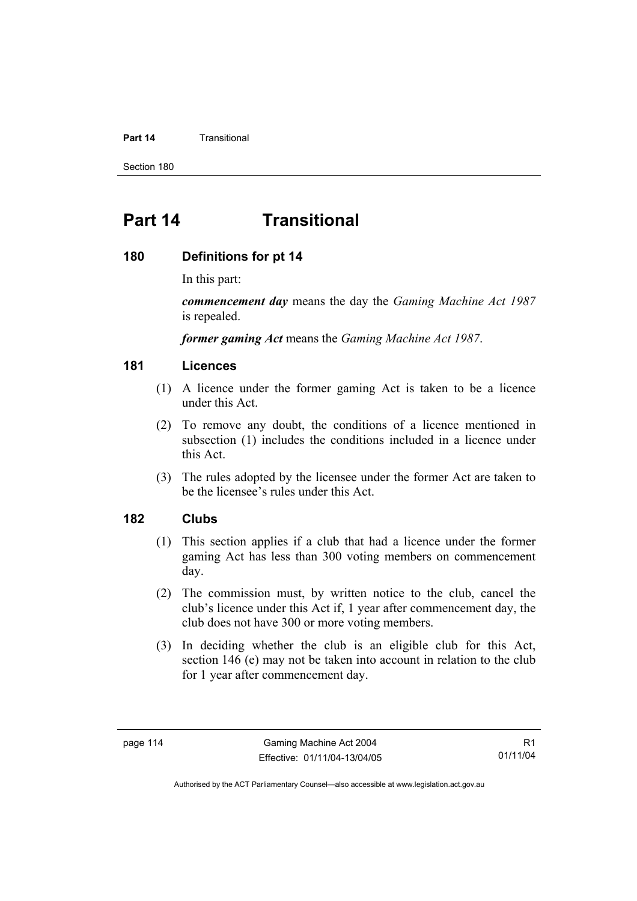#### **Part 14** Transitional

Section 180

# **Part 14 Transitional**

#### **180 Definitions for pt 14**

In this part:

*commencement day* means the day the *Gaming Machine Act 1987* is repealed.

*former gaming Act* means the *Gaming Machine Act 1987*.

#### **181 Licences**

- (1) A licence under the former gaming Act is taken to be a licence under this Act.
- (2) To remove any doubt, the conditions of a licence mentioned in subsection (1) includes the conditions included in a licence under this Act.
- (3) The rules adopted by the licensee under the former Act are taken to be the licensee's rules under this Act.

### **182 Clubs**

- (1) This section applies if a club that had a licence under the former gaming Act has less than 300 voting members on commencement day.
- (2) The commission must, by written notice to the club, cancel the club's licence under this Act if, 1 year after commencement day, the club does not have 300 or more voting members.
- (3) In deciding whether the club is an eligible club for this Act, section 146 (e) may not be taken into account in relation to the club for 1 year after commencement day.

R1 01/11/04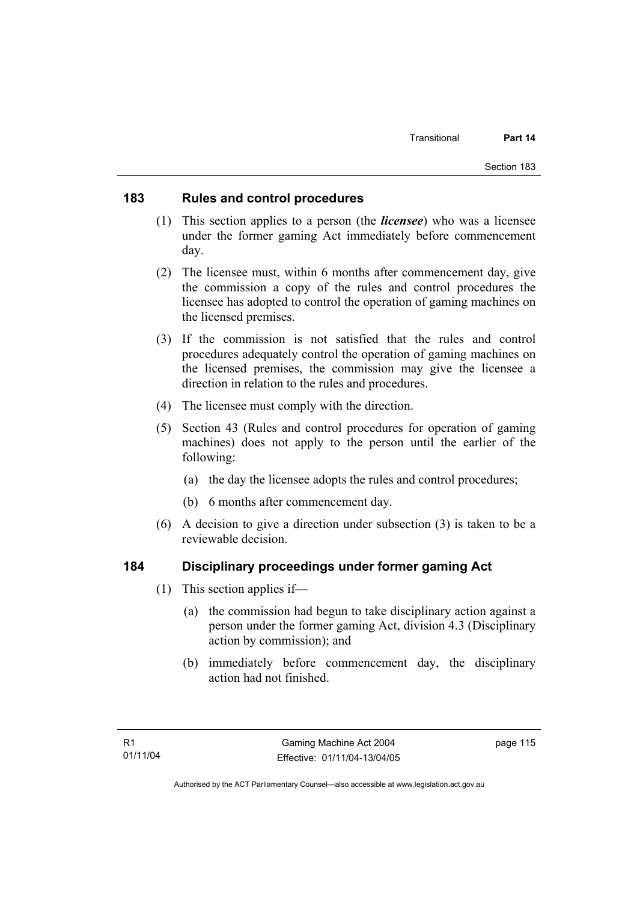### **183 Rules and control procedures**

- (1) This section applies to a person (the *licensee*) who was a licensee under the former gaming Act immediately before commencement day.
- (2) The licensee must, within 6 months after commencement day, give the commission a copy of the rules and control procedures the licensee has adopted to control the operation of gaming machines on the licensed premises.
- (3) If the commission is not satisfied that the rules and control procedures adequately control the operation of gaming machines on the licensed premises, the commission may give the licensee a direction in relation to the rules and procedures.
- (4) The licensee must comply with the direction.
- (5) Section 43 (Rules and control procedures for operation of gaming machines) does not apply to the person until the earlier of the following:
	- (a) the day the licensee adopts the rules and control procedures;
	- (b) 6 months after commencement day.
- (6) A decision to give a direction under subsection (3) is taken to be a reviewable decision.

#### **184 Disciplinary proceedings under former gaming Act**

- (1) This section applies if—
	- (a) the commission had begun to take disciplinary action against a person under the former gaming Act, division 4.3 (Disciplinary action by commission); and
	- (b) immediately before commencement day, the disciplinary action had not finished.

page 115

Authorised by the ACT Parliamentary Counsel—also accessible at www.legislation.act.gov.au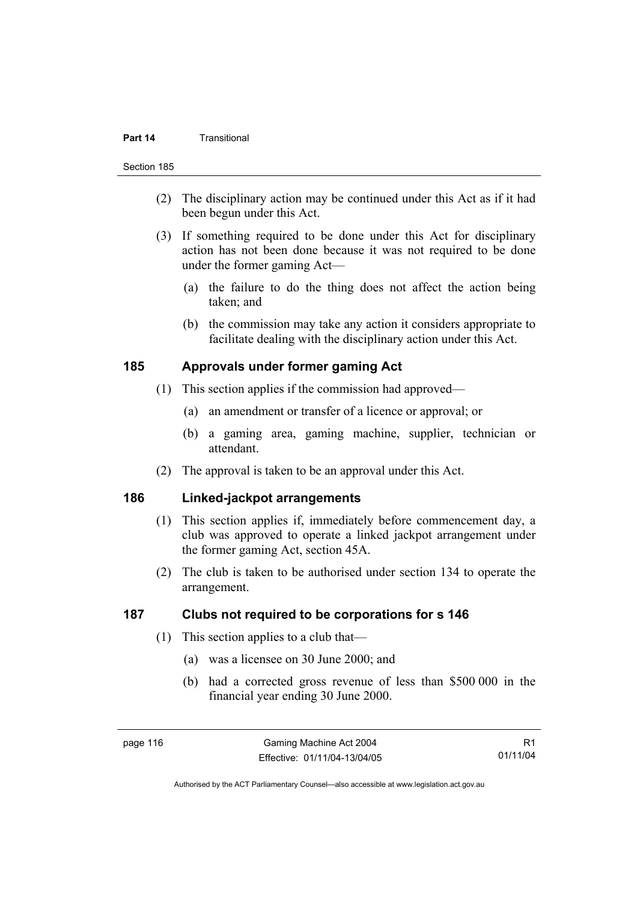#### **Part 14** Transitional

#### Section 185

- (2) The disciplinary action may be continued under this Act as if it had been begun under this Act.
- (3) If something required to be done under this Act for disciplinary action has not been done because it was not required to be done under the former gaming Act—
	- (a) the failure to do the thing does not affect the action being taken; and
	- (b) the commission may take any action it considers appropriate to facilitate dealing with the disciplinary action under this Act.

#### **185 Approvals under former gaming Act**

- (1) This section applies if the commission had approved—
	- (a) an amendment or transfer of a licence or approval; or
	- (b) a gaming area, gaming machine, supplier, technician or attendant.
- (2) The approval is taken to be an approval under this Act.

### **186 Linked-jackpot arrangements**

- (1) This section applies if, immediately before commencement day, a club was approved to operate a linked jackpot arrangement under the former gaming Act, section 45A.
- (2) The club is taken to be authorised under section 134 to operate the arrangement.

### **187 Clubs not required to be corporations for s 146**

- (1) This section applies to a club that—
	- (a) was a licensee on 30 June 2000; and
	- (b) had a corrected gross revenue of less than \$500 000 in the financial year ending 30 June 2000.

R1 01/11/04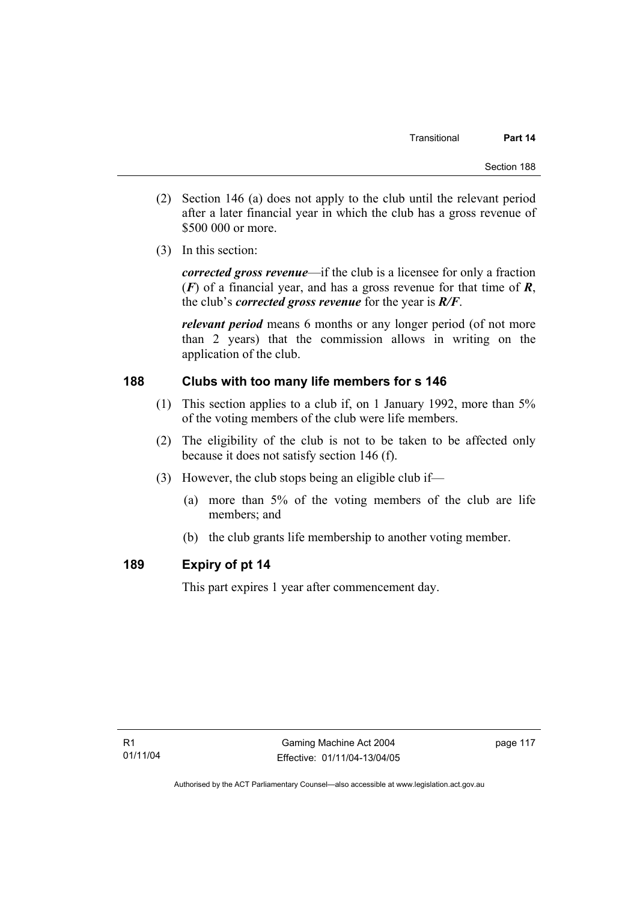- (2) Section 146 (a) does not apply to the club until the relevant period after a later financial year in which the club has a gross revenue of \$500 000 or more.
- (3) In this section:

*corrected gross revenue*—if the club is a licensee for only a fraction (*F*) of a financial year, and has a gross revenue for that time of *R*, the club's *corrected gross revenue* for the year is *R/F*.

*relevant period* means 6 months or any longer period (of not more than 2 years) that the commission allows in writing on the application of the club.

### **188 Clubs with too many life members for s 146**

- (1) This section applies to a club if, on 1 January 1992, more than 5% of the voting members of the club were life members.
- (2) The eligibility of the club is not to be taken to be affected only because it does not satisfy section 146 (f).
- (3) However, the club stops being an eligible club if—
	- (a) more than 5% of the voting members of the club are life members; and
	- (b) the club grants life membership to another voting member.

### **189 Expiry of pt 14**

This part expires 1 year after commencement day.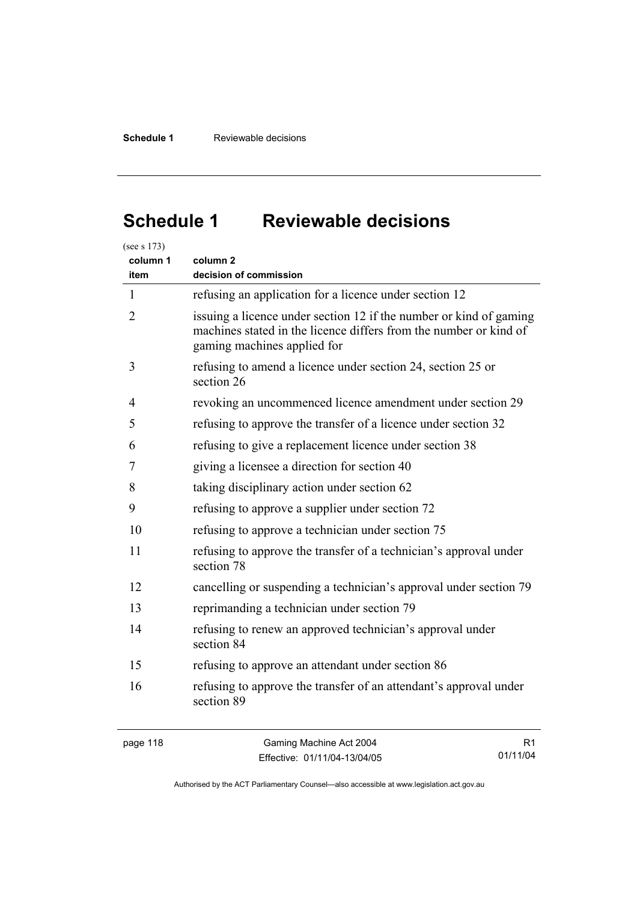# **Schedule 1 Reviewable decisions**

| column 1<br>item | column 2<br>decision of commission                                                                                                                                     |
|------------------|------------------------------------------------------------------------------------------------------------------------------------------------------------------------|
| $\mathbf{1}$     | refusing an application for a licence under section 12                                                                                                                 |
| 2                | issuing a licence under section 12 if the number or kind of gaming<br>machines stated in the licence differs from the number or kind of<br>gaming machines applied for |
| 3                | refusing to amend a licence under section 24, section 25 or<br>section 26                                                                                              |
| 4                | revoking an uncommenced licence amendment under section 29                                                                                                             |
| 5                | refusing to approve the transfer of a licence under section 32                                                                                                         |
| 6                | refusing to give a replacement licence under section 38                                                                                                                |
| 7                | giving a licensee a direction for section 40                                                                                                                           |
| 8                | taking disciplinary action under section 62                                                                                                                            |
| 9                | refusing to approve a supplier under section 72                                                                                                                        |
| 10               | refusing to approve a technician under section 75                                                                                                                      |
| 11               | refusing to approve the transfer of a technician's approval under<br>section 78                                                                                        |
| 12               | cancelling or suspending a technician's approval under section 79                                                                                                      |
| 13               | reprimanding a technician under section 79                                                                                                                             |
| 14               | refusing to renew an approved technician's approval under<br>section 84                                                                                                |
| 15               | refusing to approve an attendant under section 86                                                                                                                      |
| 16               | refusing to approve the transfer of an attendant's approval under<br>section 89                                                                                        |

page 118 Gaming Machine Act 2004 Effective: 01/11/04-13/04/05

R1 01/11/04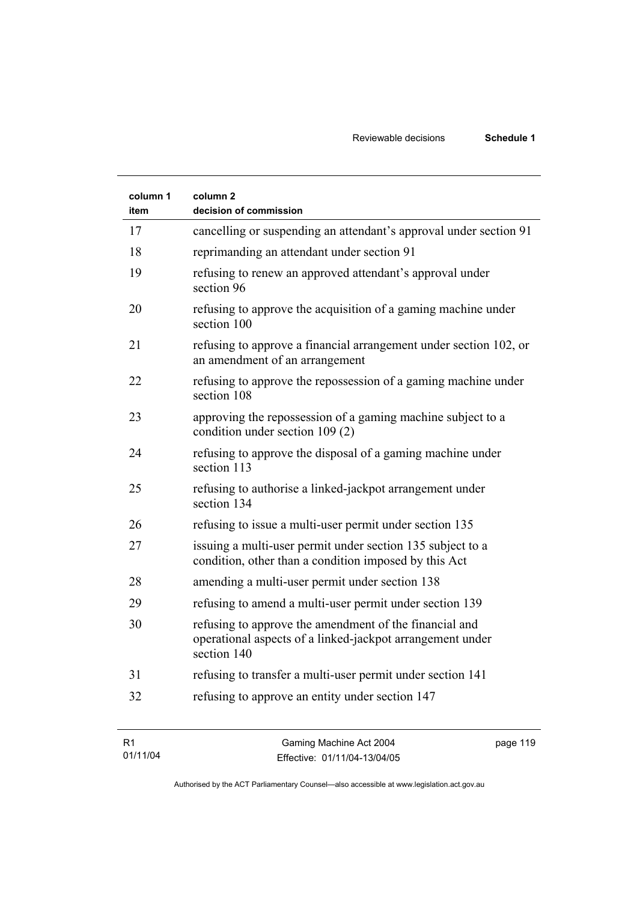| column 1<br>item | column 2<br>decision of commission                                                                                                 |
|------------------|------------------------------------------------------------------------------------------------------------------------------------|
| 17               | cancelling or suspending an attendant's approval under section 91                                                                  |
| 18               | reprimanding an attendant under section 91                                                                                         |
| 19               | refusing to renew an approved attendant's approval under<br>section 96                                                             |
| 20               | refusing to approve the acquisition of a gaming machine under<br>section 100                                                       |
| 21               | refusing to approve a financial arrangement under section 102, or<br>an amendment of an arrangement                                |
| 22               | refusing to approve the repossession of a gaming machine under<br>section 108                                                      |
| 23               | approving the repossession of a gaming machine subject to a<br>condition under section 109 (2)                                     |
| 24               | refusing to approve the disposal of a gaming machine under<br>section 113                                                          |
| 25               | refusing to authorise a linked-jackpot arrangement under<br>section 134                                                            |
| 26               | refusing to issue a multi-user permit under section 135                                                                            |
| 27               | issuing a multi-user permit under section 135 subject to a<br>condition, other than a condition imposed by this Act                |
| 28               | amending a multi-user permit under section 138                                                                                     |
| 29               | refusing to amend a multi-user permit under section 139                                                                            |
| 30               | refusing to approve the amendment of the financial and<br>operational aspects of a linked-jackpot arrangement under<br>section 140 |
| 31               | refusing to transfer a multi-user permit under section 141                                                                         |
| 32               | refusing to approve an entity under section 147                                                                                    |

| - R1<br>Gaming Machine Act 2004 | page 119                     |  |
|---------------------------------|------------------------------|--|
| 01/11/04                        | Effective: 01/11/04-13/04/05 |  |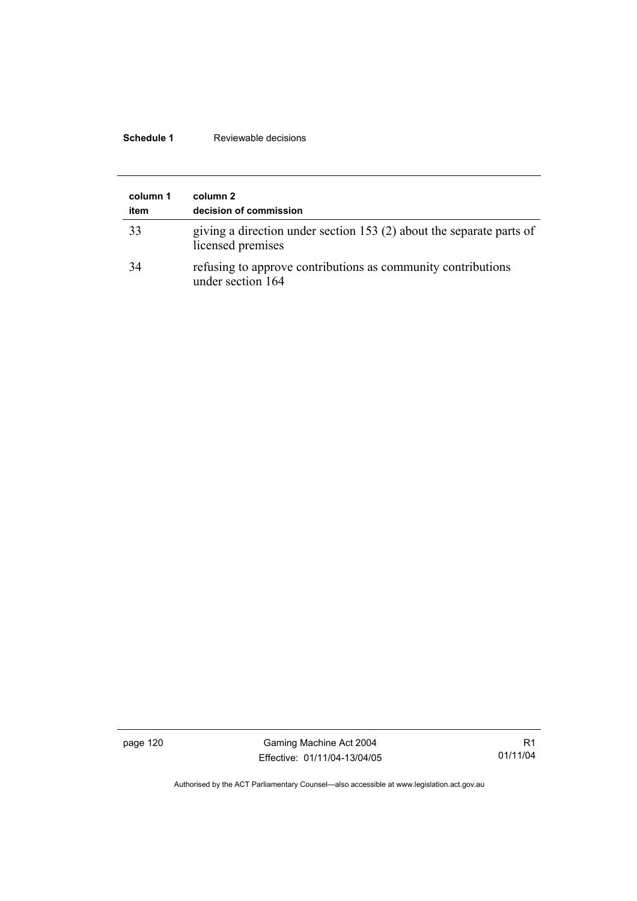### **Schedule 1** Reviewable decisions

| column 1<br>item | column 2<br>decision of commission                                                        |
|------------------|-------------------------------------------------------------------------------------------|
| 33               | giving a direction under section 153 (2) about the separate parts of<br>licensed premises |
| 34               | refusing to approve contributions as community contributions<br>under section 164         |

page 120 Gaming Machine Act 2004 Effective: 01/11/04-13/04/05

R1 01/11/04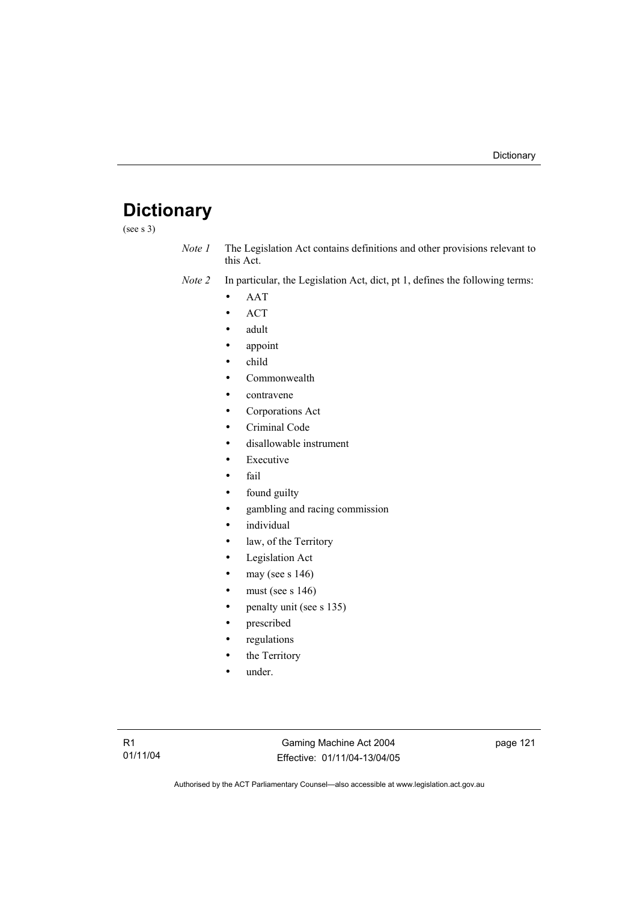# **Dictionary**

(see s 3)

*Note 1* The Legislation Act contains definitions and other provisions relevant to this Act.

*Note 2* In particular, the Legislation Act, dict, pt 1, defines the following terms:

- AAT
- ACT
- adult
- appoint
- child
- Commonwealth
- contravene
- Corporations Act
- Criminal Code
- disallowable instrument
- **Executive**
- fail
- found guilty
- gambling and racing commission
- *individual*
- law, of the Territory
- Legislation Act
- may (see s  $146$ )
- must (see s  $146$ )
- penalty unit (see s 135)
- prescribed
- regulations
- the Territory
- under.

Gaming Machine Act 2004 Effective: 01/11/04-13/04/05 page 121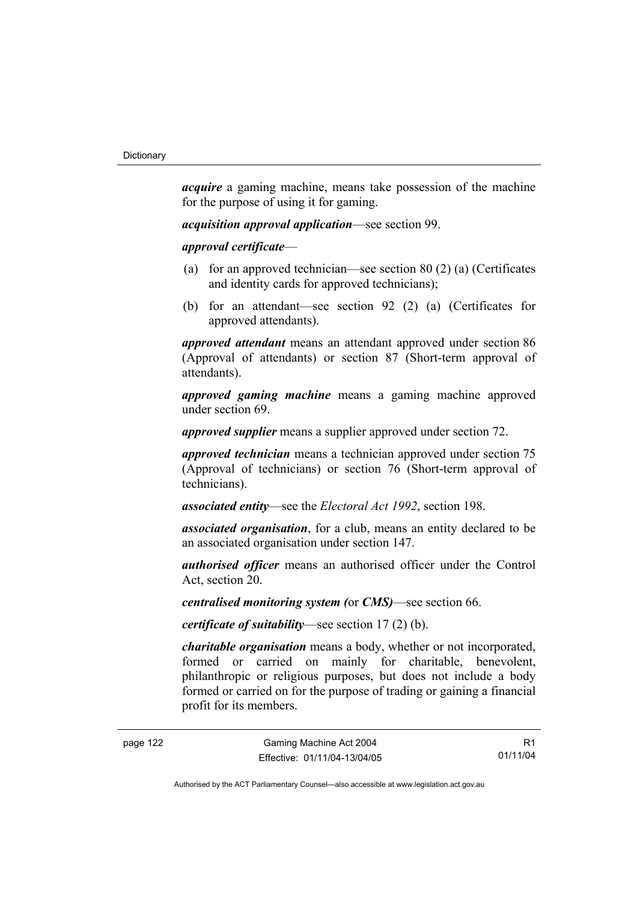*acquire* a gaming machine, means take possession of the machine for the purpose of using it for gaming.

*acquisition approval application*—see section 99.

*approval certificate*—

- (a) for an approved technician—see section 80 (2) (a) (Certificates and identity cards for approved technicians);
- (b) for an attendant—see section 92 (2) (a) (Certificates for approved attendants).

*approved attendant* means an attendant approved under section 86 (Approval of attendants) or section 87 (Short-term approval of attendants).

*approved gaming machine* means a gaming machine approved under section 69.

*approved supplier* means a supplier approved under section 72.

*approved technician* means a technician approved under section 75 (Approval of technicians) or section 76 (Short-term approval of technicians).

*associated entity*—see the *Electoral Act 1992*, section 198.

*associated organisation*, for a club, means an entity declared to be an associated organisation under section 147.

*authorised officer* means an authorised officer under the Control Act, section 20.

*centralised monitoring system (*or *CMS)*—see section 66.

*certificate of suitability*—see section 17 (2) (b).

*charitable organisation* means a body, whether or not incorporated, formed or carried on mainly for charitable, benevolent, philanthropic or religious purposes, but does not include a body formed or carried on for the purpose of trading or gaining a financial profit for its members.

R1 01/11/04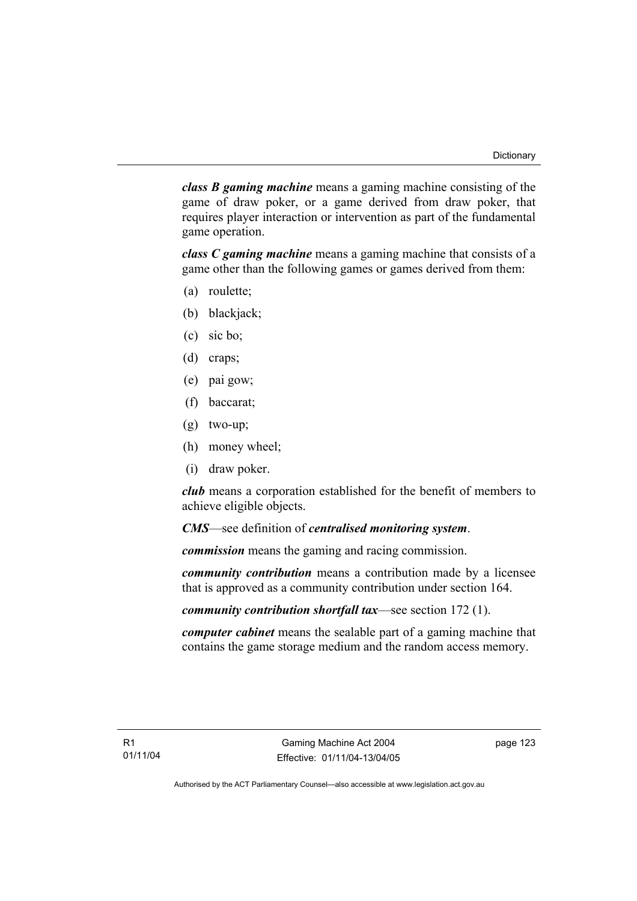*class B gaming machine* means a gaming machine consisting of the game of draw poker, or a game derived from draw poker, that requires player interaction or intervention as part of the fundamental game operation.

*class C gaming machine* means a gaming machine that consists of a game other than the following games or games derived from them:

- (a) roulette;
- (b) blackjack;
- (c) sic bo;
- (d) craps;
- (e) pai gow;
- (f) baccarat;
- (g) two-up;
- (h) money wheel;
- (i) draw poker.

*club* means a corporation established for the benefit of members to achieve eligible objects.

*CMS*—see definition of *centralised monitoring system*.

*commission* means the gaming and racing commission.

*community contribution* means a contribution made by a licensee that is approved as a community contribution under section 164.

*community contribution shortfall tax*—see section 172 (1).

*computer cabinet* means the sealable part of a gaming machine that contains the game storage medium and the random access memory.

page 123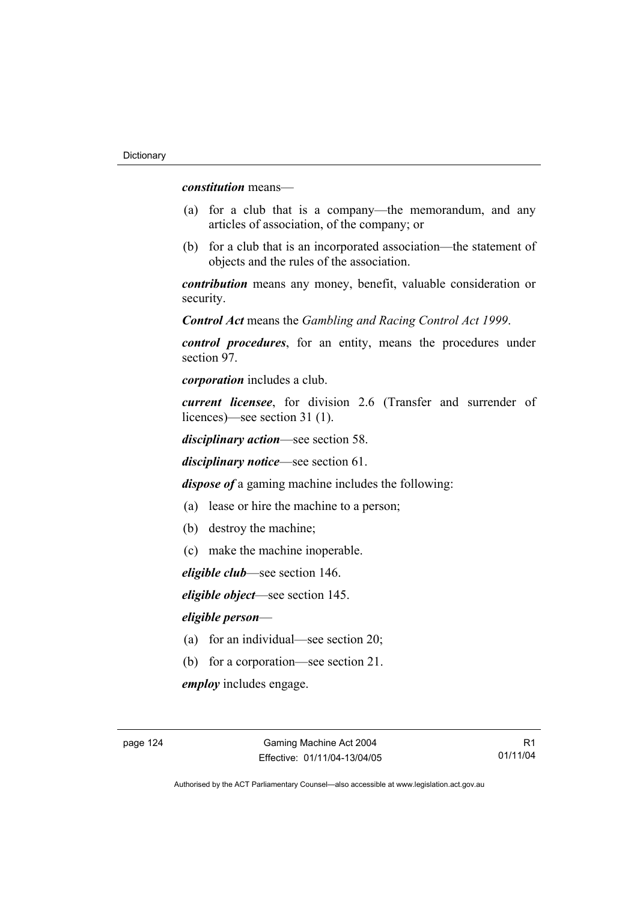*constitution* means—

- (a) for a club that is a company—the memorandum, and any articles of association, of the company; or
- (b) for a club that is an incorporated association—the statement of objects and the rules of the association.

*contribution* means any money, benefit, valuable consideration or security.

*Control Act* means the *Gambling and Racing Control Act 1999*.

*control procedures*, for an entity, means the procedures under section 97.

*corporation* includes a club.

*current licensee*, for division 2.6 (Transfer and surrender of licences)—see section 31 (1).

*disciplinary action*—see section 58.

*disciplinary notice*—see section 61.

*dispose of* a gaming machine includes the following:

- (a) lease or hire the machine to a person;
- (b) destroy the machine;
- (c) make the machine inoperable.

*eligible club*—see section 146.

*eligible object*—see section 145.

#### *eligible person*—

- (a) for an individual—see section 20;
- (b) for a corporation—see section 21.

*employ* includes engage.

R1 01/11/04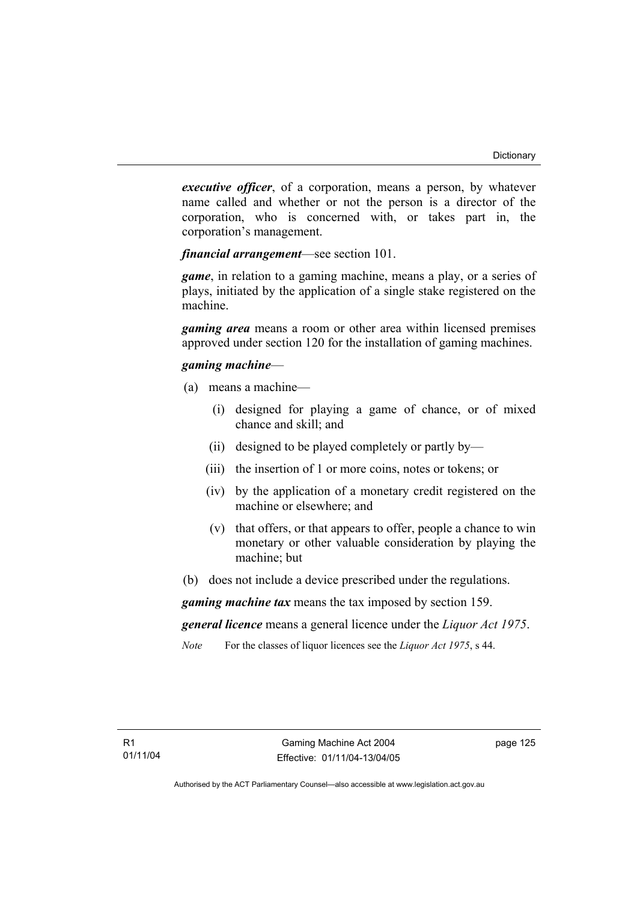*executive officer*, of a corporation, means a person, by whatever name called and whether or not the person is a director of the corporation, who is concerned with, or takes part in, the corporation's management.

*financial arrangement*—see section 101.

*game*, in relation to a gaming machine, means a play, or a series of plays, initiated by the application of a single stake registered on the machine.

*gaming area* means a room or other area within licensed premises approved under section 120 for the installation of gaming machines.

#### *gaming machine*—

- (a) means a machine—
	- (i) designed for playing a game of chance, or of mixed chance and skill; and
	- (ii) designed to be played completely or partly by—
	- (iii) the insertion of 1 or more coins, notes or tokens; or
	- (iv) by the application of a monetary credit registered on the machine or elsewhere; and
	- (v) that offers, or that appears to offer, people a chance to win monetary or other valuable consideration by playing the machine; but
- (b) does not include a device prescribed under the regulations.

*gaming machine tax* means the tax imposed by section 159.

*general licence* means a general licence under the *Liquor Act 1975*.

*Note* For the classes of liquor licences see the *Liquor Act 1975*, s 44.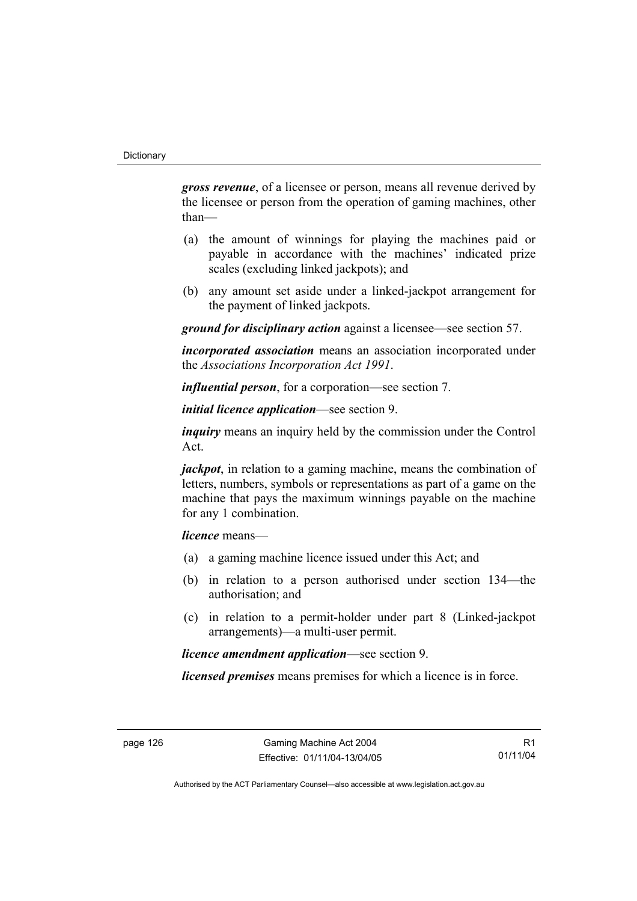*gross revenue*, of a licensee or person, means all revenue derived by the licensee or person from the operation of gaming machines, other than—

- (a) the amount of winnings for playing the machines paid or payable in accordance with the machines' indicated prize scales (excluding linked jackpots); and
- (b) any amount set aside under a linked-jackpot arrangement for the payment of linked jackpots.

*ground for disciplinary action* against a licensee—see section 57.

*incorporated association* means an association incorporated under the *Associations Incorporation Act 1991*.

*influential person*, for a corporation—see section 7.

*initial licence application*—see section 9.

*inquiry* means an inquiry held by the commission under the Control Act.

*jackpot*, in relation to a gaming machine, means the combination of letters, numbers, symbols or representations as part of a game on the machine that pays the maximum winnings payable on the machine for any 1 combination.

*licence* means—

- (a) a gaming machine licence issued under this Act; and
- (b) in relation to a person authorised under section 134—the authorisation; and
- (c) in relation to a permit-holder under part 8 (Linked-jackpot arrangements)—a multi-user permit.

*licence amendment application*—see section 9.

*licensed premises* means premises for which a licence is in force.

R1 01/11/04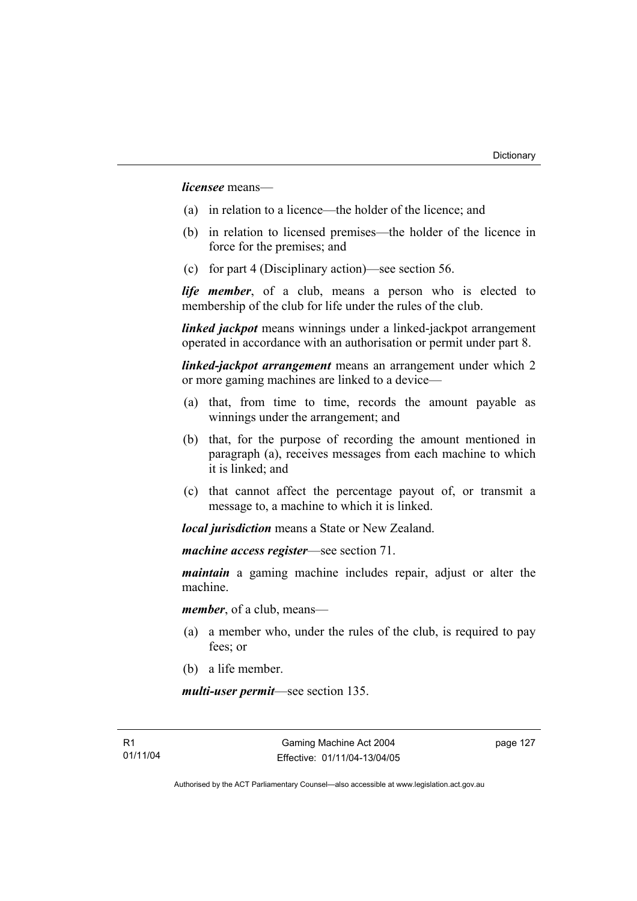*licensee* means—

- (a) in relation to a licence—the holder of the licence; and
- (b) in relation to licensed premises—the holder of the licence in force for the premises; and
- (c) for part 4 (Disciplinary action)—see section 56.

*life member*, of a club, means a person who is elected to membership of the club for life under the rules of the club.

*linked jackpot* means winnings under a linked-jackpot arrangement operated in accordance with an authorisation or permit under part 8.

*linked-jackpot arrangement* means an arrangement under which 2 or more gaming machines are linked to a device—

- (a) that, from time to time, records the amount payable as winnings under the arrangement; and
- (b) that, for the purpose of recording the amount mentioned in paragraph (a), receives messages from each machine to which it is linked; and
- (c) that cannot affect the percentage payout of, or transmit a message to, a machine to which it is linked.

*local jurisdiction* means a State or New Zealand.

*machine access register*—see section 71.

*maintain* a gaming machine includes repair, adjust or alter the machine.

*member*, of a club, means—

- (a) a member who, under the rules of the club, is required to pay fees; or
- (b) a life member.

*multi-user permit*—see section 135.

page 127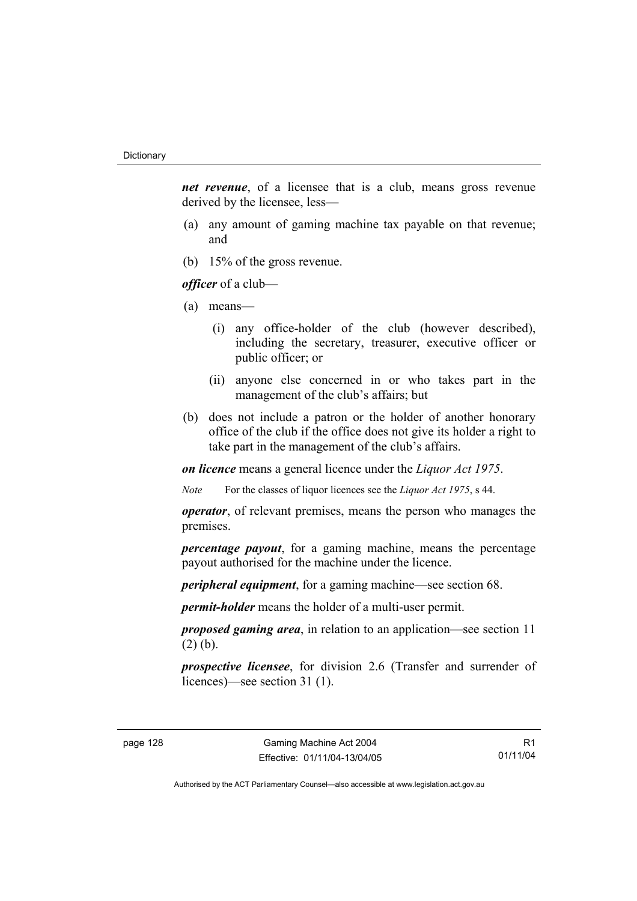*net revenue*, of a licensee that is a club, means gross revenue derived by the licensee, less—

- (a) any amount of gaming machine tax payable on that revenue; and
- (b) 15% of the gross revenue.

*officer* of a club—

- (a) means—
	- (i) any office-holder of the club (however described), including the secretary, treasurer, executive officer or public officer; or
	- (ii) anyone else concerned in or who takes part in the management of the club's affairs; but
- (b) does not include a patron or the holder of another honorary office of the club if the office does not give its holder a right to take part in the management of the club's affairs.

*on licence* means a general licence under the *Liquor Act 1975*.

*Note* For the classes of liquor licences see the *Liquor Act 1975*, s 44.

*operator*, of relevant premises, means the person who manages the premises.

*percentage payout*, for a gaming machine, means the percentage payout authorised for the machine under the licence.

*peripheral equipment*, for a gaming machine—see section 68.

*permit-holder* means the holder of a multi-user permit.

*proposed gaming area*, in relation to an application—see section 11 (2) (b).

*prospective licensee*, for division 2.6 (Transfer and surrender of licences)—see section 31 (1).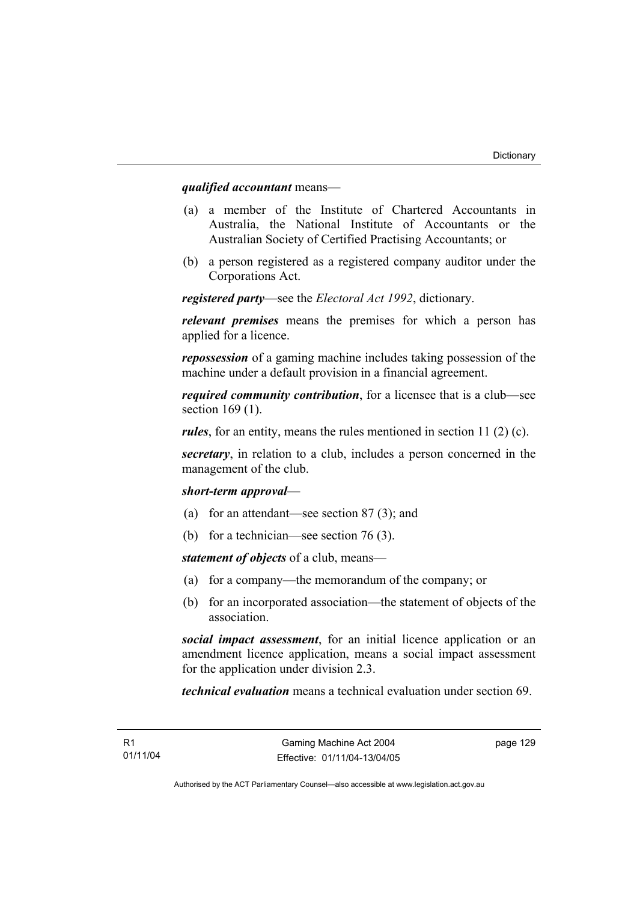#### *qualified accountant* means—

- (a) a member of the Institute of Chartered Accountants in Australia, the National Institute of Accountants or the Australian Society of Certified Practising Accountants; or
- (b) a person registered as a registered company auditor under the Corporations Act.

*registered party*—see the *Electoral Act 1992*, dictionary.

*relevant premises* means the premises for which a person has applied for a licence.

*repossession* of a gaming machine includes taking possession of the machine under a default provision in a financial agreement.

*required community contribution*, for a licensee that is a club—see section 169 (1).

*rules*, for an entity, means the rules mentioned in section 11 (2) (c).

*secretary*, in relation to a club, includes a person concerned in the management of the club.

#### *short-term approval*—

- (a) for an attendant—see section 87 (3); and
- (b) for a technician—see section 76 (3).

*statement of objects* of a club, means—

- (a) for a company—the memorandum of the company; or
- (b) for an incorporated association—the statement of objects of the association.

*social impact assessment*, for an initial licence application or an amendment licence application, means a social impact assessment for the application under division 2.3.

*technical evaluation* means a technical evaluation under section 69.

page 129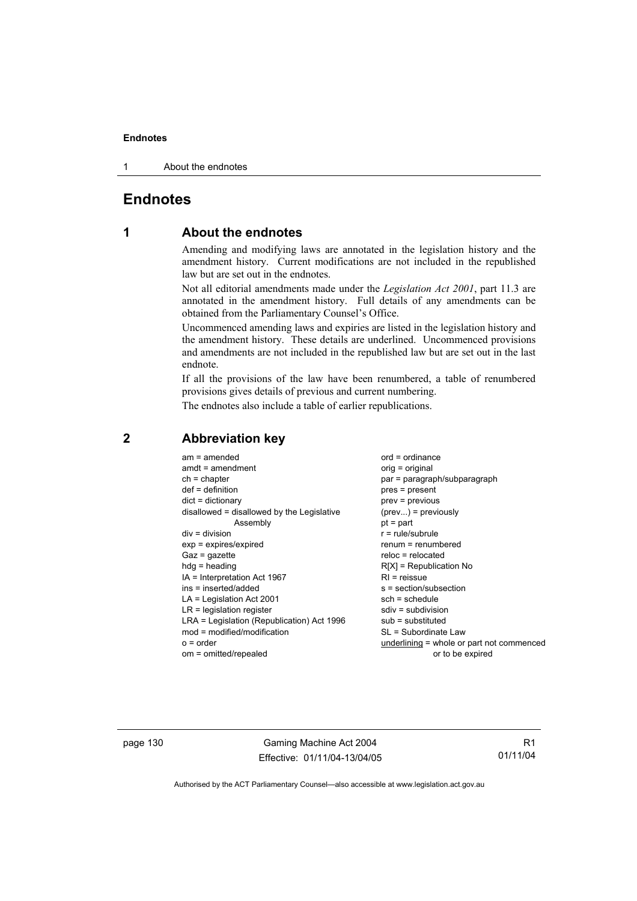#### **Endnotes**

1 About the endnotes

### **Endnotes**

### **1 About the endnotes**

Amending and modifying laws are annotated in the legislation history and the amendment history. Current modifications are not included in the republished law but are set out in the endnotes.

Not all editorial amendments made under the *Legislation Act 2001*, part 11.3 are annotated in the amendment history. Full details of any amendments can be obtained from the Parliamentary Counsel's Office.

Uncommenced amending laws and expiries are listed in the legislation history and the amendment history. These details are underlined. Uncommenced provisions and amendments are not included in the republished law but are set out in the last endnote.

If all the provisions of the law have been renumbered, a table of renumbered provisions gives details of previous and current numbering.

The endnotes also include a table of earlier republications.

| $am = amended$<br>$amdt = amendment$<br>$ch = chapter$<br>$def = definition$<br>$dict = dictionary$<br>disallowed = disallowed by the Legislative<br>Assembly<br>$div = division$<br>$exp = expires/expired$<br>$Gaz = gazette$<br>$hdg =$ heading<br>$IA = Interpretation Act 1967$<br>ins = inserted/added<br>$LA =$ Legislation Act 2001<br>$LR =$ legislation register<br>LRA = Legislation (Republication) Act 1996<br>$mod = modified/modification$ | $ord = ordinance$<br>$orig = original$<br>par = paragraph/subparagraph<br>$pres = present$<br>prev = previous<br>$(\text{prev}) = \text{previously}$<br>$pt = part$<br>$r = rule/subrule$<br>$renum = renumbered$<br>$reloc = relocated$<br>$R[X]$ = Republication No<br>$RI =$ reissue<br>$s = section/subsection$<br>$sch = schedule$<br>$sdiv = subdivision$<br>$sub =$ substituted<br>SL = Subordinate Law |
|-----------------------------------------------------------------------------------------------------------------------------------------------------------------------------------------------------------------------------------------------------------------------------------------------------------------------------------------------------------------------------------------------------------------------------------------------------------|----------------------------------------------------------------------------------------------------------------------------------------------------------------------------------------------------------------------------------------------------------------------------------------------------------------------------------------------------------------------------------------------------------------|
| $o = order$<br>om = omitted/repealed                                                                                                                                                                                                                                                                                                                                                                                                                      | underlining = whole or part not commenced<br>or to be expired                                                                                                                                                                                                                                                                                                                                                  |
|                                                                                                                                                                                                                                                                                                                                                                                                                                                           |                                                                                                                                                                                                                                                                                                                                                                                                                |

#### **2 Abbreviation key**

page 130 Gaming Machine Act 2004 Effective: 01/11/04-13/04/05

R1 01/11/04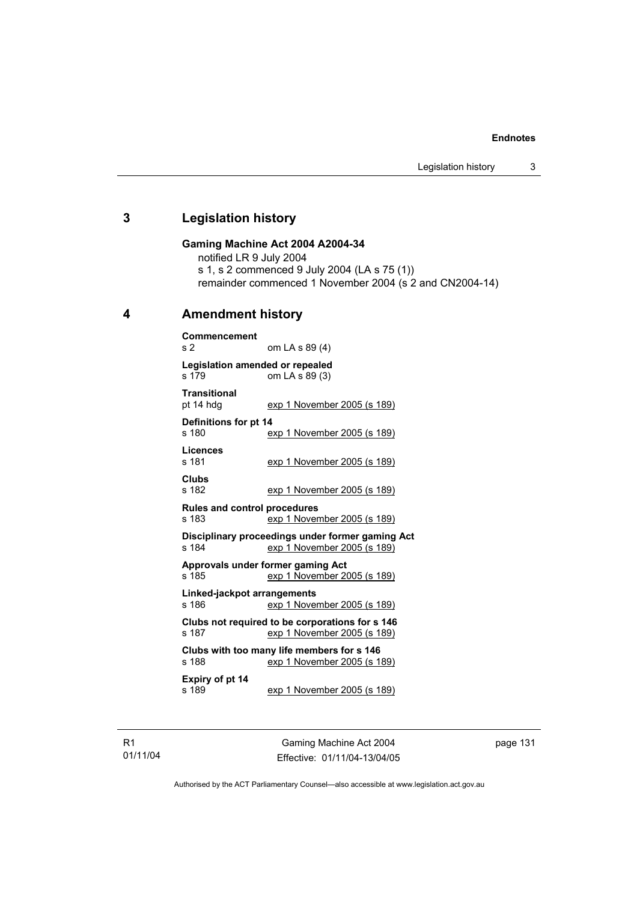#### **Endnotes**

### **3 Legislation history**

#### **Gaming Machine Act 2004 A2004-34**

notified LR 9 July 2004

s 1, s 2 commenced 9 July 2004 (LA s 75 (1))

remainder commenced 1 November 2004 (s 2 and CN2004-14)

### **4 Amendment history**

| Commencement                                 |                                                                                 |
|----------------------------------------------|---------------------------------------------------------------------------------|
| s <sub>2</sub>                               | om LA s 89 (4)                                                                  |
| Legislation amended or repealed<br>s 179     | om LA s 89 (3)                                                                  |
| <b>Transitional</b><br>pt 14 hdg             | exp 1 November 2005 (s 189)                                                     |
| Definitions for pt 14<br>s 180               | exp 1 November 2005 (s 189)                                                     |
| Licences<br>s 181                            | exp 1 November 2005 (s 189)                                                     |
| <b>Clubs</b><br>s 182                        | exp 1 November 2005 (s 189)                                                     |
| <b>Rules and control procedures</b><br>s 183 | exp 1 November 2005 (s 189)                                                     |
| s 184                                        | Disciplinary proceedings under former gaming Act<br>exp 1 November 2005 (s 189) |
| s 185                                        | Approvals under former gaming Act<br>exp 1 November 2005 (s 189)                |
| Linked-jackpot arrangements<br>s 186         | exp 1 November 2005 (s 189)                                                     |
| s 187                                        | Clubs not required to be corporations for s 146<br>exp 1 November 2005 (s 189)  |
| s 188                                        | Clubs with too many life members for s 146<br>exp 1 November 2005 (s 189)       |
| Expiry of pt 14<br>s 189                     | <u>exp 1 November 2005 (s 189)</u>                                              |

R1 01/11/04

Gaming Machine Act 2004 Effective: 01/11/04-13/04/05 page 131